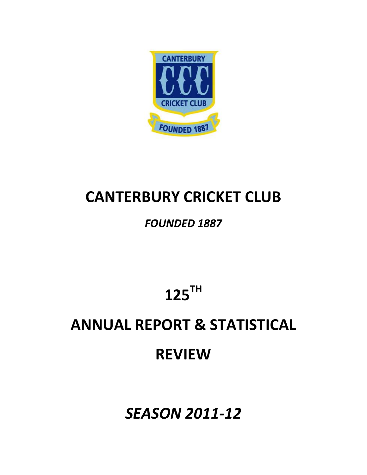

# **CANTERBURY CRICKET CLUB**

## *FOUNDED 1887*

**125TH** 

# **ANNUAL REPORT & STATISTICAL REVIEW**

*SEASON 2011‐12*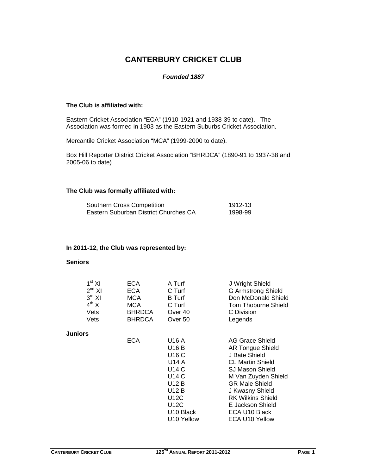## **CANTERBURY CRICKET CLUB**

#### *Founded 1887*

#### **The Club is affiliated with:**

Eastern Cricket Association "ECA" (1910-1921 and 1938-39 to date). The Association was formed in 1903 as the Eastern Suburbs Cricket Association.

Mercantile Cricket Association "MCA" (1999-2000 to date).

Box Hill Reporter District Cricket Association "BHRDCA" (1890-91 to 1937-38 and 2005-06 to date)

#### **The Club was formally affiliated with:**

| Southern Cross Competition            | 1912-13 |
|---------------------------------------|---------|
| Eastern Suburban District Churches CA | 1998-99 |

#### **In 2011-12, the Club was represented by:**

#### **Seniors**

| 1 <sup>st</sup> XI<br>$2^{nd}$ XI<br>$3^{\text{rd}}$ XI<br>$4^{th}$ XI<br>Vets<br>Vets | ECA<br><b>ECA</b><br><b>MCA</b><br><b>MCA</b><br><b>BHRDCA</b><br><b>BHRDCA</b> | A Turf<br>C Turf<br><b>B</b> Turf<br>C Turf<br>Over 40<br>Over 50                                               | J Wright Shield<br><b>G Armstrong Shield</b><br>Don McDonald Shield<br><b>Tom Thoburne Shield</b><br>C Division<br>Legends                                                                                                                                             |
|----------------------------------------------------------------------------------------|---------------------------------------------------------------------------------|-----------------------------------------------------------------------------------------------------------------|------------------------------------------------------------------------------------------------------------------------------------------------------------------------------------------------------------------------------------------------------------------------|
| Juniors                                                                                |                                                                                 |                                                                                                                 |                                                                                                                                                                                                                                                                        |
|                                                                                        | ECA                                                                             | U16 A<br>U16 B<br>U16 C<br>U14 A<br>U14 C<br>U14 C<br>U12 B<br>U12 B<br>U12C<br>U12C<br>U10 Black<br>U10 Yellow | AG Grace Shield<br><b>AR Tongue Shield</b><br>J Bate Shield<br><b>CL Martin Shield</b><br>SJ Mason Shield<br>M Van Zuyden Shield<br><b>GR Male Shield</b><br>J Kwasny Shield<br><b>RK Wilkins Shield</b><br>E Jackson Shield<br>ECA U10 Black<br><b>ECA U10 Yellow</b> |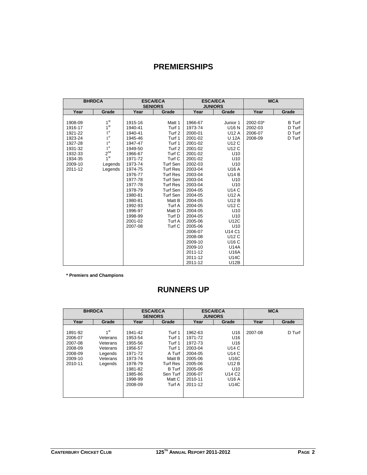## **PREMIERSHIPS**

|         | <b>BHRDCA</b>   |         | <b>ESCA/ECA</b><br><b>SENIORS</b> |                | <b>ESCA/ECA</b> |          | <b>MCA</b>    |
|---------|-----------------|---------|-----------------------------------|----------------|-----------------|----------|---------------|
|         |                 |         |                                   | <b>JUNIORS</b> |                 |          |               |
| Year    | Grade           | Year    | Grade                             | Year           | Grade           | Year     | Grade         |
| 1908-09 | 1 <sup>st</sup> | 1915-16 | Matt 1                            | 1966-67        | Junior 1        | 2002-03* | <b>B</b> Turf |
| 1916-17 | 1 <sup>st</sup> | 1940-41 | Turf 1                            | 1973-74        | U16 N           | 2002-03  | D Turf        |
| 1921-22 | 1 <sup>st</sup> | 1940-41 | Turf <sub>2</sub>                 | 2000-01        | U12 A           | 2006-07  | D Turf        |
| 1923-24 | 1 <sup>st</sup> | 1945-46 | Turf 1                            | 2001-02        | <b>U 12A</b>    | 2008-09  | D Turf        |
| 1927-28 | 1 <sup>st</sup> | 1947-47 | Turf 1                            | 2001-02        | U12 C           |          |               |
| 1931-32 | 1 <sup>st</sup> | 1949-50 | Turf <sub>2</sub>                 | 2001-02        | U12 C           |          |               |
| 1932-33 | 2 <sup>nd</sup> | 1966-67 | Turf C                            | 2001-02        | U <sub>10</sub> |          |               |
| 1934-35 | 1 <sup>st</sup> | 1971-72 | Turf C                            | 2001-02        | U <sub>10</sub> |          |               |
| 2009-10 | Legends         | 1973-74 | Turf Sen                          | 2002-03        | U <sub>10</sub> |          |               |
| 2011-12 | Legends         | 1974-75 | <b>Turf Res</b>                   | 2003-04        | U16 A           |          |               |
|         |                 | 1976-77 | <b>Turf Res</b>                   | 2003-04        | <b>U14 B</b>    |          |               |
|         |                 | 1977-78 | Turf Sen                          | 2003-04        | U <sub>10</sub> |          |               |
|         |                 | 1977-78 | <b>Turf Res</b>                   | 2003-04        | U <sub>10</sub> |          |               |
|         |                 | 1978-79 | Turf Sen                          | 2004-05        | <b>U14 C</b>    |          |               |
|         |                 | 1980-81 | <b>Turf Sen</b>                   | 2004-05        | U12 A           |          |               |
|         |                 | 1980-81 | Matt B                            | 2004-05        | <b>U12 B</b>    |          |               |
|         |                 | 1992-93 | Turf A                            | 2004-05        | U12 C           |          |               |
|         |                 | 1996-97 | Matt D                            | 2004-05        | U <sub>10</sub> |          |               |
|         |                 | 1998-99 | Turf D                            | 2004-05        | U <sub>10</sub> |          |               |
|         |                 | 2001-02 | Turf A                            | 2005-06        | U12C            |          |               |
|         |                 | 2007-08 | Turf C                            | 2005-06        | U <sub>10</sub> |          |               |
|         |                 |         |                                   | 2006-07        | U14 C1          |          |               |
|         |                 |         |                                   | 2008-08        | U12 C           |          |               |
|         |                 |         |                                   | 2009-10        | U16 C           |          |               |
|         |                 |         |                                   | 2009-10        | U14A            |          |               |
|         |                 |         |                                   | 2011-12        | U16A            |          |               |
|         |                 |         |                                   | 2011-12        | <b>U14C</b>     |          |               |
|         |                 |         |                                   | 2011-12        | U12B            |          |               |

**\* Premiers and Champions** 

## **RUNNERS UP**

|                                                                           | <b>BHRDCA</b>                                                                         |                                                                                                                       | <b>ESCA/ECA</b><br><b>SENIORS</b>                                                                                     |                                                                                                                       | <b>ESCA/ECA</b><br><b>JUNIORS</b>                                                                                                                              |         | <b>MCA</b> |
|---------------------------------------------------------------------------|---------------------------------------------------------------------------------------|-----------------------------------------------------------------------------------------------------------------------|-----------------------------------------------------------------------------------------------------------------------|-----------------------------------------------------------------------------------------------------------------------|----------------------------------------------------------------------------------------------------------------------------------------------------------------|---------|------------|
| Year                                                                      | Grade                                                                                 | Year                                                                                                                  | Grade                                                                                                                 | Year                                                                                                                  | Grade                                                                                                                                                          | Year    | Grade      |
| 1891-92<br>2006-07<br>2007-08<br>2008-09<br>2008-09<br>2009-10<br>2010-11 | 1 <sup>st</sup><br>Veterans<br>Veterans<br>Veterans<br>Legends<br>Veterans<br>Legends | 1941-42<br>1953-54<br>1955-56<br>1956-57<br>1971-72<br>1973-74<br>1978-79<br>1981-82<br>1985-86<br>1998-99<br>2008-09 | Turf 1<br>Turf 1<br>Turf 1<br>Turf 1<br>A Turf<br>Matt B<br><b>Turf Res</b><br>B Turf<br>Sen Turf<br>Matt C<br>Turf A | 1962-63<br>1971-72<br>1972-73<br>2003-04<br>2004-05<br>2005-06<br>2005-06<br>2005-06<br>2006-07<br>2010-11<br>2011-12 | U <sub>16</sub><br>U <sub>16</sub><br>U <sub>16</sub><br>U14 C<br>U14 C<br>U16C<br>U12 B<br>U <sub>10</sub><br>U14 C <sub>2</sub><br>U <sub>16</sub> A<br>U14C | 2007-08 | D Turf     |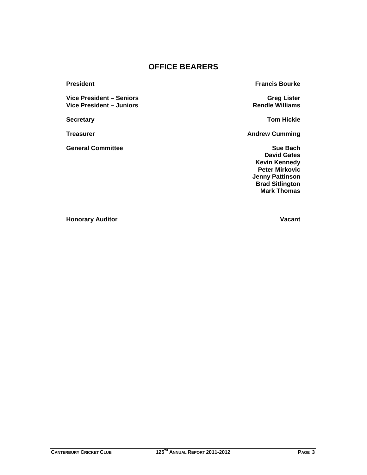## **OFFICE BEARERS**

Vice President – Seniors **Greg Lister** Greg Lister Vice President – Juniors **Rendle Williams** 

**General Committee Sue Bach** Sue Bach

**President Francis Bourke** 

**Secretary Tom Hickie**

**Treasurer Andrew Cumming Construction Cumming Andrew Cumming** 

**David Gates Kevin Kennedy Peter Mirkovic Jenny Pattinson Brad Sitlington Mark Thomas**

**Honorary Auditor Vacant**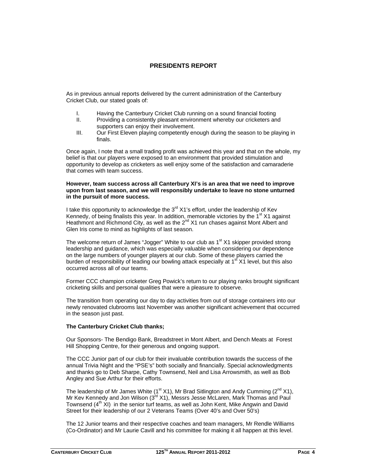#### **PRESIDENTS REPORT**

As in previous annual reports delivered by the current administration of the Canterbury Cricket Club, our stated goals of:

- I. Having the Canterbury Cricket Club running on a sound financial footing
- II. Providing a consistently pleasant environment whereby our cricketers and supporters can enjoy their involvement.
- III. Our First Eleven playing competently enough during the season to be playing in finals.

Once again, I note that a small trading profit was achieved this year and that on the whole, my belief is that our players were exposed to an environment that provided stimulation and opportunity to develop as cricketers as well enjoy some of the satisfaction and camaraderie that comes with team success.

#### **However, team success across all Canterbury XI's is an area that we need to improve upon from last season, and we will responsibly undertake to leave no stone unturned in the pursuit of more success.**

I take this opportunity to acknowledge the  $3<sup>rd</sup> X1's$  effort, under the leadership of Kev Kennedy, of being finalists this year. In addition, memorable victories by the  $1<sup>st</sup> X1$  against Heathmont and Richmond City, as well as the  $2^{nd}$  X1 run chases against Mont Albert and Glen Iris come to mind as highlights of last season.

The welcome return of James "Jogger" White to our club as  $1<sup>st</sup> X1$  skipper provided strong leadership and guidance, which was especially valuable when considering our dependence on the large numbers of younger players at our club. Some of these players carried the burden of responsibility of leading our bowling attack especially at 1<sup>st</sup> X1 level, but this also occurred across all of our teams.

Former CCC champion cricketer Greg Powick's return to our playing ranks brought significant cricketing skills and personal qualities that were a pleasure to observe.

The transition from operating our day to day activities from out of storage containers into our newly renovated clubrooms last November was another significant achievement that occurred in the season just past.

#### **The Canterbury Cricket Club thanks;**

Our Sponsors- The Bendigo Bank, Breadstreet in Mont Albert, and Dench Meats at Forest Hill Shopping Centre, for their generous and ongoing support.

The CCC Junior part of our club for their invaluable contribution towards the success of the annual Trivia Night and the "PSE's" both socially and financially. Special acknowledgments and thanks go to Deb Sharpe, Cathy Townsend, Neil and Lisa Arrowsmith, as well as Bob Angley and Sue Arthur for their efforts.

The leadership of Mr James White  $(1^{st} X1)$ , Mr Brad Sitlington and Andy Cumming  $(2^{nd} X1)$ , Mr Kev Kennedy and Jon Wilson  $(3<sup>id</sup> X1)$ , Messrs Jesse McLaren, Mark Thomas and Paul Townsend  $(4^{th}$  XI) in the senior turf teams, as well as John Kent, Mike Angwin and David Street for their leadership of our 2 Veterans Teams (Over 40's and Over 50's)

The 12 Junior teams and their respective coaches and team managers, Mr Rendle Williams (Co-Ordinator) and Mr Laurie Cavill and his committee for making it all happen at this level.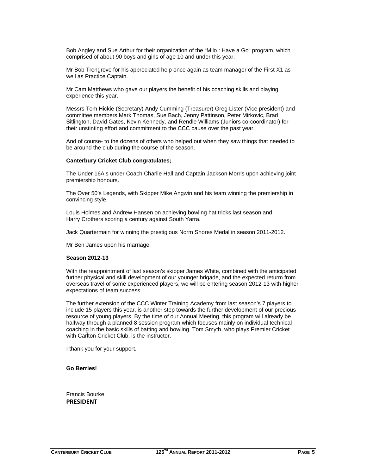Bob Angley and Sue Arthur for their organization of the "Milo : Have a Go" program, which comprised of about 90 boys and girls of age 10 and under this year.

Mr Bob Trengrove for his appreciated help once again as team manager of the First X1 as well as Practice Captain.

Mr Cam Matthews who gave our players the benefit of his coaching skills and playing experience this year.

Messrs Tom Hickie (Secretary) Andy Cumming (Treasurer) Greg Lister (Vice president) and committee members Mark Thomas, Sue Bach, Jenny Pattinson, Peter Mirkovic, Brad Sitlington, David Gates, Kevin Kennedy, and Rendle Williams (Juniors co-coordinator) for their unstinting effort and commitment to the CCC cause over the past year.

And of course- to the dozens of others who helped out when they saw things that needed to be around the club during the course of the season.

#### **Canterbury Cricket Club congratulates;**

The Under 16A's under Coach Charlie Hall and Captain Jackson Morris upon achieving joint premiership honours.

The Over 50's Legends, with Skipper Mike Angwin and his team winning the premiership in convincing style.

Louis Holmes and Andrew Hansen on achieving bowling hat tricks last season and Harry Crothers scoring a century against South Yarra.

Jack Quartermain for winning the prestigious Norm Shores Medal in season 2011-2012.

Mr Ben James upon his marriage.

#### **Season 2012-13**

With the reappointment of last season's skipper James White, combined with the anticipated further physical and skill development of our younger brigade, and the expected returm from overseas travel of some experienced players, we will be entering season 2012-13 with higher expectations of team success.

The further extension of the CCC Winter Training Academy from last season's 7 players to include 15 players this year, is another step towards the further development of our precious resource of young players. By the time of our Annual Meeting, this program will already be halfway through a planned 8 session program which focuses mainly on individual technical coaching in the basic skills of batting and bowling. Tom Smyth, who plays Premier Cricket with Carlton Cricket Club, is the instructor.

I thank you for your support.

**Go Berries!** 

Francis Bourke **PRESIDENT**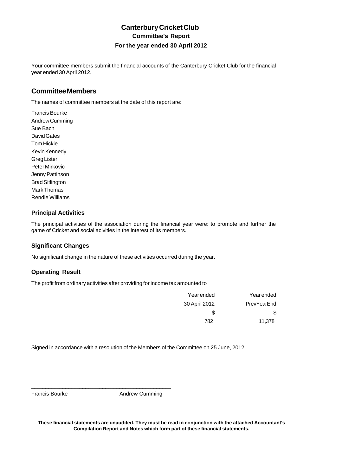Your committee members submit the financial accounts of the Canterbury Cricket Club for the financial year ended 30 April 2012.

### **Committee Members**

The names of committee members at the date of this report are:

Francis Bourke Andrew Cumming Sue Bach David Gates Tom Hickie Kevin Kennedy Greg Lister Peter Mirkovic Jenny Pattinson Brad Sitlington Mark Thomas Rendle Williams

#### **Principal Activities**

The principal activities of the association during the financial year were: to promote and further the game of Cricket and social acivities in the interest of its members.

#### **Significant Changes**

No significant change in the nature of these activities occurred during the year.

#### **Operating Result**

The profit from ordinary activities after providing for income tax amounted to

\_\_\_\_\_\_\_\_\_\_\_\_\_\_\_\_\_\_\_\_\_\_\_\_\_\_\_\_\_\_\_\_\_\_\_\_\_\_\_\_\_\_\_\_\_\_\_\_\_

| Yearended     | Year ended  |
|---------------|-------------|
| 30 April 2012 | PrevYearEnd |
| \$.           | S           |
| 782           | 11,378      |

Signed in accordance with a resolution of the Members of the Committee on 25 June, 2012:

Francis Bourke **Andrew Cumming**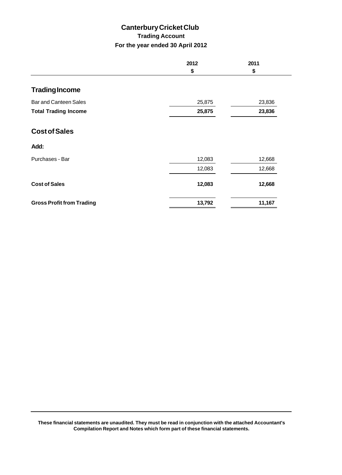## **Canterbury Cricket Club Trading Account For the year ended 30 April 2012**

|                                  | 2012   | 2011   |
|----------------------------------|--------|--------|
|                                  | \$     | \$     |
| <b>Trading Income</b>            |        |        |
| <b>Bar and Canteen Sales</b>     | 25,875 | 23,836 |
| <b>Total Trading Income</b>      | 25,875 | 23,836 |
| <b>Cost of Sales</b>             |        |        |
| Add:                             |        |        |
| Purchases - Bar                  | 12,083 | 12,668 |
|                                  | 12,083 | 12,668 |
| <b>Cost of Sales</b>             | 12,083 | 12,668 |
| <b>Gross Profit from Trading</b> | 13,792 | 11,167 |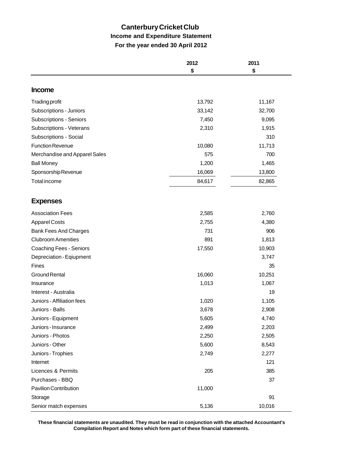## **Canterbury Cricket Club Income and Expenditure Statement For the year ended 30 April 2012**

|                                | 2012   | 2011   |
|--------------------------------|--------|--------|
|                                | \$     | \$     |
| <b>Income</b>                  |        |        |
| <b>Trading profit</b>          | 13,792 | 11,167 |
| Subscriptions - Juniors        | 33,142 | 32,700 |
| <b>Subscriptions - Seniors</b> | 7,450  | 9,095  |
| Subscriptions - Veterans       | 2,310  | 1,915  |
| Subscriptions - Social         |        | 310    |
| <b>Function Revenue</b>        | 10,080 | 11,713 |
| Merchandise and Apparel Sales  | 575    | 700    |
| <b>Ball Money</b>              | 1,200  | 1,465  |
| Sponsorship Revenue            | 16,069 | 13,800 |
| <b>Total income</b>            | 84,617 | 82,865 |
|                                |        |        |
| <b>Expenses</b>                |        |        |
| <b>Association Fees</b>        | 2,585  | 2,760  |
| <b>Apparel Costs</b>           | 2,755  | 4,380  |
| <b>Bank Fees And Charges</b>   | 731    | 906    |
| <b>Clubroom Amenities</b>      | 891    | 1,813  |
| <b>Coaching Fees - Seniors</b> | 17,550 | 10,903 |
| Depreciation - Eqiupment       |        | 3,747  |
| Fines                          |        | 35     |
| <b>Ground Rental</b>           | 16,060 | 10,251 |
| Insurance                      | 1,013  | 1,067  |
| Interest - Australia           |        | 19     |
| Juniors - Affiliation fees     | 1,020  | 1,105  |
| Juniors - Balls                | 3,678  | 2,908  |
| Juniors - Equipment            | 5,605  | 4,740  |
| Juniors - Insurance            | 2,499  | 2,203  |
| Juniors - Photos               | 2,250  | 2,505  |
| Juniors - Other                | 5,600  | 8,543  |
| Juniors - Trophies             | 2,749  | 2,277  |
| Internet                       |        | 121    |
| Licences & Permits             | 205    | 385    |
| Purchases - BBQ                |        | 37     |
| Pavilion Contribution          | 11,000 |        |
| Storage                        |        | 91     |
| Senior match expenses          | 5,136  | 10,016 |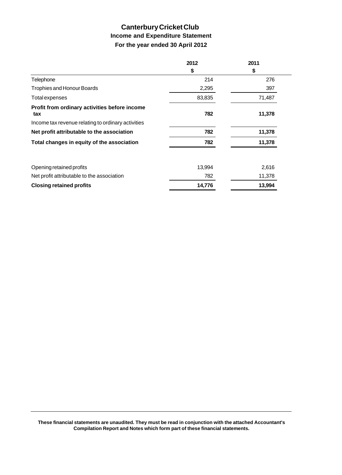## **Canterbury Cricket Club Income and Expenditure Statement For the year ended 30 April 2012**

|        | 2011   |
|--------|--------|
| \$     | \$     |
| 214    | 276    |
| 2,295  | 397    |
| 83,835 | 71,487 |
| 782    | 11,378 |
|        |        |
| 782    | 11,378 |
| 782    | 11,378 |
| 13,994 | 2,616  |
| 782    | 11,378 |
| 14,776 | 13,994 |
|        |        |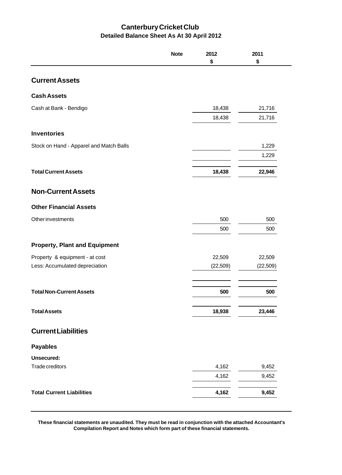## **Canterbury Cricket Club Detailed Balance Sheet As At 30 April 2012**

|                                         | <b>Note</b> | 2012<br>\$ | 2011<br>\$ |
|-----------------------------------------|-------------|------------|------------|
| <b>Current Assets</b>                   |             |            |            |
| <b>Cash Assets</b>                      |             |            |            |
| Cash at Bank - Bendigo                  |             | 18,438     | 21,716     |
|                                         |             | 18,438     | 21,716     |
| <b>Inventories</b>                      |             |            |            |
| Stock on Hand - Apparel and Match Balls |             |            | 1,229      |
|                                         |             |            | 1,229      |
| <b>Total Current Assets</b>             |             | 18,438     | 22,946     |
| <b>Non-Current Assets</b>               |             |            |            |
| <b>Other Financial Assets</b>           |             |            |            |
| <b>Other investments</b>                |             | 500        | 500        |
|                                         |             | 500        | 500        |
| <b>Property, Plant and Equipment</b>    |             |            |            |
| Property & equipment - at cost          |             | 22,509     | 22,509     |
| Less: Accumulated depreciation          |             | (22, 509)  | (22, 509)  |
| <b>Total Non-Current Assets</b>         |             | 500        | 500        |
| <b>Total Assets</b>                     |             | 18,938     | 23,446     |
| <b>Current Liabilities</b>              |             |            |            |
| <b>Payables</b>                         |             |            |            |
| Unsecured:                              |             |            |            |
| Trade creditors                         |             | 4,162      | 9,452      |
|                                         |             | 4,162      | 9,452      |
| <b>Total Current Liabilities</b>        |             | 4,162      | 9,452      |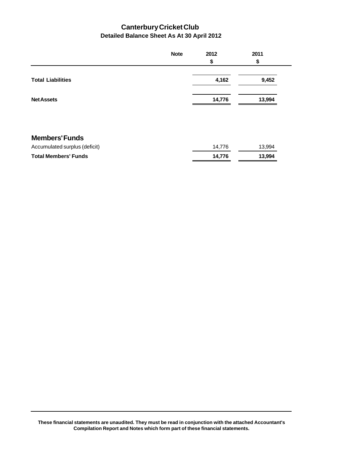## **Canterbury Cricket Club Detailed Balance Sheet As At 30 April 2012**

|                               | <b>Note</b> | 2012   | 2011   |
|-------------------------------|-------------|--------|--------|
|                               |             | \$     | \$     |
| <b>Total Liabilities</b>      |             | 4,162  | 9,452  |
| <b>Net Assets</b>             |             | 14,776 | 13,994 |
|                               |             |        |        |
| <b>Members' Funds</b>         |             |        |        |
| Accumulated surplus (deficit) |             | 14,776 | 13,994 |
| <b>Total Members' Funds</b>   |             | 14,776 | 13,994 |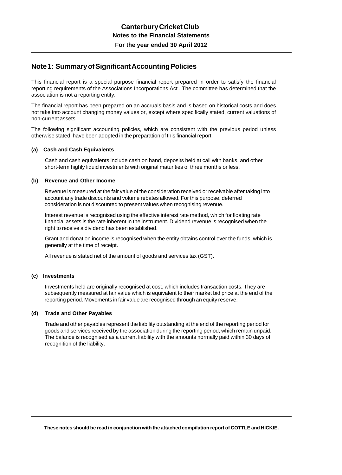## **Note 1: Summary of Significant Accounting Policies**

This financial report is a special purpose financial report prepared in order to satisfy the financial reporting requirements of the Associations Incorporations Act . The committee has determined that the association is not a reporting entity.

The financial report has been prepared on an accruals basis and is based on historical costs and does not take into account changing money values or, except where specifically stated, current valuations of non-current assets.

The following significant accounting policies, which are consistent with the previous period unless otherwise stated, have been adopted in the preparation of this financial report.

#### **(a) Cash and Cash Equivalents**

 Cash and cash equivalents include cash on hand, deposits held at call with banks, and other short-term highly liquid investments with original maturities of three months or less.

#### **(b) Revenue and Other Income**

 Revenue is measured at the fair value of the consideration received or receivable after taking into account any trade discounts and volume rebates allowed. For this purpose, deferred consideration is not discounted to present values when recognising revenue.

 Interest revenue is recognised using the effective interest rate method, which for floating rate financial assets is the rate inherent in the instrument. Dividend revenue is recognised when the right to receive a dividend has been established.

 Grant and donation income is recognised when the entity obtains control over the funds, which is generally at the time of receipt.

All revenue is stated net of the amount of goods and services tax (GST).

#### **(c) Investments**

 Investments held are originally recognised at cost, which includes transaction costs. They are subsequently measured at fair value which is equivalent to their market bid price at the end of the reporting period. Movements in fair value are recognised through an equity reserve.

#### **(d) Trade and Other Payables**

 Trade and other payables represent the liability outstanding at the end of the reporting period for goods and services received by the association during the reporting period, which remain unpaid. The balance is recognised as a current liability with the amounts normally paid within 30 days of recognition of the liability.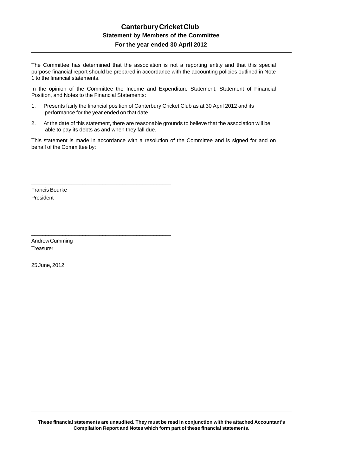The Committee has determined that the association is not a reporting entity and that this special purpose financial report should be prepared in accordance with the accounting policies outlined in Note 1 to the financial statements.

In the opinion of the Committee the Income and Expenditure Statement, Statement of Financial Position, and Notes to the Financial Statements:

1. Presents fairly the financial position of Canterbury Cricket Club as at 30 April 2012 and its performance for the year ended on that date.

\_\_\_\_\_\_\_\_\_\_\_\_\_\_\_\_\_\_\_\_\_\_\_\_\_\_\_\_\_\_\_\_\_\_\_\_\_\_\_\_\_\_\_\_\_\_\_\_\_

\_\_\_\_\_\_\_\_\_\_\_\_\_\_\_\_\_\_\_\_\_\_\_\_\_\_\_\_\_\_\_\_\_\_\_\_\_\_\_\_\_\_\_\_\_\_\_\_\_

2. At the date of this statement, there are reasonable grounds to believe that the association will be able to pay its debts as and when they fall due.

This statement is made in accordance with a resolution of the Committee and is signed for and on behalf of the Committee by:

Francis Bourke President

Andrew Cumming **Treasurer** 

25 June, 2012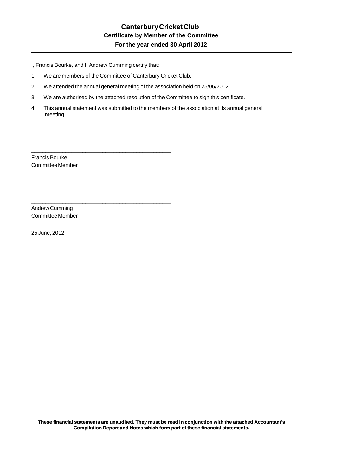I, Francis Bourke, and I, Andrew Cumming certify that:

1. We are members of the Committee of Canterbury Cricket Club.

\_\_\_\_\_\_\_\_\_\_\_\_\_\_\_\_\_\_\_\_\_\_\_\_\_\_\_\_\_\_\_\_\_\_\_\_\_\_\_\_\_\_\_\_\_\_\_\_\_

\_\_\_\_\_\_\_\_\_\_\_\_\_\_\_\_\_\_\_\_\_\_\_\_\_\_\_\_\_\_\_\_\_\_\_\_\_\_\_\_\_\_\_\_\_\_\_\_\_

- 2. We attended the annual general meeting of the association held on 25/06/2012.
- 3. We are authorised by the attached resolution of the Committee to sign this certificate.
- 4. This annual statement was submitted to the members of the association at its annual general meeting.

Francis Bourke Committee Member

Andrew Cumming Committee Member

25 June, 2012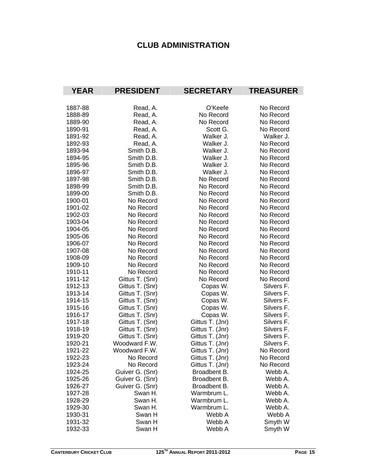## **CLUB ADMINISTRATION**

| <b>YEAR</b>        | <b>PRESIDENT</b> | <b>SECRETARY</b> | <b>TREASURER</b>   |
|--------------------|------------------|------------------|--------------------|
| 1887-88            | Read, A.         | O'Keefe          | No Record          |
| 1888-89            | Read, A.         | No Record        | No Record          |
| 1889-90            | Read, A.         | No Record        | No Record          |
| 1890-91            | Read, A.         | Scott G.         | No Record          |
| 1891-92            | Read, A.         | Walker J.        | Walker J.          |
| 1892-93            | Read, A.         | Walker J.        | No Record          |
| 1893-94            | Smith D.B.       | Walker J.        | No Record          |
| 1894-95            | Smith D.B.       | Walker J.        | No Record          |
| 1895-96            | Smith D.B.       | Walker J.        | No Record          |
| 1896-97            | Smith D.B.       | Walker J.        | No Record          |
| 1897-98            | Smith D.B.       | No Record        | No Record          |
| 1898-99            | Smith D.B.       | No Record        | No Record          |
| 1899-00            | Smith D.B.       | No Record        | No Record          |
| 1900-01            | No Record        | No Record        | No Record          |
| 1901-02            | No Record        | No Record        | No Record          |
| 1902-03            | No Record        | No Record        | No Record          |
| 1903-04            | No Record        | No Record        | No Record          |
| 1904-05            | No Record        | No Record        | No Record          |
| 1905-06            | No Record        | No Record        | No Record          |
| 1906-07            | No Record        | No Record        | No Record          |
| 1907-08            | No Record        | No Record        | No Record          |
| 1908-09            | No Record        | No Record        | No Record          |
| 1909-10            | No Record        | No Record        | No Record          |
| 1910-11            | No Record        | No Record        | No Record          |
| 1911-12            | Gittus T. (Snr)  | No Record        | No Record          |
| 1912-13            | Gittus T. (Snr)  | Copas W.         | Silvers F.         |
| 1913-14            | Gittus T. (Snr)  | Copas W.         | Silvers F.         |
| 1914-15            | Gittus T. (Snr)  | Copas W.         | Silvers F.         |
| 1915-16            | Gittus T. (Snr)  | Copas W.         | Silvers F.         |
| 1916-17            | Gittus T. (Snr)  | Copas W.         | Silvers F.         |
| 1917-18            | Gittus T. (Snr)  | Gittus T. (Jnr)  | Silvers F.         |
| 1918-19            | Gittus T. (Snr)  | Gittus T. (Jnr)  | Silvers F.         |
| 1919-20            | Gittus T. (Snr)  | Gittus T. (Jnr)  | Silvers F.         |
| 1920-21            | Woodward F.W.    | Gittus T. (Jnr)  | Silvers F.         |
| 1921-22            | Woodward F.W.    | Gittus T. (Jnr)  | No Record          |
| 1922-23            | No Record        | Gittus T. (Jnr)  | No Record          |
| 1923-24            | No Record        | Gittus T. (Jnr)  | No Record          |
| 1924-25            | Guiver G. (Snr)  | Broadbent B.     | Webb A.            |
| 1925-26            | Guiver G. (Snr)  | Broadbent B.     | Webb A.            |
| 1926-27            | Guiver G. (Snr)  | Broadbent B.     | Webb A.            |
| 1927-28            | Swan H.          | Warmbrum L.      | Webb A.            |
| 1928-29            | Swan H.          | Warmbrum L.      | Webb A.            |
| 1929-30            | Swan H.          | Warmbrum L.      | Webb A.            |
| 1930-31<br>1931-32 | Swan H<br>Swan H | Webb A<br>Webb A | Webb A             |
| 1932-33            | Swan H           | Webb A           | Smyth W<br>Smyth W |
|                    |                  |                  |                    |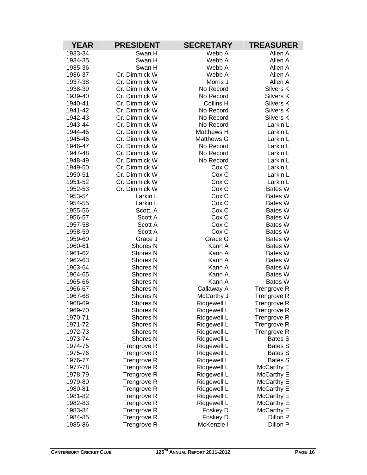| <b>YEAR</b>        | <b>PRESIDENT</b>                   | <b>SECRETARY</b>           | <b>TREASURER</b>                         |
|--------------------|------------------------------------|----------------------------|------------------------------------------|
| 1933-34            | Swan H                             | Webb A                     | Allen A                                  |
| 1934-35            | Swan H                             | Webb A                     | Allen A                                  |
| 1935-36            | Swan H                             | Webb A                     | Allen A                                  |
| 1936-37            | Cr. Dimmick W                      | Webb A                     | Allen A                                  |
| 1937-38            | Cr. Dimmick W                      | Morris J                   | Allen A                                  |
| 1938-39            | Cr. Dimmick W                      | No Record                  | Silvers K                                |
| 1939-40            | Cr. Dimmick W                      | No Record                  | Silvers K                                |
| 1940-41            | Cr. Dimmick W                      | Collins H                  | Silvers K                                |
| 1941-42            | Cr. Dimmick W                      | No Record                  | Silvers K                                |
| 1942-43            | Cr. Dimmick W                      | No Record                  | Silvers K                                |
| 1943-44            | Cr. Dimmick W                      | No Record                  | Larkin L                                 |
| 1944-45            | Cr. Dimmick W                      | <b>Matthews H</b>          | Larkin L                                 |
| 1945-46            | Cr. Dimmick W                      | <b>Matthews G</b>          | Larkin L                                 |
| 1946-47            | Cr. Dimmick W                      | No Record                  | Larkin L                                 |
| 1947-48            | Cr. Dimmick W                      | No Record                  | Larkin L                                 |
| 1948-49            | Cr. Dimmick W                      | No Record                  | Larkin L                                 |
| 1949-50            | Cr. Dimmick W                      | Cox C                      | Larkin L                                 |
| 1950-51            | Cr. Dimmick W                      | Cox C                      | Larkin L                                 |
| 1951-52            | Cr. Dimmick W                      | Cox C                      | Larkin L                                 |
| 1952-53            | Cr. Dimmick W                      | Cox C                      | Bates W                                  |
| 1953-54            | Larkin L                           | Cox C                      | Bates W                                  |
| 1954-55            | Larkin L                           | Cox C                      | <b>Bates W</b>                           |
| 1955-56            | Scott, A                           | Cox C                      | <b>Bates W</b>                           |
| 1956-57            | Scott A                            | Cox C                      | Bates W                                  |
| 1957-58            | Scott A                            | Cox C                      | <b>Bates W</b>                           |
| 1958-59            | Scott A                            | Cox C                      | <b>Bates W</b>                           |
| 1959-60            | Grace J                            | Grace G                    | Bates W                                  |
| 1960-61            | Shores <sub>N</sub>                | Kann A                     | Bates W                                  |
| 1961-62            | <b>Shores N</b>                    | Kann A                     | <b>Bates W</b>                           |
| 1962-63            | <b>Shores N</b>                    | Kann A                     | <b>Bates W</b>                           |
| 1963-64            | <b>Shores N</b>                    | Kann A                     | <b>Bates W</b>                           |
| 1964-65            | Shores <sub>N</sub>                | Kann A                     | <b>Bates W</b>                           |
| 1965-66            | <b>Shores N</b>                    | Kann A                     | Bates W                                  |
| 1966-67            | <b>Shores N</b>                    | Callaway A                 | <b>Trengrove R</b>                       |
| 1967-68            | <b>Shores N</b>                    | McCarthy J                 | <b>Trengrove R</b>                       |
| 1968-69            | <b>Shores N</b>                    | Ridgewell L                | <b>Trengrove R</b>                       |
| 1969-70            | Shores <sub>N</sub>                | Ridgewell L                | <b>Trengrove R</b>                       |
| 1970-71            | <b>Shores N</b><br><b>Shores N</b> | Ridgewell L                | Trengrove R                              |
| 1971-72<br>1972-73 | Shores N                           | Ridgewell L<br>Ridgewell L | <b>Trengrove R</b><br><b>Trengrove R</b> |
| 1973-74            | Shores N                           | Ridgewell L                | <b>Bates S</b>                           |
| 1974-75            |                                    | Ridgewell L                | <b>Bates S</b>                           |
| 1975-76            | Trengrove R<br>Trengrove R         | Ridgewell L                | Bates S                                  |
| 1976-77            | Trengrove R                        | Ridgewell L                | Bates S                                  |
| 1977-78            | Trengrove R                        | Ridgewell L                | McCarthy E                               |
| 1978-79            | Trengrove R                        | Ridgewell L                |                                          |
| 1979-80            | Trengrove R                        | Ridgewell L                | McCarthy E<br>McCarthy E                 |
| 1980-81            | Trengrove R                        | Ridgewell L                | McCarthy E                               |
| 1981-82            | Trengrove R                        | Ridgewell L                | McCarthy E                               |
| 1982-83            | Trengrove R                        | Ridgewell L                | McCarthy E                               |
| 1983-84            | Trengrove R                        | Foskey D                   | McCarthy E                               |
| 1984-85            | Trengrove R                        | Foskey D                   | Dillon P                                 |
| 1985-86            | Trengrove R                        | McKenzie I                 | Dillon P                                 |
|                    |                                    |                            |                                          |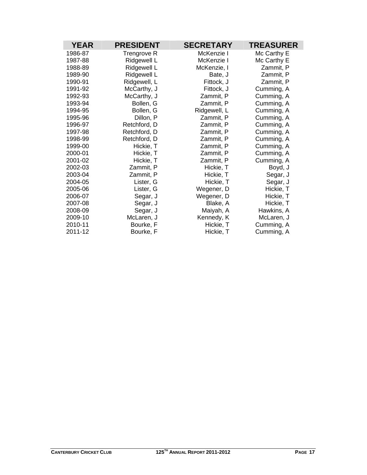| <b>PRESIDENT</b> | <b>SECRETARY</b>                               | <b>TREASURER</b>                                 |
|------------------|------------------------------------------------|--------------------------------------------------|
| Trengrove R      | McKenzie I                                     | Mc Carthy E                                      |
| Ridgewell L      | McKenzie I                                     | Mc Carthy E                                      |
| Ridgewell L      | McKenzie, I                                    | Zammit, P                                        |
| Ridgewell L      | Bate, J                                        | Zammit, P                                        |
| Ridgewell, L     | Fittock, J                                     | Zammit, P                                        |
| McCarthy, J      | Fittock, J                                     | Cumming, A                                       |
| McCarthy, J      | Zammit, P                                      | Cumming, A                                       |
| Bollen, G        | Zammit, P                                      | Cumming, A                                       |
| Bollen, G        | Ridgewell, L                                   | Cumming, A                                       |
| Dillon, P        | Zammit, P                                      | Cumming, A                                       |
| Retchford, D     | Zammit, P                                      | Cumming, A                                       |
| Retchford, D     | Zammit, P                                      | Cumming, A                                       |
| Retchford, D     | Zammit, P                                      | Cumming, A                                       |
| Hickie, T        | Zammit, P                                      | Cumming, A                                       |
| Hickie, T        | Zammit, P                                      | Cumming, A                                       |
| Hickie, T        | Zammit, P                                      | Cumming, A                                       |
| Zammit, P        | Hickie, T                                      | Boyd, J                                          |
|                  | Hickie, T                                      | Segar, J                                         |
|                  | Hickie, T                                      | Segar, J                                         |
| Lister, G        | Wegener, D                                     | Hickie, T                                        |
| Segar, J         | Wegener, D                                     | Hickie, T                                        |
|                  |                                                | Hickie, T                                        |
|                  |                                                | Hawkins, A                                       |
| McLaren, J       |                                                | McLaren, J                                       |
| Bourke, F        | Hickie, T                                      | Cumming, A                                       |
| Bourke, F        |                                                | Cumming, A                                       |
|                  | Zammit, P<br>Lister, G<br>Segar, J<br>Segar, J | Blake, A<br>Maiyah, A<br>Kennedy, K<br>Hickie, T |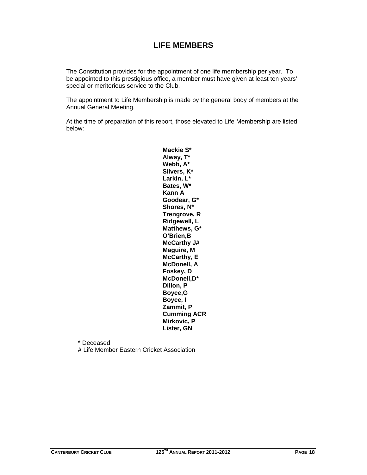## **LIFE MEMBERS**

The Constitution provides for the appointment of one life membership per year. To be appointed to this prestigious office, a member must have given at least ten years' special or meritorious service to the Club.

The appointment to Life Membership is made by the general body of members at the Annual General Meeting.

At the time of preparation of this report, those elevated to Life Membership are listed below:

> **Mackie S\* Alway, T\* Webb, A\* Silvers, K\* Larkin, L\* Bates, W\* Kann A Goodear, G\* Shores, N\* Trengrove, R Ridgewell, L Matthews, G\* O'Brien,B McCarthy J# Maguire, M McCarthy, E McDonell, A Foskey, D McDonell,D\* Dillon, P Boyce,G Boyce, I Zammit, P Cumming ACR Mirkovic, P Lister, GN**

 \* Deceased # Life Member Eastern Cricket Association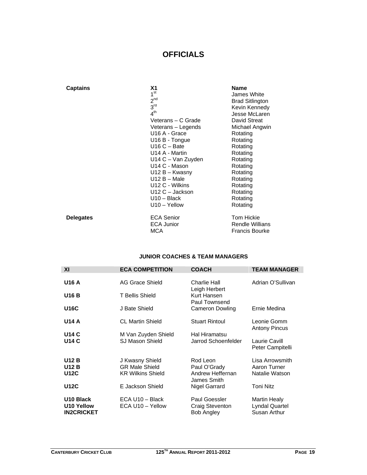## **OFFICIALS**

| <b>Captains</b>  | Χ1<br>1 <sup>st</sup><br>2 <sup>nd</sup><br>3 <sup>rd</sup><br>4 <sup>th</sup><br>Veterans - C Grade<br>Veterans – Legends<br>U <sub>16</sub> A - Grace<br>U16 B - Tongue<br>$U16C - Bate$<br>U14 A - Martin<br>U14 C - Van Zuyden<br>U14 C - Mason<br>$U12 B - Kwasny$<br>$U12 B - Male$<br>U12 C - Wilkins<br>$U12 C - Jackson$<br>$U10 - Black$<br>$U10 - Y$ ellow | <b>Name</b><br>James White<br><b>Brad Sitlington</b><br>Kevin Kennedy<br>Jesse McLaren<br>David Streat<br>Michael Angwin<br>Rotating<br>Rotating<br>Rotating<br>Rotating<br>Rotating<br>Rotating<br>Rotating<br>Rotating<br>Rotating<br>Rotating<br>Rotating<br>Rotating |
|------------------|-----------------------------------------------------------------------------------------------------------------------------------------------------------------------------------------------------------------------------------------------------------------------------------------------------------------------------------------------------------------------|--------------------------------------------------------------------------------------------------------------------------------------------------------------------------------------------------------------------------------------------------------------------------|
| <b>Delegates</b> | <b>ECA Senior</b><br><b>ECA Junior</b><br><b>MCA</b>                                                                                                                                                                                                                                                                                                                  | <b>Tom Hickie</b><br><b>Rendle Willians</b><br><b>Francis Bourke</b>                                                                                                                                                                                                     |

#### **JUNIOR COACHES & TEAM MANAGERS**

| XI                                           | <b>ECA COMPETITION</b>              | <b>COACH</b>                                   | <b>TEAM MANAGER</b>                                   |
|----------------------------------------------|-------------------------------------|------------------------------------------------|-------------------------------------------------------|
| <b>U16 A</b>                                 | AG Grace Shield                     | Charlie Hall<br>Leigh Herbert                  | Adrian O'Sullivan                                     |
| <b>U16 B</b>                                 | T Bellis Shield                     | Kurt Hansen<br>Paul Townsend                   |                                                       |
| <b>U16C</b>                                  | J Bate Shield                       | <b>Cameron Dowling</b>                         | Ernie Medina                                          |
| <b>U14 A</b>                                 | <b>CL Martin Shield</b>             | <b>Stuart Rintoul</b>                          | Leonie Gomm<br>Antony Pincus                          |
| <b>U14 C</b>                                 | M Van Zuyden Shield                 | Hal Hiramatsu                                  |                                                       |
| <b>U14 C</b>                                 | SJ Mason Shield                     | Jarrod Schoenfelder                            | Laurie Cavill<br>Peter Campitelli                     |
| <b>U12 B</b>                                 | J Kwasny Shield                     | Rod Leon                                       | Lisa Arrowsmith                                       |
| <b>U12 B</b>                                 | <b>GR Male Shield</b>               | Paul O'Grady                                   | Aaron Turner                                          |
| <b>U12C</b>                                  | <b>KR Wilkins Shield</b>            | Andrew Heffernan<br>James Smith                | Natalie Watson                                        |
| <b>U12C</b>                                  | E Jackson Shield                    | Nigel Garrard                                  | <b>Toni Nitz</b>                                      |
| U10 Black<br>U10 Yellow<br><b>IN2CRICKET</b> | ECA U10 - Black<br>ECA U10 - Yellow | Paul Goessler<br>Craig Steventon<br>Bob Angley | <b>Martin Healy</b><br>Lyndal Quartel<br>Susan Arthur |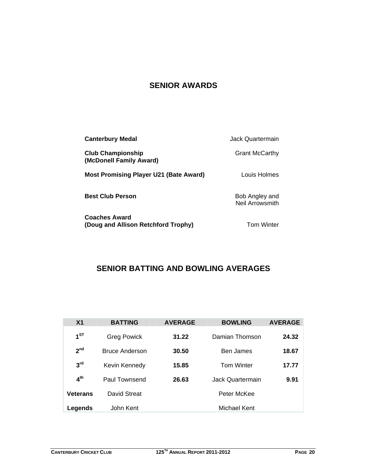## **SENIOR AWARDS**

| <b>Canterbury Medal</b>                                     | Jack Quartermain                  |
|-------------------------------------------------------------|-----------------------------------|
| <b>Club Championship</b><br>(McDonell Family Award)         | <b>Grant McCarthy</b>             |
| <b>Most Promising Player U21 (Bate Award)</b>               | Louis Holmes                      |
| <b>Best Club Person</b>                                     | Bob Angley and<br>Neil Arrowsmith |
| <b>Coaches Award</b><br>(Doug and Allison Retchford Trophy) | <b>Tom Winter</b>                 |

## **SENIOR BATTING AND BOWLING AVERAGES**

| X <sub>1</sub>  | <b>BATTING</b>        | <b>AVERAGE</b> | <b>BOWLING</b>    | <b>AVERAGE</b> |
|-----------------|-----------------------|----------------|-------------------|----------------|
| $1^{ST}$        | <b>Greg Powick</b>    | 31.22          | Damian Thomson    | 24.32          |
| 2 <sup>nd</sup> | <b>Bruce Anderson</b> | 30.50          | <b>Ben James</b>  | 18.67          |
| 3 <sup>rd</sup> | Kevin Kennedy         | 15.85          | <b>Tom Winter</b> | 17.77          |
| 4 <sup>th</sup> | Paul Townsend         | 26.63          | Jack Quartermain  | 9.91           |
| <b>Veterans</b> | David Streat          |                | Peter McKee       |                |
| Legends         | John Kent             |                | Michael Kent      |                |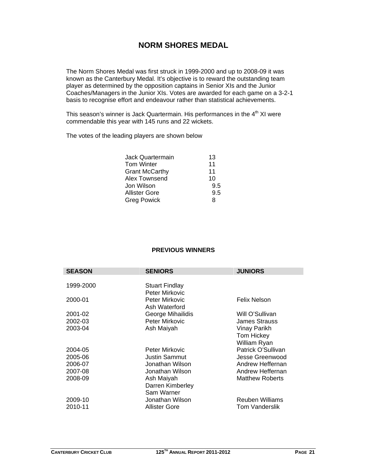## **NORM SHORES MEDAL**

The Norm Shores Medal was first struck in 1999-2000 and up to 2008-09 it was known as the Canterbury Medal. It's objective is to reward the outstanding team player as determined by the opposition captains in Senior XIs and the Junior Coaches/Managers in the Junior XIs. Votes are awarded for each game on a 3-2-1 basis to recognise effort and endeavour rather than statistical achievements.

This season's winner is Jack Quartermain. His performances in the  $4<sup>th</sup>$  XI were commendable this year with 145 runs and 22 wickets.

The votes of the leading players are shown below

| Jack Quartermain      | 13  |
|-----------------------|-----|
| Tom Winter            | 11  |
| <b>Grant McCarthy</b> | 11  |
| Alex Townsend         | 10  |
| Jon Wilson            | 9.5 |
| Allister Gore         | 9.5 |
| Greg Powick           | 8   |

#### **PREVIOUS WINNERS**

| <b>SEASON</b> | <b>SENIORS</b>                   | <b>JUNIORS</b>         |
|---------------|----------------------------------|------------------------|
|               |                                  |                        |
| 1999-2000     | <b>Stuart Findlay</b>            |                        |
| 2000-01       | Peter Mirkovic<br>Peter Mirkovic | Felix Nelson           |
|               | Ash Waterford                    |                        |
| 2001-02       | George Mihailidis                | Will O'Sullivan        |
| 2002-03       | Peter Mirkovic                   | James Strauss          |
| 2003-04       | Ash Maiyah                       | Vinay Parikh           |
|               |                                  | Tom Hickey             |
|               |                                  | William Ryan           |
| 2004-05       | Peter Mirkovic                   | Patrick O'Sullivan     |
| 2005-06       | <b>Justin Sammut</b>             | Jesse Greenwood        |
| 2006-07       | Jonathan Wilson                  | Andrew Heffernan       |
| 2007-08       | Jonathan Wilson                  | Andrew Heffernan       |
| 2008-09       | Ash Maiyah                       | <b>Matthew Roberts</b> |
|               | Darren Kimberley                 |                        |
|               | Sam Warner                       |                        |
| 2009-10       | Jonathan Wilson                  | Reuben Williams        |
| 2010-11       | Allister Gore                    | Tom Vanderslik         |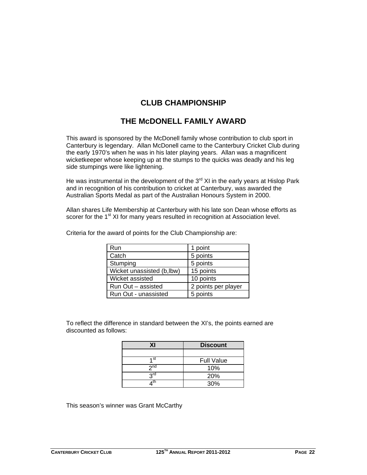## **CLUB CHAMPIONSHIP**

## **THE McDONELL FAMILY AWARD**

This award is sponsored by the McDonell family whose contribution to club sport in Canterbury is legendary. Allan McDonell came to the Canterbury Cricket Club during the early 1970's when he was in his later playing years. Allan was a magnificent wicketkeeper whose keeping up at the stumps to the quicks was deadly and his leg side stumpings were like lightening.

He was instrumental in the development of the  $3<sup>rd</sup>$  XI in the early years at Hislop Park and in recognition of his contribution to cricket at Canterbury, was awarded the Australian Sports Medal as part of the Australian Honours System in 2000.

Allan shares Life Membership at Canterbury with his late son Dean whose efforts as scorer for the 1<sup>st</sup> XI for many years resulted in recognition at Association level.

| <b>Run</b>                 | 1 point             |
|----------------------------|---------------------|
| Catch                      | 5 points            |
| Stumping                   | 5 points            |
| Wicket unassisted (b, lbw) | 15 points           |
| Wicket assisted            | 10 points           |
| Run Out - assisted         | 2 points per player |
| Run Out - unassisted       | 5 points            |

Criteria for the award of points for the Club Championship are:

To reflect the difference in standard between the XI's, the points earned are discounted as follows:

| ΧI              | <b>Discount</b>   |  |
|-----------------|-------------------|--|
|                 |                   |  |
| 1st             | <b>Full Value</b> |  |
| 2 <sub>nd</sub> | 10%               |  |
| <b>PLC</b>      | 20%               |  |
|                 | 30%               |  |

This season's winner was Grant McCarthy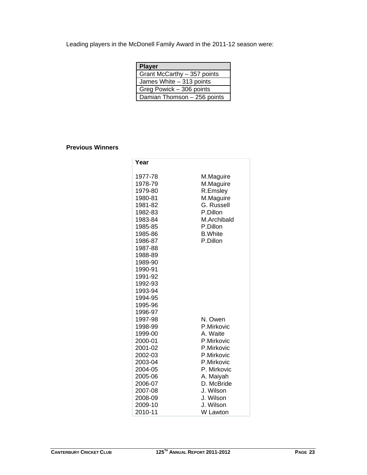Leading players in the McDonell Family Award in the 2011-12 season were:

| <b>Player</b>               |
|-----------------------------|
| Grant McCarthy - 357 points |
| James White - 313 points    |
| Greg Powick - 306 points    |
| Damian Thomson - 256 points |

#### **Previous Winners**

| Year               |                        |
|--------------------|------------------------|
| 1977-78            |                        |
| 1978-79            | M.Maguire<br>M.Maguire |
| 1979-80            | R.Emsley               |
| 1980-81            | M.Maguire              |
| 1981-82            | G. Russell             |
| 1982-83            | P.Dillon               |
| 1983-84            | M.Archibald            |
| 1985-85            | P.Dillon               |
| 1985-86            | <b>B.White</b>         |
| 1986-87            | P.Dillon               |
| 1987-88            |                        |
| 1988-89            |                        |
| 1989-90            |                        |
| 1990-91            |                        |
| 1991-92            |                        |
| 1992-93            |                        |
| 1993-94            |                        |
| 1994-95            |                        |
| 1995-96            |                        |
| 1996-97            |                        |
| 1997-98            | N. Owen                |
| 1998-99            | P.Mirkovic<br>A. Waite |
| 1999-00<br>2000-01 | P.Mirkovic             |
| 2001-02            | P.Mirkovic             |
| 2002-03            | P.Mirkovic             |
| 2003-04            | P.Mirkovic             |
| 2004-05            | P. Mirkovic            |
| 2005-06            | A. Maiyah              |
| 2006-07            | D. McBride             |
| 2007-08            | J. Wilson              |
| 2008-09            | J. Wilson              |
| 2009-10            | J. Wilson              |
| 2010-11            | W Lawton               |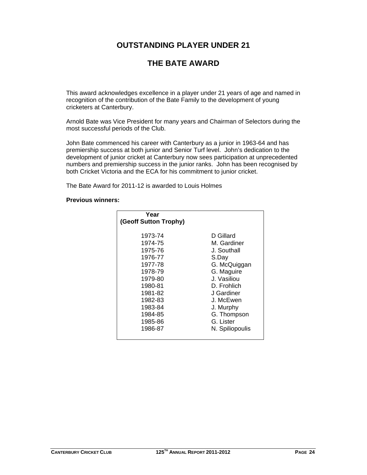## **OUTSTANDING PLAYER UNDER 21**

## **THE BATE AWARD**

This award acknowledges excellence in a player under 21 years of age and named in recognition of the contribution of the Bate Family to the development of young cricketers at Canterbury.

Arnold Bate was Vice President for many years and Chairman of Selectors during the most successful periods of the Club.

John Bate commenced his career with Canterbury as a junior in 1963-64 and has premiership success at both junior and Senior Turf level. John's dedication to the development of junior cricket at Canterbury now sees participation at unprecedented numbers and premiership success in the junior ranks. John has been recognised by both Cricket Victoria and the ECA for his commitment to junior cricket.

The Bate Award for 2011-12 is awarded to Louis Holmes

#### **Previous winners:**

| Year<br>(Geoff Sutton Trophy)                                                                                                                          |                                                                                                                                                                                                     |
|--------------------------------------------------------------------------------------------------------------------------------------------------------|-----------------------------------------------------------------------------------------------------------------------------------------------------------------------------------------------------|
| 1973-74<br>1974-75<br>1975-76<br>1976-77<br>1977-78<br>1978-79<br>1979-80<br>1980-81<br>1981-82<br>1982-83<br>1983-84<br>1984-85<br>1985-86<br>1986-87 | D Gillard<br>M. Gardiner<br>J. Southall<br>S.Day<br>G. McQuiggan<br>G. Maguire<br>J. Vasiliou<br>D. Frohlich<br>J Gardiner<br>J. McEwen<br>J. Murphy<br>G. Thompson<br>G. Lister<br>N. Spiliopoulis |
|                                                                                                                                                        |                                                                                                                                                                                                     |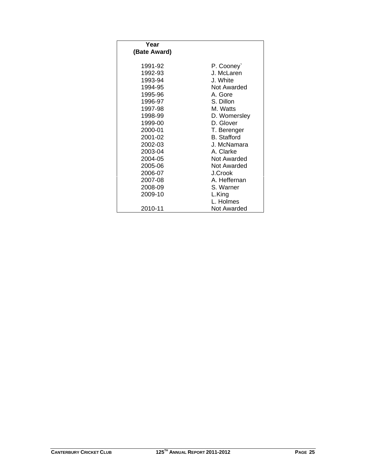| Year         |                    |
|--------------|--------------------|
| (Bate Award) |                    |
| 1991-92      | P. Cooney          |
| 1992-93      | J. McLaren         |
| 1993-94      | J. White           |
| 1994-95      | Not Awarded        |
| 1995-96      | A. Gore            |
| 1996-97      | S. Dillon          |
| 1997-98      | M. Watts           |
| 1998-99      | D. Womersley       |
| 1999-00      | D. Glover          |
| 2000-01      | T. Berenger        |
| 2001-02      | <b>B.</b> Stafford |
| 2002-03      | J. McNamara        |
| 2003-04      | A. Clarke          |
| 2004-05      | Not Awarded        |
| 2005-06      | Not Awarded        |
| 2006-07      | J.Crook            |
| 2007-08      | A. Heffernan       |
| 2008-09      | S. Warner          |
| 2009-10      | L.King             |
|              | L. Holmes          |
| 2010-11      | Not Awarded        |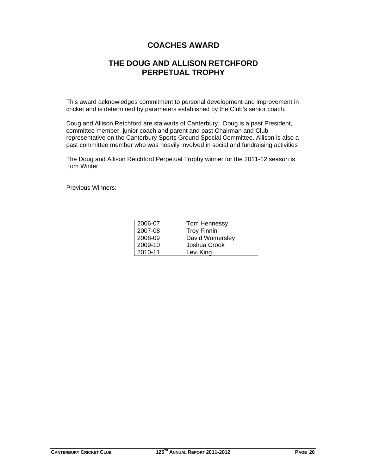## **COACHES AWARD**

## **THE DOUG AND ALLISON RETCHFORD PERPETUAL TROPHY**

This award acknowledges commitment to personal development and improvement in cricket and is determined by parameters established by the Club's senior coach.

Doug and Allison Retchford are stalwarts of Canterbury. Doug is a past President, committee member, junior coach and parent and past Chairman and Club representative on the Canterbury Sports Ground Special Committee. Allison is also a past committee member who was heavily involved in social and fundraising activities

The Doug and Allison Retchford Perpetual Trophy winner for the 2011-12 season is Tom Winter.

Previous Winners:

| 2006-07 | Tom Hennessy       |
|---------|--------------------|
| 2007-08 | <b>Troy Finnin</b> |
| 2008-09 | David Womersley    |
| 2009-10 | Joshua Crook       |
| 2010-11 | Levi King          |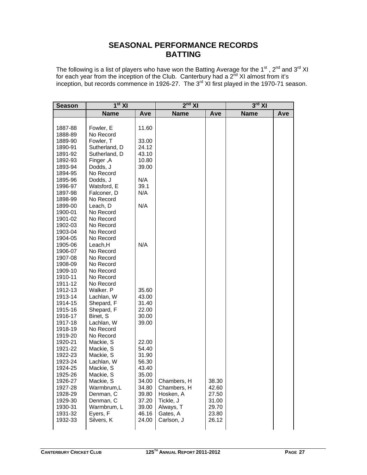## **SEASONAL PERFORMANCE RECORDS BATTING**

The following is a list of players who have won the Batting Average for the 1<sup>st</sup>, 2<sup>nd</sup> and 3<sup>rd</sup> XI for each year from the inception of the Club. Canterbury had a  $2^{\overline{n}d}$  XI almost from it's inception, but records commence in 1926-27. The 3<sup>rd</sup> XI first played in the 1970-71 season.

| <b>Season</b>      | 1 <sup>st</sup> XI     |                | $2^{nd}$ XI |       | $3^{\text{rd}}$ XI |     |  |
|--------------------|------------------------|----------------|-------------|-------|--------------------|-----|--|
|                    | <b>Name</b>            | Ave            | <b>Name</b> | Ave   | <b>Name</b>        | Ave |  |
|                    |                        |                |             |       |                    |     |  |
| 1887-88            | Fowler, E              | 11.60          |             |       |                    |     |  |
| 1888-89            | No Record              |                |             |       |                    |     |  |
| 1889-90            | Fowler, T              | 33.00          |             |       |                    |     |  |
| 1890-91            | Sutherland, D          | 24.12          |             |       |                    |     |  |
| 1891-92            | Sutherland, D          | 43.10          |             |       |                    |     |  |
| 1892-93            | Finger, A              | 10.80          |             |       |                    |     |  |
| 1893-94            | Dodds, J               | 39.00          |             |       |                    |     |  |
| 1894-95            | No Record              |                |             |       |                    |     |  |
| 1895-96            | Dodds, J               | N/A            |             |       |                    |     |  |
| 1996-97            | Watsford, E            | 39.1           |             |       |                    |     |  |
| 1897-98            | Falconer, D            | N/A            |             |       |                    |     |  |
| 1898-99            | No Record              |                |             |       |                    |     |  |
| 1899-00            | Leach, D               | N/A            |             |       |                    |     |  |
| 1900-01            | No Record              |                |             |       |                    |     |  |
| 1901-02            | No Record              |                |             |       |                    |     |  |
| 1902-03            | No Record              |                |             |       |                    |     |  |
| 1903-04            | No Record              |                |             |       |                    |     |  |
| 1904-05            | No Record              |                |             |       |                    |     |  |
| 1905-06            | Leach, H               | N/A            |             |       |                    |     |  |
| 1906-07            | No Record              |                |             |       |                    |     |  |
| 1907-08            | No Record              |                |             |       |                    |     |  |
| 1908-09            | No Record              |                |             |       |                    |     |  |
| 1909-10            | No Record              |                |             |       |                    |     |  |
| 1910-11            | No Record              |                |             |       |                    |     |  |
| 1911-12            | No Record              |                |             |       |                    |     |  |
| 1912-13            | Walker. P              | 35.60          |             |       |                    |     |  |
| 1913-14            | Lachlan, W             | 43.00          |             |       |                    |     |  |
| 1914-15            | Shepard, F             | 31.40          |             |       |                    |     |  |
| 1915-16            | Shepard, F             | 22.00          |             |       |                    |     |  |
| 1916-17            | Binet, S               | 30.00          |             |       |                    |     |  |
| 1917-18            | Lachlan, W             | 39.00          |             |       |                    |     |  |
| 1918-19            | No Record              |                |             |       |                    |     |  |
| 1919-20            | No Record              |                |             |       |                    |     |  |
| 1920-21            | Mackie, S              | 22.00          |             |       |                    |     |  |
| 1921-22            | Mackie, S              | 54.40          |             |       |                    |     |  |
| 1922-23            | Mackie, S              | 31.90          |             |       |                    |     |  |
| 1923-24            | Lachlan, W             | 56.30          |             |       |                    |     |  |
| 1924-25            | Mackie, S<br>Mackie, S | 43.40<br>35.00 |             |       |                    |     |  |
| 1925-26<br>1926-27 | Mackie, S              | 34.00          | Chambers, H | 38.30 |                    |     |  |
| 1927-28            | Warmbrum,L             | 34.80          | Chambers, H | 42.60 |                    |     |  |
| 1928-29            | Denman, C              | 39.80          | Hosken, A   | 27.50 |                    |     |  |
| 1929-30            | Denman, C              | 37.20          | Tickle, J   | 31.00 |                    |     |  |
| 1930-31            | Warmbrum, L            | 39.00          | Always, T   | 29.70 |                    |     |  |
| 1931-32            | Eyers, F               | 46.16          | Gates, A    | 23.80 |                    |     |  |
| 1932-33            | Silvers, K             | 24.00          | Carlson, J  | 26.12 |                    |     |  |
|                    |                        |                |             |       |                    |     |  |
|                    |                        |                |             |       |                    |     |  |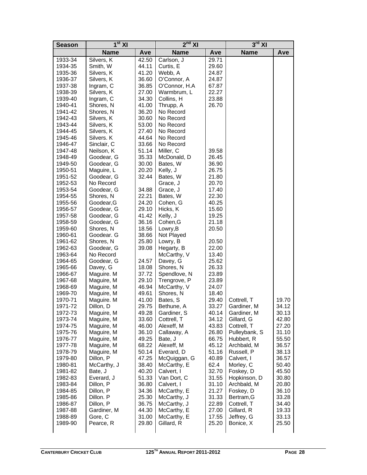| <b>Season</b>      | $1st$ XI                 |                | $2nd$ XI                   |                | $3^{\text{rd}}$ XI        |                |  |
|--------------------|--------------------------|----------------|----------------------------|----------------|---------------------------|----------------|--|
|                    | <b>Name</b>              | Ave            | <b>Name</b>                | Ave            | <b>Name</b>               | Ave            |  |
| 1933-34            | Silvers, K               | 42.50          | Carlson, J                 | 29.71          |                           |                |  |
| 1934-35            | Smith, W                 | 44.11          | Curtis, E                  | 29.60          |                           |                |  |
| 1935-36            | Silvers, K               | 41.20          | Webb, A                    | 24.87          |                           |                |  |
| 1936-37            | Silvers, K               | 36.60          | O'Connor, A                | 24.87          |                           |                |  |
| 1937-38            | Ingram, C                | 36.85          | O'Connor, H.A              | 67.87          |                           |                |  |
| 1938-39            | Silvers, K               | 27.00          | Warmbrum, L                | 22.27          |                           |                |  |
| 1939-40            | Ingram, C                | 34.30          | Collins, H                 | 23.88          |                           |                |  |
| 1940-41            | Shores, N                | 41.00          | Thrupp, A                  | 26.70          |                           |                |  |
| 1941-42            | Shores, N                | 36.20          | No Record                  |                |                           |                |  |
| 1942-43            | Silvers, K               | 30.60          | No Record                  |                |                           |                |  |
| 1943-44            | Silvers, K               | 53.00          | No Record                  |                |                           |                |  |
| 1944-45            | Silvers, K               | 27.40          | No Record                  |                |                           |                |  |
| 1945-46            | Silvers. K               | 44.64          | No Record                  |                |                           |                |  |
| 1946-47            | Sinclair, C              | 33.66          | No Record                  |                |                           |                |  |
| 1947-48            | Neilson, K               | 51.14          | Miller, C                  | 39.58          |                           |                |  |
| 1948-49            | Goodear, G               | 35.33          | McDonald, D                | 26.45          |                           |                |  |
| 1949-50            | Goodear, G               | 30.00          | Bates, W                   | 36.90          |                           |                |  |
| 1950-51            | Maguire, L               | 20.20          | Kelly, J                   | 26.75          |                           |                |  |
| 1951-52            | Goodear, G               | 32.44          | Bates, W                   | 21.80          |                           |                |  |
| 1952-53            | No Record                |                | Grace, J                   | 20.70          |                           |                |  |
| 1953-54            | Goodear, G               | 34.88          | Grace, J                   | 17.40          |                           |                |  |
| 1954-55            | Shores, N                | 22.21          | Bates, W                   | 22.30          |                           |                |  |
| 1955-56            | Goodear, G               | 24.20          | Cohen, G                   | 40.25          |                           |                |  |
| 1956-57            | Goodear, G               | 29.10          | Hicks, K                   | 15.60          |                           |                |  |
| 1957-58            | Goodear, G<br>Goodear, G | 41.42<br>36.16 | Kelly, J                   | 19.25<br>21.18 |                           |                |  |
| 1958-59<br>1959-60 | Shores, N                | 18.56          | Cohen, G<br>Lowry, B       | 20.50          |                           |                |  |
| 1960-61            | Goodear. G               | 38.66          | Not Played                 |                |                           |                |  |
| 1961-62            | Shores, N                | 25.80          | Lowry, B                   | 20.50          |                           |                |  |
| 1962-63            | Goodear, G               | 39.08          | Hegarty, B                 | 22.00          |                           |                |  |
| 1963-64            | No Record                |                | McCarthy, V                | 13.40          |                           |                |  |
| 1964-65            | Goodear, G               | 24.57          | Davey, G                   | 25.62          |                           |                |  |
| 1965-66            | Davey, G                 | 18.08          | Shores, N                  | 26.33          |                           |                |  |
| 1966-67            | Maguire. M               | 37.72          | Spendlove, N               | 23.89          |                           |                |  |
| 1967-68            | Maguire, M               | 29.10          | Trengrove, P               | 23.89          |                           |                |  |
| 1968-69            | Maguire, M               | 46.94          | McCarthy, V                | 24.07          |                           |                |  |
| 1969-70            | Maguire, M               | 49.61          | Shores, N                  | 18.40          |                           |                |  |
| 1970-71            | Maguire. M               | 41.00          | Bates, S                   | 29.40          | Cottrell, T               | 19.70          |  |
| 1971-72            | Dillon, D                | 29.75          | Bethune, A                 | 33.27          | Gardiner, M               | 34.12          |  |
| 1972-73            | Maguire, M               | 49.28          | Gardiner, S                | 40.14          | Gardiner, M               | 30.13          |  |
| 1973-74            | Maguire, M               | 33.60          | Cottrell, T                | 34.12          | Gillard, G                | 42.80          |  |
| 1974-75            | Maguire, M               | 46.00          | Alexeff, M                 | 43.83          | Cottrell, T               | 27.20          |  |
| 1975-76            | Maguire, M               | 36.10          | Callaway, A                | 26.80          | Pulleybank, S             | 31.10          |  |
| 1976-77            | Maguire, M               | 49.25          | Bate, J                    | 66.75          | Hubbert, R                | 55.50          |  |
| 1977-78            | Maguire, M               | 68.22          | Alexeff, M                 | 45.12          | Archbald, M               | 36.57          |  |
| 1978-79            | Maguire, M               | 50.14          | Everard, D                 | 51.16          | Russell, P                | 38.13          |  |
| 1979-80            | Dillon, P                | 47.25          | McQuiggan, G               | 40.89          | Calvert, I                | 36.57          |  |
| 1980-81            | McCarthy, J              | 38.40          | McCarthy, E                | 62.4           | Morley, C                 | 50.40          |  |
| 1981-82            | Bate, J                  | 40.20          | Calvert, I                 | 32.70          | Foskey, D                 | 45.50          |  |
| 1982-83            | Everard, J               | 51.33          | Van Dort, C                | 31.55          | Hopkinson, D              | 30.80          |  |
| 1983-84            | Dillon, P                | 36.80          | Calvert, I                 | 31.10          | Archbald, M               | 20.80          |  |
| 1984-85            | Dillon, P                | 34.36          | McCarthy, E                | 21.27          | Foskey, D                 | 36.10          |  |
| 1985-86            | Dillon. P<br>Dillon, P   | 25.30          | McCarthy, J<br>McCarthy, J | 31.33<br>22.89 | Bertram, G                | 33.28          |  |
| 1986-87<br>1987-88 | Gardiner, M              | 36.75<br>44.30 | McCarthy, E                | 27.00          | Cottrell, T<br>Gillard, R | 34.40<br>19.33 |  |
| 1988-89            | Gore, C                  | 31.00          | McCarthy, E                | 17.55          | Jeffrey, G                | 33.13          |  |
| 1989-90            | Pearce, R                | 29.80          | Gillard, R                 | 25.20          | Bonice, X                 | 25.50          |  |
|                    |                          |                |                            |                |                           |                |  |
|                    |                          |                |                            |                |                           |                |  |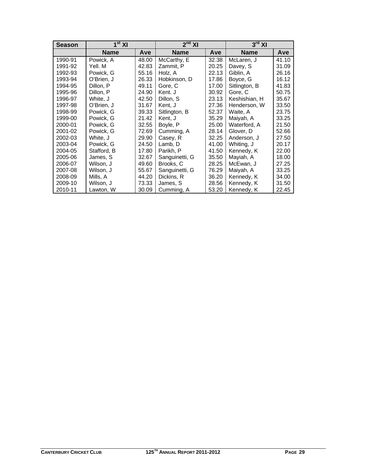| <b>Season</b> | $1st$ XI    |       | $2nd$ XI       |       | $3rd$ XI      |       |  |
|---------------|-------------|-------|----------------|-------|---------------|-------|--|
|               | <b>Name</b> | Ave   | <b>Name</b>    | Ave   | <b>Name</b>   | Ave   |  |
| 1990-91       | Powick, A   | 48.00 | McCarthy, E    | 32.38 | McLaren, J    | 41.10 |  |
| 1991-92       | Yell. M     | 42.83 | Zammit, P      | 20.25 | Davey, S      | 31.09 |  |
| 1992-93       | Powick, G   | 55.16 | Holz. A        | 22.13 | Giblin, A     | 26.16 |  |
| 1993-94       | O'Brien, J  | 26.33 | Hobkinson, D   | 17.86 | Boyce, G      | 16.12 |  |
| 1994-95       | Dillon, P   | 49.11 | Gore, C        | 17.00 | Sitlington, B | 41.83 |  |
| 1995-96       | Dillon, P   | 24.90 | Kent. J        | 30.92 | Gore, C       | 50.75 |  |
| 1996-97       | White, J    | 42.50 | Dillon, S      | 23.13 | Keshishian, H | 35.67 |  |
| 1997-98       | O'Brien, J  | 31.67 | Kent, J        | 27.36 | Henderson, W  | 33.50 |  |
| 1998-99       | Powick, G   | 39.33 | Sitlington, B  | 52.37 | Waite, A      | 23.75 |  |
| 1999-00       | Powick, G   | 21.42 | Kent, J        | 35.29 | Maiyah, A     | 33.25 |  |
| 2000-01       | Powick, G   | 32.55 | Boyle, P       | 25.00 | Waterford, A  | 21.50 |  |
| 2001-02       | Powick, G   | 72.69 | Cumming, A     | 28.14 | Glover, D     | 52.66 |  |
| 2002-03       | White, J    | 29.90 | Casey, R       | 32.25 | Anderson, J   | 27.50 |  |
| 2003-04       | Powick, G   | 24.50 | Lamb, D        | 41.00 | Whiting, J    | 20.17 |  |
| 2004-05       | Stafford, B | 17.80 | Parikh, P      | 41.50 | Kennedy, K    | 22.00 |  |
| 2005-06       | James, S    | 32.67 | Sanguinetti, G | 35.50 | Mayiah, A     | 18.00 |  |
| 2006-07       | Wilson, J   | 49.60 | Brooks, C      | 28.25 | McEwan, J     | 27.25 |  |
| 2007-08       | Wilson, J   | 55.67 | Sanguinetti, G | 76.29 | Maiyah, A     | 33.25 |  |
| 2008-09       | Mills, A    | 44.20 | Dickins, R     | 36.20 | Kennedy, K    | 34.00 |  |
| 2009-10       | Wilson, J   | 73.33 | James, S       | 28.56 | Kennedy, K    | 31.50 |  |
| 2010-11       | Lawton, W   | 30.09 | Cumming, A     | 53.20 | Kennedy, K    | 22.45 |  |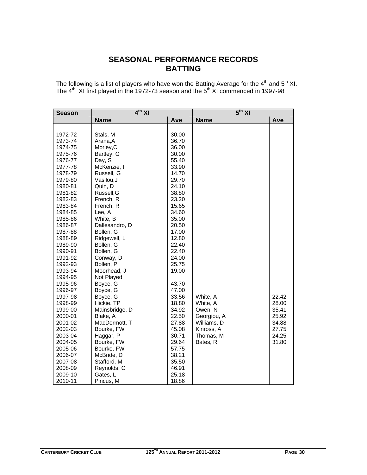## **SEASONAL PERFORMANCE RECORDS BATTING**

The following is a list of players who have won the Batting Average for the  $4^{\text{th}}$  and  $5^{\text{th}}$  XI. The  $4^{\text{th}}$  XI first played in the 1972-73 season and the  $5^{\text{th}}$  XI commenced in 1997-98

| <b>Season</b> | $4th$ XI       |       | $5th$ XI    |       |  |  |
|---------------|----------------|-------|-------------|-------|--|--|
|               | <b>Name</b>    | Ave   | <b>Name</b> | Ave   |  |  |
|               |                |       |             |       |  |  |
| 1972-72       | Stals, M       | 30.00 |             |       |  |  |
| 1973-74       | Arana, A       | 36.70 |             |       |  |  |
| 1974-75       | Morley, C      | 36.00 |             |       |  |  |
| 1975-76       | Bartley, G     | 30.00 |             |       |  |  |
| 1976-77       | Day, S         | 55.40 |             |       |  |  |
| 1977-78       | McKenzie, I    | 33.90 |             |       |  |  |
| 1978-79       | Russell, G     | 14.70 |             |       |  |  |
| 1979-80       | Vasilou, J     | 29.70 |             |       |  |  |
| 1980-81       | Quin, D        | 24.10 |             |       |  |  |
| 1981-82       | Russell, G     | 38.80 |             |       |  |  |
| 1982-83       | French, R      | 23.20 |             |       |  |  |
| 1983-84       | French, R      | 15.65 |             |       |  |  |
| 1984-85       | Lee, A         | 34.60 |             |       |  |  |
| 1985-86       | White, B       | 35.00 |             |       |  |  |
| 1986-87       | Dallesandro, D | 20.50 |             |       |  |  |
| 1987-88       | Bollen, G      | 17.00 |             |       |  |  |
| 1988-89       | Ridgewell, L   | 12.80 |             |       |  |  |
| 1989-90       | Bollen, G      | 22.40 |             |       |  |  |
| 1990-91       | Bollen, G      | 22.40 |             |       |  |  |
| 1991-92       | Conway, D      | 24.00 |             |       |  |  |
| 1992-93       | Bollen, P      | 25.75 |             |       |  |  |
| 1993-94       | Moorhead, J    | 19.00 |             |       |  |  |
| 1994-95       | Not Played     |       |             |       |  |  |
| 1995-96       | Boyce, G       | 43.70 |             |       |  |  |
| 1996-97       | Boyce, G       | 47.00 |             |       |  |  |
| 1997-98       | Boyce, G       | 33.56 | White, A    | 22.42 |  |  |
| 1998-99       | Hickie, TP     | 18.80 | White, A    | 28.00 |  |  |
| 1999-00       | Mainsbridge, D | 34.92 | Owen, N     | 35.41 |  |  |
| 2000-01       | Blake, A       | 22.50 | Georgiou, A | 25.92 |  |  |
| 2001-02       | MacDermott, T  | 27.88 | Williams, D | 34.88 |  |  |
| 2002-03       | Bourke, FW     | 45.08 | Kinross, A  | 27.75 |  |  |
| 2003-04       | Haggar, P      | 30.71 | Thomas, M   | 24.25 |  |  |
| 2004-05       | Bourke, FW     | 29.64 | Bates, R    | 31.80 |  |  |
| 2005-06       | Bourke, FW     | 57.75 |             |       |  |  |
| 2006-07       | McBride, D     | 38.21 |             |       |  |  |
| 2007-08       | Stafford, M    | 35.50 |             |       |  |  |
| 2008-09       | Reynolds, C    | 46.91 |             |       |  |  |
| 2009-10       | Gates, L       | 25.18 |             |       |  |  |
| 2010-11       | Pincus, M      | 18.86 |             |       |  |  |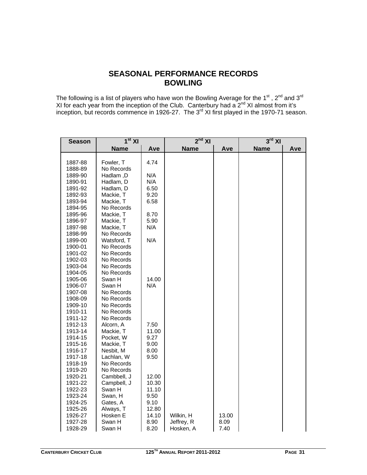## **SEASONAL PERFORMANCE RECORDS BOWLING**

The following is a list of players who have won the Bowling Average for the 1<sup>st</sup> , 2<sup>nd</sup> and 3<sup>rd</sup> XI for each year from the inception of the Club. Canterbury had a  $2^{nd}$  XI almost from it's inception, but records commence in 1926-27. The 3<sup>rd</sup> XI first played in the 1970-71 season.

| <b>Season</b>                                                                                                                                                                                                 | $1st$ XI                                                                                                                                                                                                                          |                                                                                                                            | $2nd$ XI                             |                       | $3^{\text{rd}}$ XI |     |
|---------------------------------------------------------------------------------------------------------------------------------------------------------------------------------------------------------------|-----------------------------------------------------------------------------------------------------------------------------------------------------------------------------------------------------------------------------------|----------------------------------------------------------------------------------------------------------------------------|--------------------------------------|-----------------------|--------------------|-----|
|                                                                                                                                                                                                               | <b>Name</b>                                                                                                                                                                                                                       | Ave                                                                                                                        | <b>Name</b>                          | Ave                   | <b>Name</b>        | Ave |
|                                                                                                                                                                                                               |                                                                                                                                                                                                                                   |                                                                                                                            |                                      |                       |                    |     |
| 1887-88                                                                                                                                                                                                       | Fowler, T                                                                                                                                                                                                                         | 4.74                                                                                                                       |                                      |                       |                    |     |
| 1888-89                                                                                                                                                                                                       | No Records                                                                                                                                                                                                                        |                                                                                                                            |                                      |                       |                    |     |
| 1889-90                                                                                                                                                                                                       | Hadlam, D                                                                                                                                                                                                                         | N/A                                                                                                                        |                                      |                       |                    |     |
| 1890-91                                                                                                                                                                                                       | Hadlam, D                                                                                                                                                                                                                         | N/A                                                                                                                        |                                      |                       |                    |     |
| 1891-92                                                                                                                                                                                                       | Hadlam, D                                                                                                                                                                                                                         | 6.50                                                                                                                       |                                      |                       |                    |     |
| 1892-93                                                                                                                                                                                                       | Mackie, T                                                                                                                                                                                                                         | 9.20                                                                                                                       |                                      |                       |                    |     |
| 1893-94                                                                                                                                                                                                       | Mackie, T                                                                                                                                                                                                                         | 6.58                                                                                                                       |                                      |                       |                    |     |
| 1894-95                                                                                                                                                                                                       | No Records                                                                                                                                                                                                                        |                                                                                                                            |                                      |                       |                    |     |
| 1895-96                                                                                                                                                                                                       | Mackie, T                                                                                                                                                                                                                         | 8.70                                                                                                                       |                                      |                       |                    |     |
| 1896-97                                                                                                                                                                                                       | Mackie, T                                                                                                                                                                                                                         | 5.90                                                                                                                       |                                      |                       |                    |     |
| 1897-98                                                                                                                                                                                                       | Mackie, T                                                                                                                                                                                                                         | N/A                                                                                                                        |                                      |                       |                    |     |
| 1898-99                                                                                                                                                                                                       | No Records                                                                                                                                                                                                                        |                                                                                                                            |                                      |                       |                    |     |
| 1899-00                                                                                                                                                                                                       | Watsford, T                                                                                                                                                                                                                       | N/A                                                                                                                        |                                      |                       |                    |     |
| 1900-01                                                                                                                                                                                                       | No Records                                                                                                                                                                                                                        |                                                                                                                            |                                      |                       |                    |     |
| 1901-02                                                                                                                                                                                                       | No Records                                                                                                                                                                                                                        |                                                                                                                            |                                      |                       |                    |     |
| 1902-03                                                                                                                                                                                                       | No Records                                                                                                                                                                                                                        |                                                                                                                            |                                      |                       |                    |     |
| 1903-04                                                                                                                                                                                                       | No Records                                                                                                                                                                                                                        |                                                                                                                            |                                      |                       |                    |     |
| 1904-05                                                                                                                                                                                                       | No Records                                                                                                                                                                                                                        |                                                                                                                            |                                      |                       |                    |     |
| 1905-06                                                                                                                                                                                                       | Swan H                                                                                                                                                                                                                            | 14.00                                                                                                                      |                                      |                       |                    |     |
| 1906-07                                                                                                                                                                                                       | Swan H                                                                                                                                                                                                                            | N/A                                                                                                                        |                                      |                       |                    |     |
| 1907-08                                                                                                                                                                                                       | No Records                                                                                                                                                                                                                        |                                                                                                                            |                                      |                       |                    |     |
| 1908-09                                                                                                                                                                                                       | No Records                                                                                                                                                                                                                        |                                                                                                                            |                                      |                       |                    |     |
| 1909-10                                                                                                                                                                                                       | No Records                                                                                                                                                                                                                        |                                                                                                                            |                                      |                       |                    |     |
|                                                                                                                                                                                                               | No Records                                                                                                                                                                                                                        |                                                                                                                            |                                      |                       |                    |     |
|                                                                                                                                                                                                               |                                                                                                                                                                                                                                   |                                                                                                                            |                                      |                       |                    |     |
|                                                                                                                                                                                                               |                                                                                                                                                                                                                                   |                                                                                                                            |                                      |                       |                    |     |
|                                                                                                                                                                                                               |                                                                                                                                                                                                                                   |                                                                                                                            |                                      |                       |                    |     |
|                                                                                                                                                                                                               |                                                                                                                                                                                                                                   |                                                                                                                            |                                      |                       |                    |     |
|                                                                                                                                                                                                               |                                                                                                                                                                                                                                   |                                                                                                                            |                                      |                       |                    |     |
|                                                                                                                                                                                                               |                                                                                                                                                                                                                                   |                                                                                                                            |                                      |                       |                    |     |
|                                                                                                                                                                                                               |                                                                                                                                                                                                                                   |                                                                                                                            |                                      |                       |                    |     |
|                                                                                                                                                                                                               |                                                                                                                                                                                                                                   |                                                                                                                            |                                      |                       |                    |     |
|                                                                                                                                                                                                               |                                                                                                                                                                                                                                   |                                                                                                                            |                                      |                       |                    |     |
|                                                                                                                                                                                                               |                                                                                                                                                                                                                                   |                                                                                                                            |                                      |                       |                    |     |
|                                                                                                                                                                                                               |                                                                                                                                                                                                                                   |                                                                                                                            |                                      |                       |                    |     |
|                                                                                                                                                                                                               |                                                                                                                                                                                                                                   |                                                                                                                            |                                      |                       |                    |     |
|                                                                                                                                                                                                               |                                                                                                                                                                                                                                   |                                                                                                                            |                                      |                       |                    |     |
|                                                                                                                                                                                                               |                                                                                                                                                                                                                                   |                                                                                                                            |                                      |                       |                    |     |
|                                                                                                                                                                                                               |                                                                                                                                                                                                                                   |                                                                                                                            |                                      |                       |                    |     |
|                                                                                                                                                                                                               |                                                                                                                                                                                                                                   |                                                                                                                            |                                      |                       |                    |     |
|                                                                                                                                                                                                               |                                                                                                                                                                                                                                   |                                                                                                                            |                                      |                       |                    |     |
| 1910-11<br>1911-12<br>1912-13<br>1913-14<br>1914-15<br>1915-16<br>1916-17<br>1917-18<br>1918-19<br>1919-20<br>1920-21<br>1921-22<br>1922-23<br>1923-24<br>1924-25<br>1925-26<br>1926-27<br>1927-28<br>1928-29 | No Records<br>Alcorn, A<br>Mackie, T<br>Pocket, W<br>Mackie, T<br>Nesbit, M<br>Lachlan, W<br>No Records<br>No Records<br>Cambbell, J<br>Campbell, J<br>Swan H<br>Swan, H<br>Gates, A<br>Always, T<br>Hosken E<br>Swan H<br>Swan H | 7.50<br>11.00<br>9.27<br>9.00<br>8.00<br>9.50<br>12.00<br>10.30<br>11.10<br>9.50<br>9.10<br>12.80<br>14.10<br>8.90<br>8.20 | Wilkin, H<br>Jeffrey, R<br>Hosken, A | 13.00<br>8.09<br>7.40 |                    |     |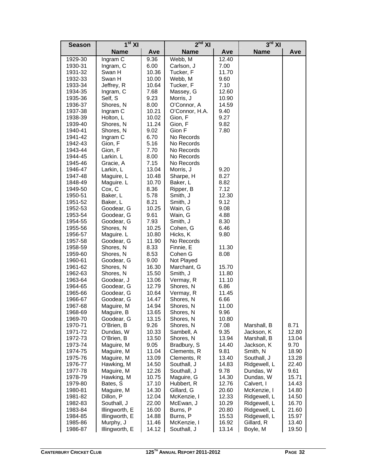| <b>Season</b>      | 1 <sup>st</sup> XI       |                | $2nd$ XI                 |                | $3^{\text{rd}}$ XI           |                |
|--------------------|--------------------------|----------------|--------------------------|----------------|------------------------------|----------------|
|                    | <b>Name</b>              | Ave            | <b>Name</b>              | Ave            | <b>Name</b>                  | Ave            |
| 1929-30            | Ingram C                 | 9.36           | Webb, M                  | 12.40          |                              |                |
| 1930-31            | Ingram, C                | 6.00           | Carlson, J               | 7.00           |                              |                |
| 1931-32            | Swan H                   | 10.36          | Tucker, F                | 11.70          |                              |                |
| 1932-33            | Swan H                   | 10.00          | Webb, M                  | 9.60           |                              |                |
| 1933-34            | Jeffrey, R               | 10.64          | Tucker, F                | 7.10           |                              |                |
| 1934-35            | Ingram, C                | 7.68           | Massey, G                | 12.60          |                              |                |
| 1935-36            | Self, S                  | 9.23           | Morris, J                | 10.90          |                              |                |
| 1936-37            | Shores, N                | 8.00           | O'Connor, A              | 14.59          |                              |                |
| 1937-38            | Ingram C                 | 10.21          | O'Connor, H.A.           | 9.40           |                              |                |
| 1938-39            | Holton, L                | 10.02          | Gion, F                  | 9.27           |                              |                |
| 1939-40            | Shores, N                | 11.24          | Gion, F                  | 9.82<br>7.80   |                              |                |
| 1940-41<br>1941-42 | Shores, N<br>Ingram C    | 9.02<br>6.70   | Gion F<br>No Records     |                |                              |                |
| 1942-43            | Gion, F                  | 5.16           | No Records               |                |                              |                |
| 1943-44            | Gion, F                  | 7.70           | No Records               |                |                              |                |
| 1944-45            | Larkin. L                | 8.00           | No Records               |                |                              |                |
| 1945-46            | Gracie, A                | 7.15           | No Records               |                |                              |                |
| 1946-47            | Larkin, L                | 13.04          | Morris, J                | 9.20           |                              |                |
| 1947-48            | Maguire, L               | 10.48          | Sharpe, H                | 8.27           |                              |                |
| 1848-49            | Maguire. L               | 10.70          | Baker, L                 | 8.82           |                              |                |
| 1949-50            | Cox, C                   | 8.36           | Ripper, B                | 7.12           |                              |                |
| 1950-51            | Baker, L                 | 5.78           | Smith, J                 | 12.30          |                              |                |
| 1951-52            | Baker, L                 | 8.21           | Smith, J                 | 9.12           |                              |                |
| 1952-53            | Goodear, G               | 10.25          | Wain, G                  | 9.08           |                              |                |
| 1953-54            | Goodear, G               | 9.61           | Wain, G                  | 4.88           |                              |                |
| 1954-55            | Goodear, G               | 7.93           | Smith, J                 | 8.30           |                              |                |
| 1955-56            | Shores, N                | 10.25          | Cohen, G                 | 6.46           |                              |                |
| 1956-57            | Maguire. L               | 10.80          | Hicks, K                 | 9.80           |                              |                |
| 1957-58            | Goodear, G               | 11.90          | No Records               |                |                              |                |
| 1958-59            | Shores, N                | 8.33           | Finnie, E                | 11.30          |                              |                |
| 1959-60            | Shores, N                | 8.53           | Cohen G                  | 8.08           |                              |                |
| 1960-61            | Goodear, G               | 9.00           | Not Played               |                |                              |                |
| 1961-62            | Shores, N                | 16.30<br>15.50 | Marchant, G              | 15.70<br>11.80 |                              |                |
| 1962-63<br>1963-64 | Shores, N<br>Goodear, J  | 13.06          | Smith, J<br>Vermay, R    | 11.10          |                              |                |
| 1964-65            | Goodear, G               | 12.79          | Shores, N                | 6.86           |                              |                |
| 1965-66            | Goodear, G               | 10.64          | Vermay, R                | 11.45          |                              |                |
| 1966-67            | Goodear, G               | 14.47          | Shores, N                | 6.66           |                              |                |
| 1967-68            | Maguire, M               | 14.94          | Shores, N                | 11.00          |                              |                |
| 1968-69            | Maguire, B               | 13.65          | Shores, N                | 9.96           |                              |                |
| 1969-70            | Goodear, G               | 13.15          | Shores, N                | 10.80          |                              |                |
| 1970-71            | O'Brien, B               | 9.26           | Shores, N                | 7.08           | Marshall, B                  | 8.71           |
| 1971-72            | Dundas, W                | 10.33          | Sambell, A               | 9.35           | Jackson, K                   | 12.80          |
| 1972-73            | O'Brien, B               | 13.50          | Shores, N                | 13.94          | Marshall, B                  | 13.04          |
| 1973-74            | Maguire, M               | 9.05           | Bradbury, S              | 14.40          | Jackson, K                   | 9.70           |
| 1974-75            | Maguire, M               | 11.04          | Clements, R              | 9.81           | Smith, N                     | 18.90          |
| 1975-76            | Maguire, M               | 13.09          | Clements, R              | 13.40          | Southall, J                  | 13.28          |
| 1976-77            | Hawking, M               | 14.50          | Southall, J              | 14.83          | Ridgewell, L                 | 22.40          |
| 1977-78            | Maguire, M               | 12.26          | Southall, J              | 9.78           | Dundas, W                    | 9.61           |
| 1978-79            | Hawking, M               | 10.75          | Maguire, G               | 14.30          | Dundas, W                    | 15.71          |
| 1979-80            | Bates, S                 | 17.10          | Hubbert, R               | 12.76          | Calvert, I                   | 14.43          |
| 1980-81            | Maguire, M               | 14.30          | Gillard, G               | 20.60          | McKenzie, I                  | 14.80          |
| 1981-82            | Dillon, P<br>Southall, J | 12.04          | McKenzie, I<br>McEwan, J | 12.33          | Ridgewell, L<br>Ridgewell, L | 14.50          |
| 1982-83<br>1983-84 | Illingworth, E           | 22.00<br>16.00 | Burns, P                 | 10.29<br>20.80 | Ridgewell, L                 | 16.70<br>21.60 |
| 1984-85            | Illingworth, E           | 14.88          | Burns, P                 | 15.53          | Ridgewell, L                 | 15.97          |
| 1985-86            | Murphy, J                | 11.46          | McKenzie, I              | 16.92          | Gillard, R                   | 13.40          |
| 1986-87            | Illingworth, E           | 14.12          | Southall, J              | 13.14          | Boyle, M                     | 19.50          |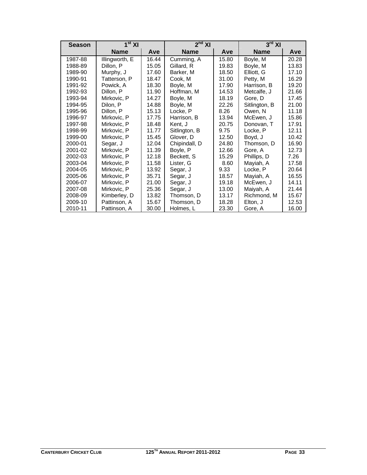| <b>Season</b> | 1 <sup>st</sup> XI |       | $2^{nd}$ XI   |       | $3^{\text{rd}}$ XI |       |
|---------------|--------------------|-------|---------------|-------|--------------------|-------|
|               | <b>Name</b>        | Ave   | <b>Name</b>   | Ave   | <b>Name</b>        | Ave   |
| 1987-88       | Illingworth, E     | 16.44 | Cumming, A    | 15.80 | Boyle, M           | 20.28 |
| 1988-89       | Dillon, P          | 15.05 | Gillard, R    | 19.83 | Boyle, M           | 13.83 |
| 1989-90       | Murphy, J          | 17.60 | Barker, M     | 18.50 | Elliott, G         | 17.10 |
| 1990-91       | Tatterson, P       | 18.47 | Cook, M       | 31.00 | Petty, M           | 16.29 |
| 1991-92       | Powick, A          | 18.30 | Boyle, M      | 17.90 | Harrison, B        | 19.20 |
| 1992-93       | Dillon, P          | 11.90 | Hoffman, M    | 14.53 | Metcalfe, J        | 21.66 |
| 1993-94       | Mirkovic, P        | 14.27 | Boyle, M      | 18.19 | Gore, D            | 17.45 |
| 1994-95       | Dilon, P           | 14.88 | Boyle, M      | 22.26 | Sitlington, B      | 21.00 |
| 1995-96       | Dillon, P          | 15.13 | Locke, P      | 8.26  | Owen, N            | 11.18 |
| 1996-97       | Mirkovic, P        | 17.75 | Harrison, B   | 13.94 | McEwen, J          | 15.86 |
| 1997-98       | Mirkovic, P        | 18.48 | Kent, J       | 20.75 | Donovan, T         | 17.91 |
| 1998-99       | Mirkovic, P        | 11.77 | Sitlington, B | 9.75  | Locke, P           | 12.11 |
| 1999-00       | Mirkovic, P        | 15.45 | Glover, D     | 12.50 | Boyd, J            | 10.42 |
| 2000-01       | Segar, J           | 12.04 | Chipindall, D | 24.80 | Thomson, D         | 16.90 |
| 2001-02       | Mirkovic, P        | 11.39 | Boyle, P      | 12.66 | Gore, A            | 12.73 |
| 2002-03       | Mirkovic, P        | 12.18 | Beckett, S    | 15.29 | Phillips, D        | 7.26  |
| 2003-04       | Mirkovic, P        | 11.58 | Lister, G     | 8.60  | Mayiah, A          | 17.58 |
| 2004-05       | Mirkovic, P        | 13.92 | Segar, J      | 9.33  | Locke, P           | 20.64 |
| 2005-06       | Mirkovic, P        | 35.71 | Segar, J      | 18.57 | Mayiah, A          | 16.55 |
| 2006-07       | Mirkovic, P        | 21.00 | Segar, J      | 19.18 | McEwen, J          | 14.11 |
| 2007-08       | Mirkovic, P        | 25.36 | Segar, J      | 13.00 | Maiyah, A          | 21.44 |
| 2008-09       | Kimberley, D       | 13.82 | Thomson, D    | 13.17 | Richmond, M        | 15.67 |
| 2009-10       | Pattinson, A       | 15.67 | Thomson, D    | 18.28 | Elton, J           | 12.53 |
| 2010-11       | Pattinson, A       | 30.00 | Holmes, L     | 23.30 | Gore, A            | 16.00 |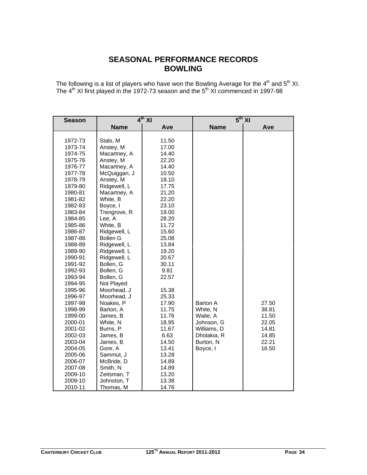## **SEASONAL PERFORMANCE RECORDS BOWLING**

The following is a list of players who have won the Bowling Average for the  $4^{\text{th}}$  and  $5^{\text{th}}$  XI. The  $4<sup>th</sup>$  XI first played in the 1972-73 season and the  $5<sup>th</sup>$  XI commenced in 1997-98

| <b>Season</b> |                 | $4th$ XI |             | $5^{th}$ XI |
|---------------|-----------------|----------|-------------|-------------|
|               | <b>Name</b>     | Ave      | <b>Name</b> | Ave         |
|               |                 |          |             |             |
| 1972-73       | Stals, M        | 11.50    |             |             |
| 1973-74       | Anstey, M       | 17.00    |             |             |
| 1974-75       | Macartney, A    | 14.40    |             |             |
| 1975-76       | Anstey, M       | 22.20    |             |             |
| 1976-77       | Macartney, A    | 14.40    |             |             |
| 1977-78       | McQuiggan, J    | 10.50    |             |             |
| 1978-79       | Anstey, M       | 18.10    |             |             |
| 1979-80       | Ridgewell, L    | 17.75    |             |             |
| 1980-81       | Macartney, A    | 21.20    |             |             |
| 1981-82       | White, B        | 22.20    |             |             |
| 1982-83       | Boyce, I        | 23.10    |             |             |
| 1983-84       | Trengrove, R    | 19.00    |             |             |
| 1984-85       | Lee, A          | 28.20    |             |             |
| 1985-86       | White, B        | 11.72    |             |             |
| 1986-87       | Ridgewell, L    | 15.60    |             |             |
| 1987-88       | <b>Bollen G</b> | 25.08    |             |             |
| 1988-89       | Ridgewell, L    | 13.84    |             |             |
| 1989-90       | Ridgewell, L    | 19.20    |             |             |
| 1990-91       | Ridgewell, L    | 20.67    |             |             |
| 1991-92       | Bollen, G       | 30.11    |             |             |
| 1992-93       | Bollen, G       | 9.81     |             |             |
| 1993-94       | Bollen, G       | 22.57    |             |             |
| 1994-95       | Not Played      |          |             |             |
| 1995-96       | Moorhead, J     | 15.38    |             |             |
| 1996-97       | Moorhead, J     | 25.33    |             |             |
| 1997-98       | Noakes, P       | 17.90    | Barton A    | 27.50       |
| 1998-99       | Barton, A       | 11.75    | White, N    | 38.81       |
| 1999-00       | James, B        | 11.76    | Waite, A    | 11.50       |
| 2000-01       | White, N        | 18.95    | Johnson, G  | 22.05       |
| 2001-02       | Burns, P        | 11.67    | Williams, D | 14.81       |
| 2002-03       | James, B        | 6.63     | Dholakia, R | 14.85       |
| 2003-04       | James, B        | 14.50    | Burton, N   | 22.21       |
| 2004-05       | Gore, A         | 13.41    | Boyce, I    | 16.50       |
| 2005-06       | Sammut, J       | 13.28    |             |             |
| 2006-07       | McBride, D      | 14.89    |             |             |
| 2007-08       | Smith, N        | 14.89    |             |             |
| 2009-10       | Zeitsman, T     | 13.20    |             |             |
| 2009-10       | Johnston, T     | 13.38    |             |             |
| 2010-11       | Thomas, M       | 14.76    |             |             |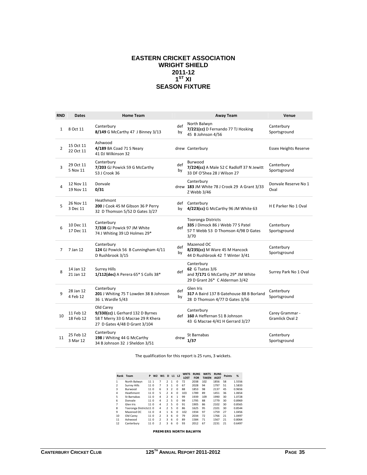#### **EASTERN CRICKET ASSOCIATION WRIGHT SHIELD 2011-12**   $1^{\text{ST}}$  XI **SEASON FIXTURE**

| <b>RND</b>     | <b>Dates</b>           | <b>Home Team</b>                                                                                                    |           | <b>Away Team</b>                                                                                              | Venue                                     |
|----------------|------------------------|---------------------------------------------------------------------------------------------------------------------|-----------|---------------------------------------------------------------------------------------------------------------|-------------------------------------------|
| $\mathbf{1}$   | 8 Oct 11               | Canterbury<br>8/149 G McCarthy 47 J Binney 3/13                                                                     | def<br>by | North Balwyn<br>7/221(cc) D Fernando 77 TJ Hosking<br>45 B Johnson 4/56                                       | Canterbury<br>Sportsground                |
| $\overline{2}$ | 15 Oct 11<br>22 Oct 11 | Ashwood<br>4/189 BA Coad 71 S Neary<br>41 DJ Wilkinson 32                                                           |           | drew Canterbury                                                                                               | <b>Essex Heights Reserve</b>              |
| 3              | 29 Oct 11<br>5 Nov 11  | Canterbury<br>7/203 GJ Powick 59 G McCarthy<br>53 J Crook 36                                                        | def<br>by | Burwood<br>7/224(cc) A Male 52 C Radloff 37 N Jewitt<br>33 DF O'Shea 28 J Wilson 27                           | Canterbury<br>Sportsground                |
| 4              | 12 Nov 11<br>19 Nov 11 | Donvale<br>0/31                                                                                                     |           | Canterbury<br>drew 183 JM White 78 J Crook 29 A Grant 3/33<br>Z Webb 3/46                                     | Donvale Reserve No 1<br>Oval              |
| 5              | 26 Nov 11<br>3 Dec 11  | Heathmont<br>200 J Cook 45 M Gibson 36 P Perry<br>32 D Thomson 5/52 D Gates 3/27                                    | by        | def Canterbury<br>4/223(cc) G McCarthy 96 JM White 63                                                         | H E Parker No 1 Oval                      |
| 6              | 10 Dec 11<br>17 Dec 11 | Canterbury<br>7/338 GJ Powick 97 JM White<br>74 J Whiting 39 LD Holmes 29*                                          | def       | <b>Tooronga Districts</b><br>335 J Dimock 86 J Webb 77 S Patel<br>57 T Webb 53 D Thomson 4/98 D Gates<br>3/70 | Canterbury<br>Sportsground                |
| 7              | 7 Jan 12               | Canterbury<br>124 GJ Powick 56 B Cunningham 4/11<br>D Rushbrook 3/15                                                | def<br>by | Mazenod OC<br>8/235(cc) M Ware 45 M Hancock<br>44 D Rushbrook 42 T Winter 3/41                                | Canterbury<br>Sportsground                |
| 8              | 14 Jan 12<br>21 Jan 12 | <b>Surrey Hills</b><br>1/112(dec) A Perera 65* S Colls 38*                                                          | def       | Canterbury<br><b>62 G Tsatas 3/6</b><br>and 7/171 G McCarthy 29* JM White<br>29 D Grant 26* C Alderman 3/42   | Surrey Park No 1 Oval                     |
| 9              | 28 Jan 12<br>4 Feb 12  | Canterbury<br>201 J Whiting 75 T Lowden 38 B Johnson<br>36 L Wardle 5/43                                            | def<br>by | Glen Iris<br>317 A Baird 137 B Gatehouse 88 B Borland<br>28 D Thomson 4/77 D Gates 3/56                       | Canterbury<br>Sportsground                |
| 10             | 11 Feb 12<br>18 Feb 12 | Old Carey<br>9/330(cc) L Gerhard 132 D Byrnes<br>58 T Merry 33 G Macrae 29 R Khera<br>27 D Gates 4/48 D Grant 3/104 |           | Canterbury<br>def 160 A Heffernan 51 B Johnson<br>43 G Macrae 4/41 H Gerrard 3/27                             | Carey Grammar -<br><b>Gramlick Oval 2</b> |
| 11             | 25 Feb 12<br>3 Mar 12  | Canterbury<br>198 J Whiting 44 G McCarthy<br>34 B Johnson 32 J Sheldon 3/51                                         | drew      | St Barnabas<br>1/37                                                                                           | Canterbury<br>Sportsground                |

The qualification for this report is 25 runs, 3 wickets.

| Rank           | Team                   | P    | W <sub>2</sub> | W1                       | D              | L1 L2          |          | <b>WKTS</b><br><b>LOST</b> | <b>RUNS</b><br><b>FOR</b> | <b>WKTS</b><br><b>TAKEN</b> | <b>RUNS</b><br><b>AGST</b> | <b>Points</b> | %      |
|----------------|------------------------|------|----------------|--------------------------|----------------|----------------|----------|----------------------------|---------------------------|-----------------------------|----------------------------|---------------|--------|
| 1              | North Balwyn           | 1111 |                | 7                        | $\mathfrak{p}$ | 1              | $\Omega$ | 72                         | 2038                      | 102                         | 1856                       | 58            | 1.5556 |
| $\overline{2}$ | <b>Surrey Hills</b>    | 11 0 |                | 7                        | 3              | 1              | $\Omega$ | 67                         | 2028                      | 94                          | 1797                       | 51            | 1.5833 |
| 3              | <b>Burwood</b>         | 110  |                | 6                        | ₹              | $\overline{2}$ | $\Omega$ | 88                         | 1853                      | 98                          | 2137                       | 45            | 0.9656 |
| 4              | Heathmont              | 110  |                | 5                        | $\mathfrak{p}$ | 4              | $\Omega$ | 103                        | 1789                      | 89                          | 1451                       | 36            | 1.0654 |
| 5              | St Barnabas            | 110  |                | 4                        | $\mathcal{P}$  | 4              | 1        | 99                         | 1939                      | 109                         | 1990                       | 30            | 1.0728 |
| 6              | Donvale                | 110  |                | 4                        | $\mathcal{P}$  | 5              | $\Omega$ | 99                         | 1795                      | 88                          | 1779                       | 30            | 0.8969 |
| 7              | Glen Iris              | 110  |                | 4                        | $\mathcal{P}$  | 5              | $\Omega$ | 91                         | 1905                      | 86                          | 2102                       | 30            | 0.8565 |
| 8              | Tooronga Districts11 0 |      |                | 4                        | $\mathcal{P}$  | 5              | $\Omega$ | 86                         | 1625                      | 95                          | 2101                       | 30            | 0.8544 |
| 9              | Mazenod OC             | 110  |                | 4                        | 1              | 6              | $\Omega$ | 102                        | 1934                      | 97                          | 1759                       | 27            | 1.0456 |
| 10             | Old Carev              | 11 0 |                | $\overline{\phantom{a}}$ | 3              | 6              | $\Omega$ | 79                         | 2034                      | 72                          | 1766                       | 21            | 1.0497 |
| 11             | Ashwood                | 110  |                | $\overline{\phantom{a}}$ | 3              | 6              | $\Omega$ | 89                         | 1584                      | 71                          | 1567                       | 21            | 0.8064 |
| 12             | Canterbury             | 11 0 |                | $\overline{\mathbf{c}}$  | 3              | 6              | $\Omega$ | 93                         | 2012                      | 67                          | 2231                       | 21            | 0.6497 |

**PREMIERS NORTH BALWYN**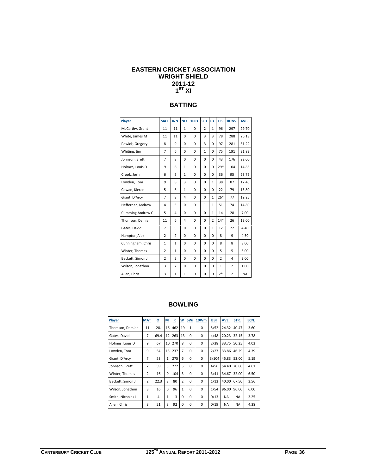## **EASTERN CRICKET ASSOCIATION WRIGHT SHIELD 2011-12 1ST XI**

## **BATTING**

| Player            | <b>MAT</b>     | <b>INN</b>     | <b>NO</b>    | <b>100s</b> | <b>50s</b>     | <b>Os</b>      | <b>HS</b>      | <b>RUNS</b>    | AVE.      |
|-------------------|----------------|----------------|--------------|-------------|----------------|----------------|----------------|----------------|-----------|
| McCarthy, Grant   | 11             | 11             | 1            | 0           | $\overline{2}$ | 1              | 96             | 297            | 29.70     |
| White, James M    | 11             | 11             | 0            | 0           | 3              | 3              | 78             | 288            | 26.18     |
| Powick, Gregory J | 8              | 9              | 0            | 0           | 3              | 0              | 97             | 281            | 31.22     |
| Whiting, Jim      | $\overline{7}$ | 6              | 0            | 0           | $\mathbf{1}$   | 0              | 75             | 191            | 31.83     |
| Johnson, Brett    | $\overline{7}$ | 8              | 0            | $\Omega$    | $\Omega$       | $\Omega$       | 43             | 176            | 22.00     |
| Holmes, Louis D   | 9              | 8              | $\mathbf{1}$ | 0           | $\Omega$       | 0              | $29*$          | 104            | 14.86     |
| Crook, Josh       | 6              | 5              | $\mathbf{1}$ | 0           | 0              | 0              | 36             | 95             | 23.75     |
| Lowden, Tom       | 9              | 8              | 3            | 0           | $\mathbf 0$    | $\mathbf{1}$   | 38             | 87             | 17.40     |
| Cowan, Kieran     | 5              | 6              | 1            | $\mathbf 0$ | $\mathbf 0$    | 0              | 22             | 79             | 15.80     |
| Grant, D'Arcy     | $\overline{7}$ | 8              | 4            | 0           | $\mathbf 0$    | $\mathbf{1}$   | $26*$          | 77             | 19.25     |
| Heffernan, Andrew | 4              | 5              | 0            | 0           | $\mathbf{1}$   | $\mathbf{1}$   | 51             | 74             | 14.80     |
| Cumming, Andrew C | 5              | 4              | 0            | $\Omega$    | $\Omega$       | $\mathbf{1}$   | 14             | 28             | 7.00      |
| Thomson, Damian   | 11             | 6              | 4            | 0           | $\mathbf 0$    | $\overline{2}$ | $14*$          | 26             | 13.00     |
| Gates, David      | $\overline{7}$ | 5              | 0            | $\mathbf 0$ | $\mathbf 0$    | $\mathbf{1}$   | 12             | 22             | 4.40      |
| Hampton, Alex     | $\overline{2}$ | $\overline{2}$ | 0            | 0           | $\mathbf 0$    | 0              | 8              | 9              | 4.50      |
| Cunningham, Chris | $\mathbf{1}$   | $\mathbf{1}$   | $\Omega$     | $\mathbf 0$ | $\mathbf 0$    | $\Omega$       | 8              | 8              | 8.00      |
| Winter, Thomas    | $\overline{2}$ | $\mathbf{1}$   | $\Omega$     | 0           | $\Omega$       | 0              | 5              | 5              | 5.00      |
| Beckett, Simon J  | $\overline{2}$ | $\overline{2}$ | 0            | $\mathbf 0$ | $\mathbf 0$    | 0              | $\overline{2}$ | 4              | 2.00      |
| Wilson, Jonathon  | 3              | $\overline{2}$ | 0            | 0           | $\mathbf 0$    | 0              | $\mathbf{1}$   | $\overline{2}$ | 1.00      |
| Allen, Chris      | 3              | $\mathbf{1}$   | 1            | 0           | $\mathbf 0$    | 0              | $2*$           | $\overline{2}$ | <b>NA</b> |

# **BOWLING**

| <b>Player</b>     | <b>MAT</b>     | ₫     | <u>M</u> | R   | <u>w</u>       | 5Wi      | 10 <sub>Wm</sub> | BBI   | AVE.      | STR.      | ECN. |
|-------------------|----------------|-------|----------|-----|----------------|----------|------------------|-------|-----------|-----------|------|
| Thomson, Damian   | 11             | 128.1 | 16       | 462 | 19             | 1        | 0                | 5/52  | 24.32     | 40.47     | 3.60 |
| Gates, David      | 7              | 69.4  | 12       | 263 | 13             | $\Omega$ | 0                | 4/48  | 20.23     | 32.15     | 3.78 |
| Holmes, Louis D   | 9              | 67    | 10       | 270 | 8              | $\Omega$ | 0                | 2/38  | 33.75     | 50.25     | 4.03 |
| Lowden, Tom       | 9              | 54    | 13       | 237 | 7              | $\Omega$ | 0                | 2/27  | 33.86     | 46.29     | 4.39 |
| Grant, D'Arcy     | 7              | 53    | 1        | 275 | 6              | $\Omega$ | 0                | 3/104 | 45.83     | 53.00     | 5.19 |
| Johnson, Brett    | 7              | 59    | 5        | 272 | 5              | $\Omega$ | 0                | 4/56  | 54.40     | 70.80     | 4.61 |
| Winter, Thomas    | $\overline{2}$ | 16    | $\Omega$ | 104 | 3              | $\Omega$ | 0                | 3/41  | 34.67     | 32.00     | 6.50 |
| Beckett, Simon J  | $\overline{2}$ | 22.3  | 3        | 80  | $\overline{2}$ | $\Omega$ | $\Omega$         | 1/13  | 40.00     | 67.50     | 3.56 |
| Wilson, Jonathon  | 3              | 16    | $\Omega$ | 96  | $\mathbf{1}$   | $\Omega$ | 0                | 1/54  | 96.00     | 96.00     | 6.00 |
| Smith, Nicholas J | 1              | 4     | 1        | 13  | $\Omega$       | $\Omega$ | 0                | 0/13  | <b>NA</b> | <b>NA</b> | 3.25 |
| Allen, Chris      | 3              | 21    | 3        | 92  | $\Omega$       | $\Omega$ | 0                | 0/19  | <b>NA</b> | <b>NA</b> | 4.38 |

 $\equiv$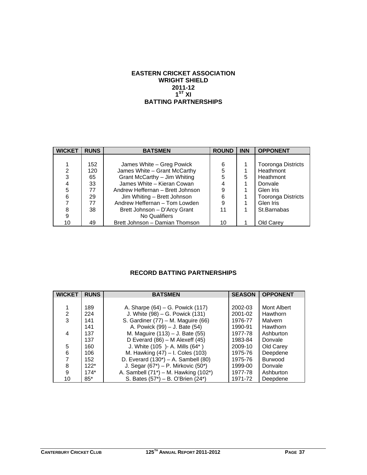# **EASTERN CRICKET ASSOCIATION WRIGHT SHIELD 2011-12 1ST XI BATTING PARTNERSHIPS**

| <b>WICKET</b> | <b>RUNS</b> | <b>BATSMEN</b>                   | <b>ROUND</b> | <b>INN</b> | <b>OPPONENT</b>           |
|---------------|-------------|----------------------------------|--------------|------------|---------------------------|
|               |             |                                  |              |            |                           |
|               | 152         | James White - Greg Powick        | 6            |            | <b>Tooronga Districts</b> |
| 2             | 120         | James White - Grant McCarthy     | 5            |            | Heathmont                 |
| 3             | 65          | Grant McCarthy - Jim Whiting     | 5            | 5          | Heathmont                 |
| 4             | 33          | James White - Kieran Cowan       | 4            |            | Donvale                   |
| 5             | 77          | Andrew Heffernan - Brett Johnson | 9            |            | Glen Iris                 |
| 6             | 29          | Jim Whiting – Brett Johnson      | 6            |            | <b>Tooronga Districts</b> |
| 7             | 77          | Andrew Heffernan - Tom Lowden    | 9            |            | Glen Iris                 |
| 8             | 38          | Brett Johnson - D'Arcy Grant     | 11           |            | St.Barnabas               |
| 9             |             | No Qualifiers                    |              |            |                           |
| 10            | 49          | Brett Johnson - Damian Thomson   | 10           |            | Old Carey                 |

# **RECORD BATTING PARTNERSHIPS**

| <b>WICKET</b>  | <b>RUNS</b> | <b>BATSMEN</b>                             | <b>SEASON</b> | <b>OPPONENT</b> |
|----------------|-------------|--------------------------------------------|---------------|-----------------|
|                |             |                                            |               |                 |
|                | 189         | A. Sharpe (64) – G. Powick (117)           | 2002-03       | Mont Albert     |
| $\overline{2}$ | 224         | J. White (98) – G. Powick (131)            | 2001-02       | Hawthorn        |
| $\overline{3}$ | 141         | S. Gardiner (77) - M. Maguire (66)         | 1976-77       | Malvern         |
|                | 141         | A. Powick (99) – J. Bate (54)              | 1990-91       | Hawthorn        |
| 4              | 137         | M. Maguire (113) - J. Bate (55)            | 1977-78       | Ashburton       |
|                | 137         | D Everard $(86)$ – M Alexeff $(45)$        | 1983-84       | Donvale         |
| 5              | 160         | J. White (105) - A. Mills (64*)            | 2009-10       | Old Carey       |
| 6              | 106         | M. Hawking (47) - I. Coles (103)           | 1975-76       | Deepdene        |
| $\overline{7}$ | 152         | D. Everard $(130^*)$ – A. Sambell $(80)$   | 1975-76       | <b>Burwood</b>  |
| 8              | $122*$      | J. Segar $(67^*)$ – P. Mirkovic $(50^*)$   | 1999-00       | Donvale         |
| 9              | $174*$      | A. Sambell $(71^*)$ – M. Hawking $(102^*)$ | 1977-78       | Ashburton       |
| 10             | $85*$       | S. Bates (57*) – B. O'Brien (24*)          | 1971-72       | Deepdene        |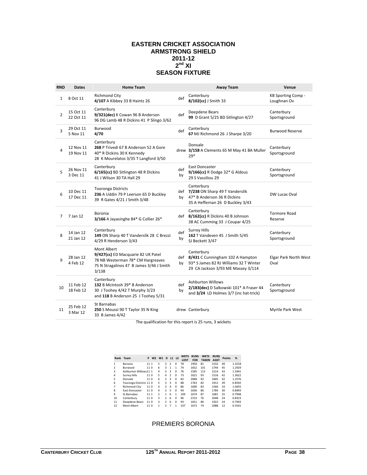#### **EASTERN CRICKET ASSOCIATION ARMSTRONG SHIELD 2011-12**   $2^{nd}$  XI **SEASON FIXTURE**

| <b>RND</b>     | <b>Dates</b>           | <b>Home Team</b>                                                                                                                            |           | <b>Away Team</b>                                                                                                                   | Venue                                |
|----------------|------------------------|---------------------------------------------------------------------------------------------------------------------------------------------|-----------|------------------------------------------------------------------------------------------------------------------------------------|--------------------------------------|
| $\mathbf{1}$   | 8 Oct 11               | <b>Richmond City</b><br>4/107 A Kibbey 33 B Haintz 26                                                                                       | def       | Canterbury<br>8/102(cc) J Smith 33                                                                                                 | KB Sporting Comp -<br>Loughnan Ov    |
| 2              | 15 Oct 11<br>22 Oct 11 | Canterbury<br>9/321(dec) K Cowan 96 B Anderson<br>96 DG Lamb 48 R Dickins 41 P Slingo 3/62                                                  | def       | Deepdene Bears<br>99 D Grant 5/25 BD Sitlington 4/27                                                                               | Canterbury<br>Sportsground           |
| 3              | 29 Oct 11<br>5 Nov 11  | Burwood<br>4/70                                                                                                                             | def       | Canterbury<br>67 MJ Richmond 26 J Sharpe 3/20                                                                                      | <b>Burwood Reserve</b>               |
| 4              | 12 Nov 11<br>19 Nov 11 | Canterbury<br>268 P Trivedi 67 B Anderson 52 A Gore<br>40* R Dickins 30 K Kennedy<br>28 K Mourelatos 3/35 T Langford 3/50                   |           | Donvale<br>drew 3/158 A Clements 65 M May 41 BA Muller<br>$79*$                                                                    | Canterbury<br>Sportsground           |
| 5              | 26 Nov 11<br>3 Dec 11  | Canterbury<br>6/165(cc) BD Sitlington 48 R Dickins<br>41 J Wilson 30 TA Hall 29                                                             | def<br>by | East Doncaster<br>9/166(cc) R Dodge 32* G Aldous<br>29 S Vassiliou 29                                                              | Canterbury<br>Sportsground           |
| 6              | 10 Dec 11<br>17 Dec 11 | <b>Tooronga Districts</b><br>236 A Uddin 79 P Leerson 65 D Buckley<br>39 R Gates 4/21 J Smith 3/48                                          | by        | Canterbury<br>def 7/238 ON Sharp 49 T Vanderslik<br>47* B Anderson 36 R Dickins<br>35 A Heffernan 26 D Buckley 3/43                | DW Lucas Oval                        |
| $\overline{7}$ | 7 Jan 12               | Boronia<br>3/166 A Jayasinghe 84* G Collier 26*                                                                                             |           | Canterbury<br>def 8/162(cc) R Dickins 40 B Johnson<br>38 AC Cumming 33 J Coupar 4/25                                               | <b>Tormore Road</b><br>Reserve       |
| 8              | 14 Jan 12<br>21 Jan 12 | Canterbury<br>149 ON Sharp 40 T Vanderslik 28 C Brezzi<br>4/29 R Henderson 3/43                                                             | def<br>by | <b>Surrey Hills</b><br>162 T Vandeven 45 J Smith 5/45<br>SJ Beckett 3/47                                                           | Canterbury<br>Sportsground           |
| q              | 28 Jan 12<br>4 Feb 12  | Mont Albert<br>9/427(cc) ED Macquarie 82 UK Patel<br>78 NB Westerman 78* CM Hargreaves<br>75 N Stragalinos 47 B James 3/46 J Smith<br>3/138 | bv        | Canterbury<br>def 8/431 C Cunningham 102 A Hampton<br>93* S James 82 RJ Williams 32 T Winter<br>29 CA Jackson 3/93 ME Massey 3/114 | <b>Elgar Park North West</b><br>Oval |
| 10             | 11 Feb 12<br>18 Feb 12 | Canterbury<br>132 B McIntosh 39* B Anderson<br>30 J Toohey 4/42 T Murphy 3/23<br>and 118 B Anderson 25 J Toohey 5/31                        | def<br>by | <b>Ashburton Willows</b><br>2/183(dec) D Salkowski 101* A Fraser 44<br>and 3/24 LD Holmes 3/7 (inc hat-trick)                      | Canterbury<br>Sportsground           |
| 11             | 25 Feb 12<br>3 Mar 12  | St Barnabas<br>250 S Moussi 90 T Taylor 35 N King<br>33 B James 4/42                                                                        |           | drew Canterbury                                                                                                                    | Myrtle Park West                     |

The qualification for this report is 25 runs, 3 wickets

|                | Rank Team               | P    | W <sub>2</sub> | W1            | D              | L1L2                     |          | <b>WKTS</b><br><b>LOST</b> | <b>RUNS</b><br><b>FOR</b> | <b>WKTS</b><br><b>TAKEN</b> | <b>RUNS</b><br><b>AGST</b> | <b>Points</b> | %      |
|----------------|-------------------------|------|----------------|---------------|----------------|--------------------------|----------|----------------------------|---------------------------|-----------------------------|----------------------------|---------------|--------|
| 1              | Boronia                 | 11 1 |                | 5             | 3              | $\overline{\phantom{a}}$ | $\Omega$ | 78                         | 1950                      | 81                          | 1532                       | 49            | 1.3218 |
| $\mathfrak{p}$ | <b>Burwood</b>          | 110  |                | 6             | 3              | $\mathbf{1}$             | 1        | 74                         | 1652                      | 101                         | 1744                       | 45            | 1.2929 |
| 3              | Ashburton Willows11 1   |      |                | 4             | ₹              | 3                        | $\Omega$ | 76                         | 1595                      | 115                         | 1514                       | 43            | 1.5941 |
| 4              | Surrey Hills            | 110  |                | 5             | 4              | $\overline{\phantom{a}}$ | $\Omega$ | 73                         | 1621                      | 93                          | 1516                       | 42            | 1.3622 |
| 5              | Donvale                 | 110  |                | 6             | $\mathcal{P}$  | 3                        | $\Omega$ | 82                         | 2068                      | 92                          | 1845                       | 42            | 1.2576 |
| 6              | Tooronga Districts 11 0 |      |                | 5             | ₹              | 3                        | $\Omega$ | 88                         | 1763                      | 82                          | 1912                       | 39            | 0.8592 |
| 7              | <b>Richmond City</b>    | 110  |                | 4             | ₹              | 4                        | $\Omega$ | 86                         | 1690                      | 83                          | 1560                       | 33            | 1.0455 |
| 8              | East Doncaster          | 110  |                | 4             | $\mathcal{P}$  | 5                        | $\Omega$ | 94                         | 1656                      | 86                          | 1784                       | 30            | 0.8493 |
| 9              | St Barnabas             | 11 1 |                | $\mathcal{P}$ | 1              | 6                        | 1        | 109                        | 1674                      | 87                          | 1681                       | 25            | 0.7948 |
| 10             | Canterbury              | 110  |                | 3             | $\mathcal{P}$  | 6                        | $\Omega$ | 96                         | 2153                      | 76                          | 2048                       | 24            | 0.8323 |
| 11             | Deepdene Bears          | 110  |                | 3             | $\mathfrak{p}$ | 6                        | $\Omega$ | 93                         | 1651                      | 86                          | 1922                       | 24            | 0.7943 |
| 12             | Mont Albert             | 110  |                | 1             | $\mathcal{P}$  | 7                        | 1        | 107                        | 1673                      | 74                          | 2088                       | 12            | 0.5541 |

#### . PREMIERS BORONIA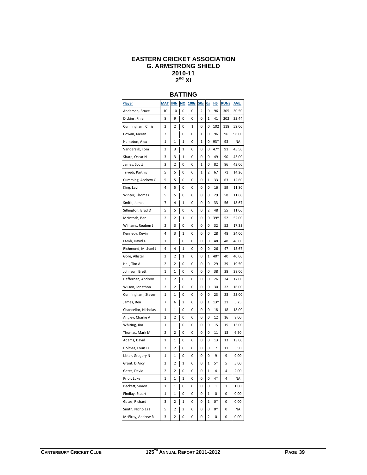#### **EASTERN CRICKET ASSOCIATION G. ARMSTRONG SHIELD 2010-11 2nd XI**

# **BATTING**

| <b>Player</b>        | <b>MAT</b> | <b>INN</b>   | <u>NO</u> | 100s | <u>50s</u> | 0s          | <u>HS</u> | <b>RUNS</b> | AVE.      |
|----------------------|------------|--------------|-----------|------|------------|-------------|-----------|-------------|-----------|
| Anderson, Bruce      | 10         | 10           | 0         | 0    | 2          | 0           | 96        | 305         | 30.50     |
| Dickins, Rhian       | 8          | 9            | 0         | 0    | 0          | 1           | 41        | 202         | 22.44     |
| Cunningham, Chris    | 2          | 2            | 0         | 1    | 0          | 0           | 102       | 118         | 59.00     |
| Cowan, Kieran        | 2          | 1            | 0         | 0    | 1          | 0           | 96        | 96          | 96.00     |
| Hampton, Alex        | 1          | 1            | 1         | 0    | 1          | 0           | 93*       | 93          | <b>NA</b> |
| Vanderslik, Tom      | 3          | 3            | 1         | 0    | 0          | 0           | 47*       | 91          | 45.50     |
| Sharp, Oscar N       | 3          | 3            | 1         | 0    | 0          | 0           | 49        | 90          | 45.00     |
| James, Scott         | 3          | 2            | 0         | 0    | 1          | 0           | 82        | 86          | 43.00     |
| Trivedi, Parthiv     | 5          | 5            | 0         | 0    | 1          | 2           | 67        | 71          | 14.20     |
| Cumming, Andrew C    | 5          | 5            | 0         | 0    | 0          | 1           | 33        | 63          | 12.60     |
| King, Levi           | 4          | 5            | 0         | 0    | 0          | 0           | 16        | 59          | 11.80     |
| Winter, Thomas       | 5          | 5            | 0         | 0    | 0          | 0           | 29        | 58          | 11.60     |
| Smith, James         | 7          | 4            | 1         | 0    | 0          | 0           | 33        | 56          | 18.67     |
| Sitlington, Brad D   | 5          | 5            | 0         | 0    | 0          | 2           | 48        | 55          | 11.00     |
| McIntosh, Ben        | 2          | 2            | 1         | 0    | 0          | 0           | $39*$     | 52          | 52.00     |
| Williams, Reuben J   | 2          | 3            | 0         | 0    | 0          | 0           | 32        | 52          | 17.33     |
| Kennedy, Kevin       | 4          | 3            | 1         | 0    | 0          | 0           | 28        | 48          | 24.00     |
| Lamb, David G        | 1          | 1            | 0         | 0    | 0          | 0           | 48        | 48          | 48.00     |
| Richmond, Michael J  | 4          | 4            | 1         | 0    | 0          | 0           | 26        | 47          | 15.67     |
| Gore, Allister       | 2          | 2            | 1         | 0    | 0          | 1           | 40*       | 40          | 40.00     |
| Hall, Tim A          | 2          | 2            | 0         | 0    | 0          | 0           | 29        | 39          | 19.50     |
| Johnson, Brett       | 1          | 1            | 0         | 0    | 0          | 0           | 38        | 38          | 38.00     |
| Heffernan, Andrew    | 2          | 2            | 0         | 0    | 0          | 0           | 26        | 34          | 17.00     |
| Wilson, Jonathon     | 2          | 2            | 0         | 0    | 0          | 0           | 30        | 32          | 16.00     |
| Cunningham, Steven   | 1          | 1            | 0         | 0    | 0          | 0           | 23        | 23          | 23.00     |
| James, Ben           | 7          | 6            | 2         | 0    | 0          | 1           | $13*$     | 21          | 5.25      |
| Chancellor, Nicholas | 1          | 1            | 0         | 0    | 0          | 0           | 18        | 18          | 18.00     |
| Angley, Charlie A    | 2          | 2            | 0         | 0    | 0          | 0           | 12        | 16          | 8.00      |
| Whiting, Jim         | 1          | 1            | 0         | 0    | 0          | 0           | 15        | 15          | 15.00     |
| Thomas, Mark M       | 2          | 2            | 0         | 0    | 0          | 0           | 11        | 13          | 6.50      |
| Adams, David         | 1          | 1            | 0         | 0    | 0          | 0           | 13        | 13          | 13.00     |
| Holmes, Louis D      | 2          | 2            | 0         | 0    | 0          | 0           | 7         | 11          | 5.50      |
| Lister, Gregory N    | 1          | 1            | 0         | 0    | 0          | 0           | 9         | 9           | 9.00      |
| Grant, D'Arcy        | 2          | 2            | 1         | 0    | 0          | 1           | $5*$      | 5           | 5.00      |
| Gates, David         | 2          | 2            | 0         | 0    | 0          | $\mathbf 1$ | 4         | 4           | 2.00      |
| Prior, Luke          | 1          | $\mathbf{1}$ | 1         | 0    | 0          | 0           | $4*$      | 4           | <b>NA</b> |
| Beckett, Simon J     | 1          | 1            | 0         | 0    | 0          | 0           | 1         | 1           | 1.00      |
| Findlay, Stuart      | 1          | 1            | 0         | 0    | 0          | 1           | 0         | 0           | 0.00      |
| Gates, Richard       | 3          | 2            | 1         | 0    | 0          | 1           | 0*        | 0           | 0.00      |
| Smith, Nicholas J    | 5          | 2            | 2         | 0    | 0          | 0           | 0*        | 0           | ΝA        |
| McElroy, Andrew R    | 3          | 2            | 0         | 0    | 0          | 2           | 0         | 0           | 0.00      |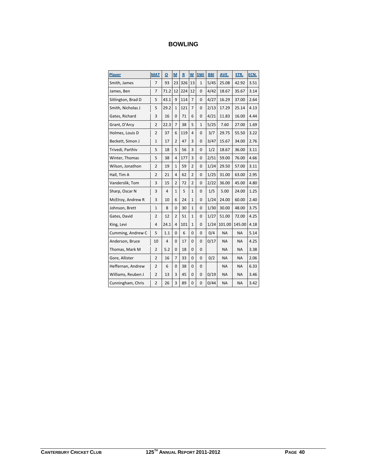| Player             | <b>MAT</b>     | O              | M              | $\mathsf{R}$ | W              | 5Wi          | <b>BBI</b> | AVE.      | STR.      | ECN. |
|--------------------|----------------|----------------|----------------|--------------|----------------|--------------|------------|-----------|-----------|------|
| Smith, James       | $\overline{7}$ | 93             | 23             | 326          | 13             | $\mathbf{1}$ | 5/45       | 25.08     | 42.92     | 3.51 |
| James, Ben         | $\overline{7}$ | 71.2           | 12             | 224          | 12             | $\mathbf 0$  | 4/42       | 18.67     | 35.67     | 3.14 |
| Sitlington, Brad D | 5              | 43.1           | 9              | 114          | $\overline{7}$ | 0            | 4/27       | 16.29     | 37.00     | 2.64 |
| Smith, Nicholas J  | 5              | 29.2           | $\mathbf{1}$   | 121          | $\overline{7}$ | $\mathbf 0$  | 2/13       | 17.29     | 25.14     | 4.13 |
| Gates, Richard     | 3              | 16             | $\Omega$       | 71           | 6              | 0            | 4/21       | 11.83     | 16.00     | 4.44 |
| Grant, D'Arcy      | $\overline{2}$ | 22.3           | $\overline{7}$ | 38           | 5              | $\mathbf{1}$ | 5/25       | 7.60      | 27.00     | 1.69 |
| Holmes, Louis D    | $\overline{2}$ | 37             | 6              | 119          | 4              | 0            | 3/7        | 29.75     | 55.50     | 3.22 |
| Beckett, Simon J   | $\mathbf{1}$   | 17             | $\overline{2}$ | 47           | 3              | $\mathbf 0$  | 3/47       | 15.67     | 34.00     | 2.76 |
| Trivedi, Parthiv   | 5              | 18             | 5              | 56           | 3              | 0            | 1/2        | 18.67     | 36.00     | 3.11 |
| Winter, Thomas     | 5              | 38             | 4              | 177          | 3              | $\mathbf 0$  | 2/51       | 59.00     | 76.00     | 4.66 |
| Wilson, Jonathon   | $\overline{2}$ | 19             | $\mathbf{1}$   | 59           | 2              | 0            | 1/24       | 29.50     | 57.00     | 3.11 |
| Hall, Tim A        | $\overline{2}$ | 21             | 4              | 62           | $\overline{2}$ | 0            | 1/25       | 31.00     | 63.00     | 2.95 |
| Vanderslik, Tom    | 3              | 15             | $\overline{2}$ | 72           | $\overline{2}$ | 0            | 2/22       | 36.00     | 45.00     | 4.80 |
| Sharp, Oscar N     | 3              | $\overline{4}$ | 1              | 5            | 1              | $\mathbf 0$  | 1/5        | 5.00      | 24.00     | 1.25 |
| McElroy, Andrew R  | 3              | 10             | 6              | 24           | $\mathbf{1}$   | 0            | 1/24       | 24.00     | 60.00     | 2.40 |
| Johnson, Brett     | $\mathbf{1}$   | 8              | 0              | 30           | $\mathbf{1}$   | $\mathbf 0$  | 1/30       | 30.00     | 48.00     | 3.75 |
| Gates, David       | $\overline{2}$ | 12             | $\overline{2}$ | 51           | $\mathbf{1}$   | 0            | 1/27       | 51.00     | 72.00     | 4.25 |
| King, Levi         | $\overline{4}$ | 24.1           | 4              | 101          | 1              | 0            | 1/24       | 101.00    | 145.00    | 4.18 |
| Cumming, Andrew C  | 5              | 1.1            | 0              | 6            | 0              | 0            | 0/4        | <b>NA</b> | <b>NA</b> | 5.14 |
| Anderson, Bruce    | 10             | $\overline{4}$ | 0              | 17           | 0              | $\mathbf 0$  | 0/17       | <b>NA</b> | <b>NA</b> | 4.25 |
| Thomas, Mark M     | $\overline{2}$ | 5.2            | 0              | 18           | 0              | $\mathbf 0$  |            | <b>NA</b> | <b>NA</b> | 3.38 |
| Gore, Allister     | $\overline{2}$ | 16             | $\overline{7}$ | 33           | 0              | $\mathbf 0$  | 0/2        | <b>NA</b> | <b>NA</b> | 2.06 |
| Heffernan, Andrew  | $\overline{2}$ | 6              | 0              | 38           | 0              | 0            |            | <b>NA</b> | <b>NA</b> | 6.33 |
| Williams, Reuben J | $\overline{2}$ | 13             | 3              | 45           | 0              | 0            | 0/19       | <b>NA</b> | <b>NA</b> | 3.46 |
| Cunningham, Chris  | $\overline{2}$ | 26             | 3              | 89           | 0              | 0            | 0/44       | <b>NA</b> | <b>NA</b> | 3.42 |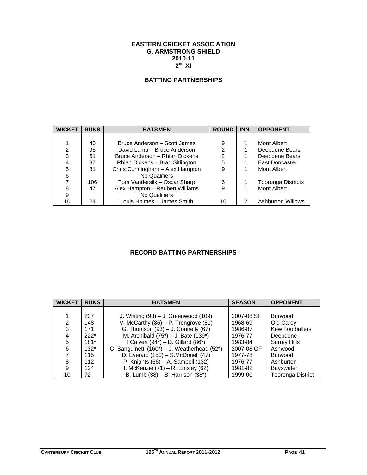# **EASTERN CRICKET ASSOCIATION G. ARMSTRONG SHIELD 2010-11**   $2^{nd}$  XI

# **BATTING PARTNERSHIPS**

| <b>WICKET</b> | <b>RUNS</b> | <b>BATSMEN</b>                  | <b>ROUND</b>   | <b>INN</b> | <b>OPPONENT</b>           |
|---------------|-------------|---------------------------------|----------------|------------|---------------------------|
|               |             |                                 |                |            |                           |
|               | 40          | Bruce Anderson - Scott James    | 9              |            | Mont Albert               |
| 2             | 95          | David Lamb - Bruce Anderson     | $\mathfrak{p}$ |            | Deepdene Bears            |
| 3             | 61          | Bruce Anderson - Rhian Dickens  | 2              |            | Deepdene Bears            |
| 4             | 87          | Rhian Dickens - Brad Sitlington | 5              |            | East Doncaster            |
| 5             | 81          | Chris Cunningham - Alex Hampton | 9              |            | Mont Albert               |
| 6             |             | No Qualifiers                   |                |            |                           |
| 7             | 106         | Tom Vandersilk - Oscar Sharp    | 6              |            | <b>Tooronga Districts</b> |
| 8             | 47          | Alex Hampton - Reuben Williams  | 9              |            | Mont Albert               |
| 9             |             | No Qualifiers                   |                |            |                           |
| 10            | 24          | Louis Holmes - James Smith      | 10             | 2          | <b>Ashburton Willows</b>  |

# **RECORD BATTING PARTNERSHIPS**

| <b>WICKET</b> | <b>RUNS</b> | <b>BATSMEN</b>                               | <b>SEASON</b> | <b>OPPONENT</b>          |
|---------------|-------------|----------------------------------------------|---------------|--------------------------|
|               |             |                                              |               |                          |
|               | 207         | J. Whiting $(93) - J$ . Greenwood $(109)$    | 2007-08 SF    | <b>Burwood</b>           |
| 2             | 148         | V. McCarthy $(86)$ – P. Trengrove $(81)$     | 1968-69       | Old Carey                |
| 3             | 171         | G. Thomson (93) - J. Connelly (67)           | 1986-87       | <b>Kew Footballers</b>   |
|               | $222*$      | M. Archibald $(75^*)$ – J. Bate $(139^*)$    | 1976-77       | Deepdene                 |
| 5             | $181*$      | I Calvert $(94^*)$ – D. Gillard $(86^*)$     | 1983-84       | <b>Surrey Hills</b>      |
| 6             | $132*$      | G. Sanguinetti (160*) - J. Weatherhead (52*) | 2007-08 GF    | Ashwood                  |
|               | 115         | D. Everard (150) - S.McDonell (47)           | 1977-78       | <b>Burwood</b>           |
| 8             | 112         | P. Knights $(66) - A$ . Sambell $(132)$      | 1976-77       | Ashburton                |
| 9             | 124         | I. McKenzie $(71)$ – R. Emsley $(62)$        | 1981-82       | <b>Bayswater</b>         |
| 10            | 72          | B. Lumb (38) - B. Harrison (38*)             | 1999-00       | <b>Tooronga District</b> |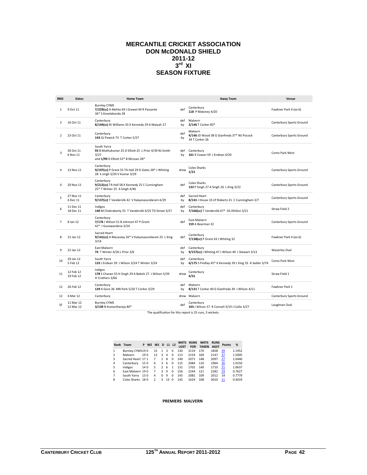# **MERCANTILE CRICKET ASSOCIATION DON McDONALD SHIELD 2011-12**   $3^{\text{rd}}$  XI **SEASON FIXTURE**

| <b>RND</b>     | <b>Dates</b>           | <b>Home Team</b>                                                                                                    |           | <b>Away Team</b>                                                        | Venue                    |
|----------------|------------------------|---------------------------------------------------------------------------------------------------------------------|-----------|-------------------------------------------------------------------------|--------------------------|
| $\mathbf{1}$   | 9 Oct 11               | <b>Burnley CYMS</b><br>7/229(cc) A Mehta 69 J Grewel 40 R Passante<br>36* S Kovelakonda 28                          | def       | Canterbury<br>118 P Maloney 4/20                                        | Fawkner Park 4 (ex 6)    |
| $\overline{2}$ | 16 Oct 11              | Canterbury<br>8/144(cc) RJ Williams 35 K Kennedy 29 A Maiyah 27                                                     | def<br>bv | Malvern<br>2/146 T Corker 83*                                           | Canterbury Sports Ground |
| $\overline{2}$ | 23 Oct 11              | Canterbury<br>143 GJ Powick 73 T Corker 5/27                                                                        | def<br>by | Malvern<br>4/146 JD Wood 38 G Gianfreda 37* WJ Pocock<br>34 T Corker 26 | Canterbury Sports Ground |
| 3              | 30 Oct 11<br>6 Nov 11  | South Yarra<br>93 B Muthukumar 25 D Elliott 25 L Prior 4/39 NJ Smith<br>3/27<br>and 1/99 D Elliott 52* B McLean 28* | def<br>bγ | Canterbury<br>161 K Cowan 59 J Endean 4/20                              | Como Park West           |
| 4              | 13 Nov 11              | Canterbury<br>9/197(cc) P Grant 55 TA Hall 29 D Gates 28* J Whiting<br>28 k singh 3/20 V Kumar 3/29                 | drew      | <b>Coles Sharks</b><br>1/21                                             | Canterbury Sports Ground |
| 4              | 20 Nov 11              | Canterbury<br>9/212(cc) TA Hall 58 K Kennedy 25 C Cunningham<br>25* T Winter 25 A Singh 4/46                        | def       | <b>Coles Sharks</b><br>133 P Singh 27 A Singh 26 L King 3/22            | Canterbury Sports Ground |
| 5              | 27 Nov 11<br>4 Dec 11  | Canterbury<br>9/137(cc) T Vanderslik 42 V Kalyanasundaram 4/29                                                      | def<br>bv | Sacred Heart<br>8/141 J House 33 LP Roberts 31 C Cunningham 3/7         | Canterbury Sports Ground |
| 6              | 11 Dec 11<br>18 Dec 11 | Indigos<br>140 M Chakraborty 55 T Vanderslik 4/25 TD Streat 3/27                                                    | def<br>bv | Canterbury<br>7/166(cc) T Vanderslik 67* GS Dhillon 3/21                | Straw Field 2            |
| $\overline{7}$ | 8 Jan 12               | Canterbury<br>7/176 J Wilson 51 B Johnson 47 P Grant<br>42*   Gunawardena 3/20                                      | def       | East Malvern<br>159 A Bearman 32                                        | Canterbury Sports Ground |
| 8              | 15 Jan 12              | Sacred Heart<br>9/141(cc) A Macaulay 26* V Kalyanasundaram 25 L King<br>3/14                                        | def       | Canterbury<br>7/138(cc) P Grant 43 J Whiting 32                         | Fawkner Park 4 (ex 6)    |
| 9              | 22 Jan 12              | East Malvern<br>74 T Winter 4/26 L Prior 3/6                                                                        | def<br>bv | Canterbury<br>9/157(cc) J Whiting 47 J Wilson 40 J Stewart 3/13         | Waverley Oval            |
| 10             | 29 Jan 12<br>5 Feb 12  | South Yarra<br>133 J Endean 39 J Wilson 3/24 T Winter 3/24                                                          | def<br>bγ | Canterbury<br>6/175 S Findlay 45* K Kennedy 39 L King 33 A Sadler 3/74  | Como Park West           |
| 11             | 12 Feb 12<br>19 Feb 12 | Indigos<br>178 S Chavan 55 H Singh 29 A Bakshi 27 J Wilson 5/39<br>H Crothers 3/66                                  | drew      | Canterbury<br>4/31                                                      | Straw Field 1            |
| 12             | 26 Feb 12              | Canterbury<br>129 A Gore 36 MR Park 5/20 T Corker 3/29                                                              | def<br>bγ | Malvern<br>8/131 T Corker 40 G Gianfreda 39 J Wilson 4/11               | Fawkner Park 1           |
| 12             | 4 Mar 12               | Canterbury                                                                                                          |           | drew Malvern                                                            | Canterbury Sports Ground |
| SF             | 11 Mar 12<br>12 Mar 12 | <b>Burnley CYMS</b><br>3/139 N Kumarthareja 80*                                                                     | def       | Canterbury<br>103 J Wilson 37 R Connell 3/19 J Collie 3/27              | Loughnan Oval            |
|                |                        |                                                                                                                     |           | スパン ウロー・ショック しょうけいきょう                                                   |                          |

The qualification for this report is 25 runs, 3 wickets.

|   | Rank Team         |      | P W2 W1 |               | D L1 L2 |              | <b>WKTS</b><br><b>LOST</b> | <b>RUNS</b><br><b>FOR</b> | <b>WKTS</b><br><b>TAKEN</b> | <b>RUNS</b><br><b>AGST</b> | <b>Points</b> | %      |
|---|-------------------|------|---------|---------------|---------|--------------|----------------------------|---------------------------|-----------------------------|----------------------------|---------------|--------|
|   | Burnley CYMS190   |      | 15      | 1             | 3       | $\Omega$     | 130                        | 3119                      | 170                         | 1858                       | 39            | 2.1952 |
| 2 | Malvern           | 190  | 12      | $\mathbf{R}$  | 4       | $\Omega$     | 113                        | 2154                      | 169                         | 2147                       | 37            | 1.5005 |
| 3 | Sacred Heart 17 1 |      | 7       | 1             | 8       | 0            | 140                        | 2071                      | 148                         | 2097                       | 27            | 1.0440 |
| 4 | Canterbury        | 150  | 6       | 3             | -6      | $\Omega$     | 115                        | 2084                      | 110                         | 1964                       | 26            | 1.0150 |
| 5 | Indigos           | 140  | 5       | $\mathcal{P}$ | -6      | $\mathbf{1}$ | 131                        | 1702                      | 140                         | 1710                       | 21            | 1.0637 |
| 6 | East Malvern 190  |      | 7       | ₹             | 9       | $\Omega$     | 156                        | 2244                      | 121                         | 2282                       | 19            | 0.7627 |
| 7 | South Yarra       | 13.0 | 4       | <sup>n</sup>  | 9       | 0            | 145                        | 2082                      | 109                         | 2012                       | 14            | 0.7779 |
| 8 | Coles Sharks 180  |      | 2       | R             | 13      | n            | 145                        | 1624                      | 108                         | 3010                       | 11            | 0.4019 |

#### **PREMIERS MALVERN**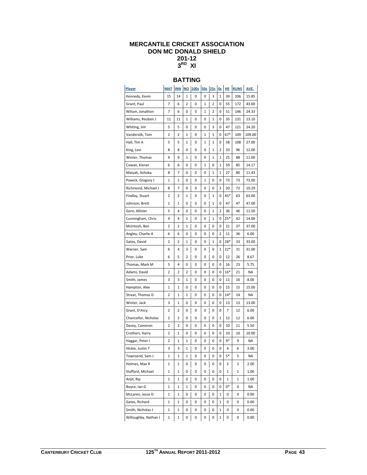# **MERCANTILE CRICKET ASSOCIATION DON MC DONALD SHIELD 201-12 3RD XI**

# **BATTING**

| <u>Player</u>        | MAT | INN | NO <sub>1</sub> | 100s | 50s | 25s | 0s           | <u>HS</u> | <b>RUNS</b> | AVE.   |
|----------------------|-----|-----|-----------------|------|-----|-----|--------------|-----------|-------------|--------|
| Kennedy, Kevin       | 15  | 14  | 1               | 0    | 0   | 3   | 1            | 39        | 206         | 15.85  |
| Grant, Paul          | 7   | 6   | 2               | 0    | 1   | 2   | 0            | 55        | 172         | 43.00  |
| Wilson, Jonathon     | 7   | 6   | 0               | 0    | 1   | 2   | 0            | 51        | 146         | 24.33  |
| Williams, Reuben J   | 11  | 11  | 1               | 0    | 0   | 1   | 0            | 35        | 131         | 13.10  |
| Whiting, Jim         | 5   | 5   | 0               | 0    | 0   | 3   | 0            | 47        | 121         | 24.20  |
| Vanderslik, Tom      | 2   | 2   | 1               | 0    | 1   | 1   | 0            | 67*       | 109         | 109.00 |
| Hall, Tim A          | 5   | 5   | 1               | 0    | 1   | 1   | 0            | 58        | 108         | 27.00  |
| King, Levi           | 8   | 8   | 0               | 0    | 0   | 1   | 2            | 33        | 96          | 12.00  |
| Winter, Thomas       | 9   | 9   | 1               | 0    | 0   | 1   | 1            | 25        | 88          | 11.00  |
| Cowan, Kieran        | 6   | 6   | 0               | 0    | 1   | 0   | 1            | 59        | 85          | 14.17  |
| Maiyah, Ashoka       | 8   | 7   | 0               | 0    | 0   | 1   | 1            | 27        | 80          | 11.43  |
| Powick, Gregory J    | 1   | 1   | 0               | 0    | 1   | 0   | 0            | 73        | 73          | 73.00  |
| Richmond, Michael J  | 8   | 7   | 0               | 0    | 0   | 0   | 2            | 20        | 72          | 10.29  |
| Findlay, Stuart      | 2   | 2   | 1               | 0    | 0   | 1   | 0            | 45*       | 63          | 63.00  |
| Johnson, Brett       | 1   | 1   | 0               | 0    | 0   | 1   | 0            | 47        | 47          | 47.00  |
| Gore, Allister       | 5   | 4   | 0               | 0    | 0   | 1   | 2            | 36        | 46          | 11.50  |
| Cunningham, Chris    | 4   | 4   | 1               | 0    | 0   | 1   | 0            | $25*$     | 42          | 14.00  |
| McIntosh, Ben        | 2   | 2   | 1               | 0    | 0   | 0   | 0            | 21        | 37          | 37.00  |
| Angley, Charlie A    | 6   | 6   | 0               | 0    | 0   | 0   | 2            | 11        | 36          | 6.00   |
| Gates, David         | 2   | 2   | 1               | 0    | 0   | 1   | 0            | $28*$     | 33          | 33.00  |
| Warner, Sam          | 6   | 4   | 3               | 0    | 0   | 0   | $\mathbf{1}$ | $22*$     | 31          | 31.00  |
| Prior, Luke          | 6   | 5   | 2               | 0    | 0   | 0   | 0            | 12        | 26          | 8.67   |
| Thomas, Mark M       | 5   | 4   | 0               | 0    | 0   | 0   | 0            | 16        | 23          | 5.75   |
| Adams, David         | 2   | 2   | 2               | 0    | 0   | 0   | 0            | $16*$     | 21          | NA     |
| Smith, James         | 3   | 3   | 1               | 0    | 0   | 0   | 0            | 11        | 16          | 8.00   |
| Hampton, Alex        | 1   | 1   | 0               | 0    | 0   | 0   | 0            | 15        | 15          | 15.00  |
| Streat, Thomas D     | 2   | 1   | 1               | 0    | 0   | 0   | 0            | $14*$     | 14          | ΝA     |
| Winter, Jack         | 3   | 1   | 0               | 0    | 0   | 0   | 0            | 13        | 13          | 13.00  |
| Grant, D'Arcy        | 2   | 2   | 0               | 0    | 0   | 0   | 0            | 7         | 12          | 6.00   |
| Chancellor, Nicholas | 2   | 2   | 0               | 0    | 0   | 0   | 1            | 12        | 12          | 6.00   |
| Davey, Cameron       | 2   | 2   | 0               | 0    | 0   | 0   | 0            | 10        | 11          | 5.50   |
| Crothers, Harry      | 2   | 1   | 0               | 0    | 0   | 0   | 0            | 10        | 10          | 10.00  |
| Haggar, Peter I      | 2   | 1   | 1               | 0    | 0   | 0   | 0            | 9*        | 9           | ΝA     |
| Hickie, Justin T     | 3   | 3   | 1               | 0    | 0   | 0   | 0            | 4         | 6           | 3.00   |
| Townsend, Sam J      | 1   | 1   | 1               | 0    | 0   | 0   | 0            | 5*        | 5           | ΝA     |
| Holmes, Max R        | 1   | 1   | 0               | 0    | 0   | 0   | 0            | 2         | 2           | 2.00   |
| Stafford, Michael    | 1   | 1   | 0               | 0    | 0   | 0   | 0            | 1         | 1           | 1.00   |
| Anjit, Raj           | 1   | 1   | 0               | 0    | 0   | 0   | 0            | 1         | 1           | 1.00   |
| Boyce, Ian G         | 1   | 1   | 1               | 0    | 0   | 0   | 0            | 0*        | 0           | NA     |
| McLaren, Jesse D     | 1   | 1   | 0               | 0    | 0   | 0   | 1            | 0         | 0           | 0.00   |
| Gates, Richard       | 1   | 1   | 0               | 0    | 0   | 0   | 1            | 0         | 0           | 0.00   |
| Smith, Nicholas J    | 1   | 1   | 0               | 0    | 0   | 0   | 1            | 0         | 0           | 0.00   |
| Willoughby, Nathan J | 1   | 1   | 0               | 0    | 0   | 0   | 1            | 0         | 0           | 0.00   |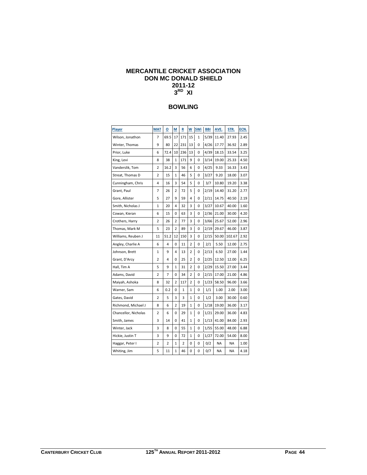# **MERCANTILE CRICKET ASSOCIATION DON MC DONALD SHIELD 2011-12 3RD XI**

| <b>Player</b>        | <b>MAT</b>     | ο    | М  | R   | W              | 5Wi          | BBI  | AVE.  | STR.   | ECN. |
|----------------------|----------------|------|----|-----|----------------|--------------|------|-------|--------|------|
| Wilson, Jonathon     | 7              | 69.5 | 17 | 171 | 15             | $\mathbf{1}$ | 5/39 | 11.40 | 27.93  | 2.45 |
| Winter, Thomas       | 9              | 80   | 22 | 231 | 13             | 0            | 4/26 | 17.77 | 36.92  | 2.89 |
| Prior, Luke          | 6              | 72.4 | 10 | 236 | 13             | 0            | 4/39 | 18.15 | 33.54  | 3.25 |
| King, Levi           | 8              | 38   | 1  | 171 | 9              | 0            | 3/14 | 19.00 | 25.33  | 4.50 |
| Vanderslik, Tom      | 2              | 16.2 | 3  | 56  | 6              | 0            | 4/25 | 9.33  | 16.33  | 3.43 |
| Streat, Thomas D     | 2              | 15   | 1  | 46  | 5              | 0            | 3/27 | 9.20  | 18.00  | 3.07 |
| Cunningham, Chris    | 4              | 16   | 3  | 54  | 5              | 0            | 3/7  | 10.80 | 19.20  | 3.38 |
| Grant, Paul          | 7              | 26   | 2  | 72  | 5              | 0            | 2/19 | 14.40 | 31.20  | 2.77 |
| Gore, Allister       | 5              | 27   | 9  | 59  | 4              | 0            | 2/11 | 14.75 | 40.50  | 2.19 |
| Smith, Nicholas J    | 1              | 20   | 4  | 32  | 3              | 0            | 3/27 | 10.67 | 40.00  | 1.60 |
| Cowan, Kieran        | 6              | 15   | 0  | 63  | 3              | 0            | 2/36 | 21.00 | 30.00  | 4.20 |
| Crothers, Harry      | 2              | 26   | 2  | 77  | 3              | 0            | 3/66 | 25.67 | 52.00  | 2.96 |
| Thomas, Mark M       | 5              | 23   | 2  | 89  | 3              | 0            | 2/19 | 29.67 | 46.00  | 3.87 |
| Williams, Reuben J   | 11             | 51.2 | 12 | 150 | 3              | 0            | 2/15 | 50.00 | 102.67 | 2.92 |
| Angley, Charlie A    | 6              | 4    | 0  | 11  | $\overline{2}$ | 0            | 2/1  | 5.50  | 12.00  | 2.75 |
| Johnson, Brett       | 1              | 9    | 4  | 13  | 2              | 0            | 2/13 | 6.50  | 27.00  | 1.44 |
| Grant, D'Arcy        | $\overline{2}$ | 4    | 0  | 25  | $\overline{2}$ | 0            | 2/25 | 12.50 | 12.00  | 6.25 |
| Hall, Tim A          | 5              | 9    | 1  | 31  | $\overline{2}$ | 0            | 2/29 | 15.50 | 27.00  | 3.44 |
| Adams, David         | $\overline{2}$ | 7    | 0  | 34  | 2              | 0            | 2/15 | 17.00 | 21.00  | 4.86 |
| Maiyah, Ashoka       | 8              | 32   | 2  | 117 | $\overline{2}$ | 0            | 1/23 | 58.50 | 96.00  | 3.66 |
| Warner, Sam          | 6              | 0.2  | 0  | 1   | 1              | 0            | 1/1  | 1.00  | 2.00   | 3.00 |
| Gates, David         | 2              | 5    | 3  | 3   | 1              | 0            | 1/2  | 3.00  | 30.00  | 0.60 |
| Richmond, Michael J  | 8              | 6    | 2  | 19  | 1              | 0            | 1/18 | 19.00 | 36.00  | 3.17 |
| Chancellor, Nicholas | 2              | 6    | 0  | 29  | 1              | 0            | 1/21 | 29.00 | 36.00  | 4.83 |
| Smith, James         | 3              | 14   | 0  | 41  | 1              | 0            | 1/13 | 41.00 | 84.00  | 2.93 |
| Winter, Jack         | 3              | 8    | 0  | 55  | 1              | 0            | 1/55 | 55.00 | 48.00  | 6.88 |
| Hickie, Justin T     | 3              | 9    | 0  | 72  | 1              | 0            | 1/27 | 72.00 | 54.00  | 8.00 |
| Haggar, Peter I      | 2              | 2    | 1  | 2   | 0              | 0            | 0/2  | NA    | ΝA     | 1.00 |
| Whiting, Jim         | 5              | 11   | 1  | 46  | 0              | 0            | 0/7  | ΝA    | ΝA     | 4.18 |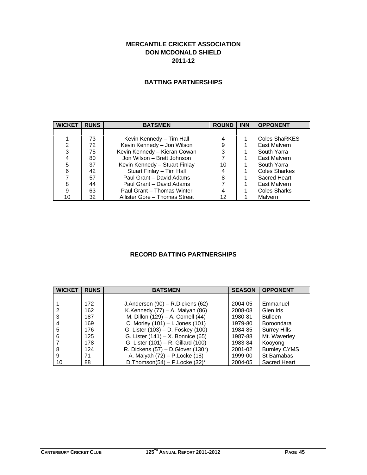# **MERCANTILE CRICKET ASSOCIATION DON MCDONALD SHIELD 2011-12**

# **BATTING PARTNERSHIPS**

| <b>WICKET</b> | <b>RUNS</b> | <b>BATSMEN</b>                | <b>ROUND</b> | <b>INN</b> | <b>OPPONENT</b>      |
|---------------|-------------|-------------------------------|--------------|------------|----------------------|
|               |             |                               |              |            |                      |
|               | 73          | Kevin Kennedy – Tim Hall      |              |            | <b>Coles ShaRKES</b> |
| 2             | 72          | Kevin Kennedy - Jon Wilson    | 9            |            | East Malvern         |
| 3             | 75          | Kevin Kennedy - Kieran Cowan  | 3            |            | South Yarra          |
|               | 80          | Jon Wilson - Brett Johnson    | 7            |            | East Malvern         |
| 5             | 37          | Kevin Kennedy - Stuart Finlay | 10           |            | South Yarra          |
| 6             | 42          | Stuart Finlay - Tim Hall      |              |            | <b>Coles Sharkes</b> |
|               | 57          | Paul Grant - David Adams      | 8            |            | Sacred Heart         |
| 8             | 44          | Paul Grant - David Adams      |              |            | East Malvern         |
| 9             | 63          | Paul Grant - Thomas Winter    |              |            | <b>Coles Sharks</b>  |
| 10            | 32          | Allister Gore - Thomas Streat | 12           |            | Malvern              |

# **RECORD BATTING PARTNERSHIPS**

| <b>WICKET</b> | <b>RUNS</b> | <b>BATSMEN</b>                      | <b>SEASON</b> | <b>OPPONENT</b>     |
|---------------|-------------|-------------------------------------|---------------|---------------------|
|               |             |                                     |               |                     |
|               | 172         | J.Anderson (90) - R.Dickens (62)    | 2004-05       | Emmanuel            |
|               | 162         | K.Kennedy $(77)$ – A. Maiyah $(86)$ | 2008-08       | Glen Iris           |
|               | 187         | M. Dillon (129) - A. Cornell (44)   | 1980-81       | <b>Bulleen</b>      |
| 4             | 169         | C. Morley (101) - I. Jones (101)    | 1979-80       | Boroondara          |
| 5             | 176         | G. Lister (103) - D. Foskey (100)   | 1984-85       | <b>Surrey Hills</b> |
| 6             | 125         | G. Lister (141) – X. Bonnice (65)   | 1987-88       | Mt. Waverley        |
|               | 178         | G. Lister (101) – R. Gillard (100)  | 1983-84       | Kooyong             |
|               | 124         | R. Dickens (57) – D. Glover (130*)  | 2001-02       | <b>Burnley CYMS</b> |
| 9             | 71          | A. Maiyah (72) - P. Locke (18)      | 1999-00       | St Barnabas         |
| 10            | 88          | D. Thomson(54) – P. Locke $(32)^*$  | 2004-05       | <b>Sacred Heart</b> |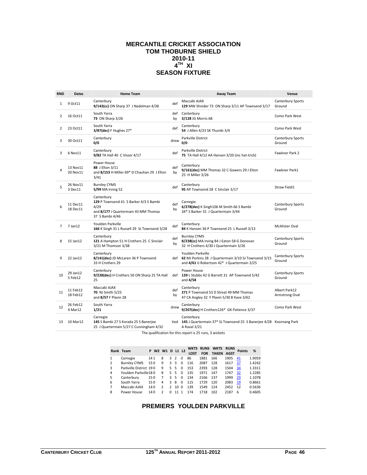# **MERCANTILE CRICKET ASSOCIATION TOM THOBURNE SHIELD 2010-11 4TH XI SEASON FIXTURE**

| <b>RND</b>   | <b>Dates</b>         | <b>Home Team</b>                                                                                                        |           | <b>Away Team</b>                                                                                                          | Venue                           |
|--------------|----------------------|-------------------------------------------------------------------------------------------------------------------------|-----------|---------------------------------------------------------------------------------------------------------------------------|---------------------------------|
| $\mathbf{1}$ | 9 Oct11              | Canterbury<br>9/143(cc) ON Sharp 37 J Nadelman 4/38                                                                     | def       | Maccabi AJAX<br>129 MW Shnider 73 ON Sharp 3/11 AP Townsend 3/17                                                          | Canterbury Sports<br>Ground     |
| 2            | 16 Oct11             | South Yarra<br><b>73 ON Sharp 3/26</b>                                                                                  | def<br>by | Canterbury<br>3/128 JG Morris 68                                                                                          | Como Park West                  |
| 2            | 23 Oct11             | South Yarra<br>3/87(dec) F Hughes 27*                                                                                   | def       | Canterbury<br>54 J Allen 4/23 SK Thuniki 3/4                                                                              | Como Park West                  |
| 3            | 30 Oct11             | Canterbury<br>0/0                                                                                                       | drew      | Parkville District<br>0/0                                                                                                 | Canterbury Sports<br>Ground     |
| 3            | 6 Nov11              | Canterbury<br>9/82 TA Hall 40 C Visser 4/17                                                                             | def       | Parkville District<br>75 TA Hall 4/12 AA Hansen 3/20 (inc hat-trick)                                                      | Fawkner Park 2                  |
| 4            | 13 Nov11<br>20 Nov11 | Power House<br>88 J Elton 3/11<br>and 8/153 H Miller 69* D Chauhan 29 J Elton<br>3/41                                   | def<br>by | Canterbury<br>9/161(dec) MM Thomas 32 C Gowers 29 J Elton<br>25 H Miller 3/26                                             | Fawkner Park1                   |
| 5            | 26 Nov11<br>3 Dec11  | <b>Burnley CYMS</b><br>5/99 MA Irving 52                                                                                | def       | Canterbury<br>95 AP Townsend 28 C Sinclair 3/17                                                                           | Straw Field1                    |
| 6            | 11 Dec11<br>18 Dec11 | Canterbury<br>129 P Townsend 41 S Barker 4/3 S Bambi<br>4/29<br>and 8/177 J Quartermain 43 MM Thomas<br>37 S Bambi 4/46 | def<br>by | Carnegie<br>6/278(dec) K Singh106 M Smith 66 S Bambi<br>34* S Barker 31 J Quartermain 3/44                                | Canterbury Sports<br>Ground     |
| 7            | 7 Jan12              | Youlden Parkville<br>166 K Singh 31 L Russell 29 SJ Townsend 3/28                                                       | def       | Canterbury<br>84 K Hansen 36 P Townsend 25 L Russell 3/13                                                                 | <b>McAlister Oval</b>           |
| 8            | 15 Jan12             | Canterbury<br>121 A Hampton 51 H Crothers 25 C Sinclair<br>3/21 M Thomson 3/38                                          | def<br>by | <b>Burnley CYMS</b><br>8/238(cc) MA Irving 84 J Eaton 58 G Donovan<br>32 H Crothers 4/30 J Quartermain 3/26               | Canterbury Sports<br>Ground     |
| 9            | 22 Jan12             | Canterbury<br>8/141(dec) JD McLaren 36 P Townsend<br>33 H Crothers 29                                                   | def       | Youlden Parkville<br>62 MJ Perkins 28 J Quartermain 3/10 SJ Townsend 3/15<br>and 4/61 IJ Robertson 42* J Quartermain 3/25 | Canterbury Sports<br>Ground     |
| 10           | 29 Jan12<br>5 Feb12  | Canterbury<br>9/228(dec) H Crothers 50 ON Sharp 25 TA Hall<br>25                                                        | def       | Power House<br>139 L Stubbs 42 G Barrett 31 AP Townsend 5/42<br>and 4/58                                                  | Canterbury Sports<br>Ground     |
| 11           | 11 Feb12<br>18 Feb12 | Maccabi AJAX<br>70 NJ Smith 5/25<br>and 8/57 F Plavin 28                                                                | def<br>by | Canterbury<br>271 P Townsend 53 D Streat 49 MM Thomas<br>47 CA Angley 32 F Plavin 5/30 B Kave 3/62                        | Albert Park12<br>Armstrong Oval |
| 12           | 26 Feb12<br>4 Mar12  | South Yarra<br>1/21                                                                                                     | drew      | Canterbury<br>9/207(dec) H Crothers126* GK Patience 3/37                                                                  | Como Park West                  |
| 13           | 10 Mar12             | Carnegie<br>145 S Bambi 27 S Korada 25 S Banerjee<br>25 J Quartermain 5/27 C Cunningham 4/32                            | tied      | Canterbury<br>145 J Quartermain 37* SJ Townsend 25 S Banerjee 4/28 Koornang Park<br>A Raval 3/21                          |                                 |

The qualification for this report is 25 runs, 3 wickets

|   | Rank Team              |     | P W2 W1 D L1 L2 |               |                |          | WKTS<br><b>LOST</b> | <b>RUNS</b><br><b>FOR</b> | <b>WKTS</b><br><b>TAKEN</b> | <b>RUNS</b><br><b>AGST</b> | <b>Points</b> | %      |
|---|------------------------|-----|-----------------|---------------|----------------|----------|---------------------|---------------------------|-----------------------------|----------------------------|---------------|--------|
|   | Carnegie               | 141 | 8               | 3             | $\overline{2}$ | $\Omega$ | 86                  | 1881                      | 166                         | 1905                       | 41            | 1.9059 |
| 2 | <b>Burnley CYMS</b>    | 150 | 9               | 3             | 3              | $\Omega$ | 116                 | 2087                      | 128                         | 1617                       | 37            | 1.4242 |
| 3 | Parkville District 190 |     | 9               | 5.            | -5             | $\Omega$ | 153                 | 2393                      | 128                         | 1504                       | 34            | 1.3311 |
| 4 | Youlden Parkville180   |     | 8               | 5.            | -5             | $\Omega$ | 135                 | 1971                      | 147                         | 1747                       | 32            | 1.2285 |
| 5 | Canterbury             | 150 | 7               | 3             | -5             | $\Omega$ | 134                 | 2166                      | 137                         | 1999                       | 29            | 1.1078 |
| 6 | South Yarra            | 150 | 4               | ٩             | 8              | $\Omega$ | 115                 | 1729                      | 120                         | 2083                       | 19            | 0.8661 |
| 7 | Maccabi AJAX           | 140 | 2               | $\mathcal{P}$ | 10             | $\Omega$ | 139                 | 1549                      | 124                         | 2452                       | 12            | 0.5636 |
| 8 | Power House            | 140 | 2               | n             |                |          | 174                 | 1718                      | 102                         | 2187                       | 6             | 0.4605 |

# **PREMIERS YOULDEN PARKVILLE**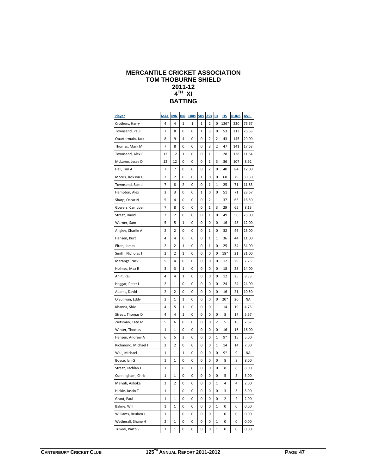#### **MERCANTILE CRICKET ASSOCIATION TOM THOBURNE SHIELD 2011-12 4TH XI BATTING**

| <b>Player</b>       | <b>MAT</b>  | <b>INN</b>              | <b>NO</b> | 100s | <b>50s</b> | 25s | 0s | <u>HS</u> | <b>RUNS</b> | AVE.  |
|---------------------|-------------|-------------------------|-----------|------|------------|-----|----|-----------|-------------|-------|
| Crothers, Harry     | 4           | 4                       | 1         | 1    | 1          | 2   | 0  | 126*      | 230         | 76.67 |
| Townsend, Paul      | 7           | 8                       | 0         | 0    | 1          | 3   | 0  | 53        | 213         | 26.63 |
| Quartermain, Jack   | 8           | 9                       | 4         | 0    | 0          | 2   | 2  | 43        | 145         | 29.00 |
| Thomas, Mark M      | 7           | 8                       | 0         | 0    | 0          | 3   | 2  | 47        | 141         | 17.63 |
| Townsend, Alex P    | 12          | 12                      | 1         | 0    | 0          | 1   | 1  | 28        | 128         | 11.64 |
| McLaren, Jesse D    | 12          | 12                      | 0         | 0    | 0          | 1   | 3  | 36        | 107         | 8.92  |
| Hall, Tim A         | 7           | 7                       | 0         | 0    | 0          | 2   | 0  | 40        | 84          | 12.00 |
| Morris, Jackson G   | $\mathbf 2$ | 2                       | 0         | 0    | 1          | 0   | 0  | 68        | 79          | 39.50 |
| Townsend, Sam J     | 7           | 8                       | 2         | 0    | 0          | 1   | 1  | 25        | 71          | 11.83 |
| Hampton, Alex       | 3           | 3                       | 0         | 0    | 1          | 0   | 0  | 51        | 71          | 23.67 |
| Sharp, Oscar N      | 5           | 4                       | 0         | 0    | 0          | 2   | 1  | 37        | 66          | 16.50 |
| Gowers, Campbell    | 7           | 8                       | 0         | 0    | 0          | 1   | 3  | 29        | 65          | 8.13  |
| Streat, David       | 2           | 2                       | 0         | 0    | 0          | 1   | 0  | 49        | 50          | 25.00 |
| Warner, Sam         | 5           | 5                       | 1         | 0    | 0          | 0   | 0  | 16        | 48          | 12.00 |
| Angley, Charlie A   | 2           | 2                       | 0         | 0    | 0          | 1   | 0  | 32        | 46          | 23.00 |
| Hansen, Kurt        | 4           | 4                       | 0         | 0    | 0          | 1   | 1  | 36        | 44          | 11.00 |
| Elton, James        | 2           | 2                       | 1         | 0    | 0          | 1   | 0  | 25        | 34          | 34.00 |
| Smith, Nicholas J   | 2           | 2                       | 1         | 0    | 0          | 0   | 0  | $18*$     | 31          | 31.00 |
| Merange, Nick       | 5           | 4                       | 0         | 0    | 0          | 0   | 0  | 12        | 29          | 7.25  |
| Holmes, Max R       | 3           | 3                       | 1         | 0    | 0          | 0   | 0  | 18        | 28          | 14.00 |
| Anjit, Raj          | 4           | 4                       | 1         | 0    | 0          | 0   | 0  | 12        | 25          | 8.33  |
| Haggar, Peter I     | 2           | 1                       | 0         | 0    | 0          | 0   | 0  | 24        | 24          | 24.00 |
| Adams, David        | 2           | 2                       | 0         | 0    | 0          | 0   | 0  | 16        | 21          | 10.50 |
| O'Sullivan, Eddy    | $\mathbf 2$ | 1                       | 1         | 0    | 0          | 0   | 0  | $20*$     | 20          | NA    |
| Khanna, Shiv        | 4           | 5                       | 1         | 0    | 0          | 0   | 1  | 14        | 19          | 4.75  |
| Streat, Thomas D    | 4           | 4                       | 1         | 0    | 0          | 0   | 0  | 8         | 17          | 5.67  |
| Zietsman, Cato M    | 5           | 6                       | 0         | 0    | 0          | 0   | 2  | 5         | 16          | 2.67  |
| Winter, Thomas      | 1           | 1                       | 0         | 0    | 0          | 0   | 0  | 16        | 16          | 16.00 |
| Hansen, Andrew A    | 6           | 5                       | 2         | 0    | 0          | 0   | 1  | 9*        | 15          | 5.00  |
| Richmond, Michael J | 2           | 2                       | 0         | 0    | 0          | 0   | 1  | 14        | 14          | 7.00  |
| Wall, Michael       | 1           | 1                       | 1         | 0    | 0          | 0   | 0  | 9*        | 9           | NA    |
| Boyce, Ian G        | 1           | 1                       | 0         | 0    | 0          | 0   | 0  | 8         | 8           | 8.00  |
| Streat, Lachlan J   | 1           | 1                       | 0         | 0    | 0          | 0   | 0  | 8         | 8           | 8.00  |
| Cunningham, Chris   | 1           | 1                       | 0         | 0    | 0          | 0   | 0  | 5         | 5           | 5.00  |
| Maiyah, Ashoka      | 2           | $\overline{\mathbf{c}}$ | 0         | 0    | 0          | 0   | 1  | 4         | 4           | 2.00  |
| Hickie, Justin T    | 1           | 1                       | 0         | 0    | 0          | 0   | 0  | 3         | 3           | 3.00  |
| Grant, Paul         | 1           | 1                       | 0         | 0    | 0          | 0   | 0  | 2         | 2           | 2.00  |
| Balme, Will         | 1           | 1                       | 0         | 0    | 0          | 0   | 1  | 0         | 0           | 0.00  |
| Williams, Reuben J  | 1           | 1                       | 0         | 0    | 0          | 0   | 1  | 0         | 0           | 0.00  |
| Wetherall, Shane H  | 2           | $\mathbf{1}$            | 0         | 0    | 0          | 0   | 1  | 0         | 0           | 0.00  |
| Trivedi, Parthiv    | 1           | 1                       | 0         | 0    | 0          | 0   | 1  | 0         | 0           | 0.00  |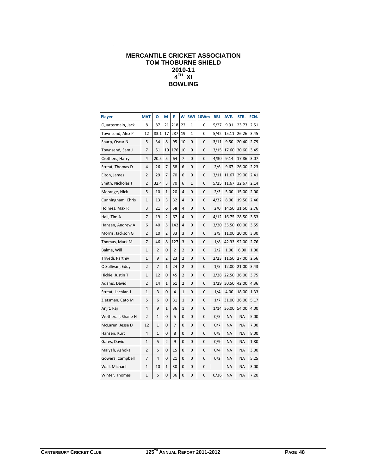# **MERCANTILE CRICKET ASSOCIATION TOM THOBURNE SHIELD 2010-11 4TH XI BOWLING**

| <b>Player</b>      | <b>MAT</b>   | $\overline{\mathbf{o}}$ | <u>м</u>     | R   | W  | 5Wi | <b>10Wm</b> | <b>BBI</b> | AVE.  | STR.  | ECN. |
|--------------------|--------------|-------------------------|--------------|-----|----|-----|-------------|------------|-------|-------|------|
| Quartermain, Jack  | 8            | 87                      | 21           | 218 | 22 | 1   | 0           | 5/27       | 9.91  | 23.73 | 2.51 |
| Townsend, Alex P   | 12           | 83.1                    | 17           | 287 | 19 | 1   | 0           | 5/42       | 15.11 | 26.26 | 3.45 |
| Sharp, Oscar N     | 5            | 34                      | 8            | 95  | 10 | 0   | 0           | 3/11       | 9.50  | 20.40 | 2.79 |
| Townsend, Sam J    | 7            | 51                      | 10           | 176 | 10 | 0   | 0           | 3/15       | 17.60 | 30.60 | 3.45 |
| Crothers, Harry    | 4            | 20.5                    | 5            | 64  | 7  | 0   | 0           | 4/30       | 9.14  | 17.86 | 3.07 |
| Streat, Thomas D   | 4            | 26                      | 7            | 58  | 6  | 0   | 0           | 2/6        | 9.67  | 26.00 | 2.23 |
| Elton, James       | 2            | 29                      | 7            | 70  | 6  | 0   | 0           | 3/11       | 11.67 | 29.00 | 2.41 |
| Smith, Nicholas J  | 2            | 32.4                    | 3            | 70  | 6  | 1   | 0           | 5/25       | 11.67 | 32.67 | 2.14 |
| Merange, Nick      | 5            | 10                      | 1            | 20  | 4  | 0   | 0           | 2/3        | 5.00  | 15.00 | 2.00 |
| Cunningham, Chris  | $\mathbf{1}$ | 13                      | 3            | 32  | 4  | 0   | 0           | 4/32       | 8.00  | 19.50 | 2.46 |
| Holmes, Max R      | 3            | 21                      | 6            | 58  | 4  | 0   | 0           | 2/0        | 14.50 | 31.50 | 2.76 |
| Hall, Tim A        | 7            | 19                      | 2            | 67  | 4  | 0   | 0           | 4/12       | 16.75 | 28.50 | 3.53 |
| Hansen, Andrew A   | 6            | 40                      | 5            | 142 | 4  | 0   | 0           | 3/20       | 35.50 | 60.00 | 3.55 |
| Morris, Jackson G  | 2            | 10                      | 2            | 33  | 3  | 0   | 0           | 2/9        | 11.00 | 20.00 | 3.30 |
| Thomas, Mark M     | 7            | 46                      | 8            | 127 | 3  | 0   | 0           | 1/8        | 42.33 | 92.00 | 2.76 |
| Balme, Will        | 1            | 2                       | 0            | 2   | 2  | 0   | 0           | 2/2        | 1.00  | 6.00  | 1.00 |
| Trivedi, Parthiv   | 1            | 9                       | 2            | 23  | 2  | 0   | 0           | 2/23       | 11.50 | 27.00 | 2.56 |
| O'Sullivan, Eddy   | 2            | 7                       | 1            | 24  | 2  | 0   | 0           | 1/5        | 12.00 | 21.00 | 3.43 |
| Hickie, Justin T   | 1            | 12                      | 0            | 45  | 2  | 0   | 0           | 2/28       | 22.50 | 36.00 | 3.75 |
| Adams, David       | 2            | 14                      | 1            | 61  | 2  | 0   | 0           | 1/29       | 30.50 | 42.00 | 4.36 |
| Streat, Lachlan J  | 1            | 3                       | 0            | 4   | 1  | 0   | 0           | 1/4        | 4.00  | 18.00 | 1.33 |
| Zietsman, Cato M   | 5            | 6                       | 0            | 31  | 1  | 0   | 0           | 1/7        | 31.00 | 36.00 | 5.17 |
| Anjit, Raj         | 4            | 9                       | $\mathbf{1}$ | 36  | 1  | 0   | 0           | 1/14       | 36.00 | 54.00 | 4.00 |
| Wetherall, Shane H | 2            | 1                       | 0            | 5   | 0  | 0   | 0           | 0/5        | ΝA    | NA    | 5.00 |
| McLaren, Jesse D   | 12           | 1                       | 0            | 7   | 0  | 0   | 0           | 0/7        | NA    | ΝA    | 7.00 |
| Hansen, Kurt       | 4            | $\mathbf{1}$            | 0            | 8   | 0  | 0   | 0           | 0/8        | NA    | NA    | 8.00 |
| Gates, David       | 1            | 5                       | 2            | 9   | 0  | 0   | 0           | 0/9        | ΝA    | ΝA    | 1.80 |
| Maiyah, Ashoka     | 2            | 5                       | 0            | 15  | 0  | 0   | 0           | 0/4        | NA    | ΝA    | 3.00 |
| Gowers, Campbell   | 7            | 4                       | 0            | 21  | 0  | 0   | 0           | 0/2        | ΝA    | ΝA    | 5.25 |
| Wall, Michael      | 1            | 10                      | 1            | 30  | 0  | 0   | 0           |            | ΝA    | ΝA    | 3.00 |
| Winter, Thomas     | 1            | 5                       | 0            | 36  | 0  | 0   | 0           | 0/36       | ΝA    | NA    | 7.20 |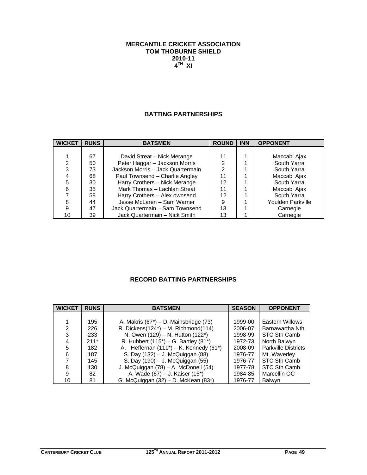# **MERCANTILE CRICKET ASSOCIATION TOM THOBURNE SHIELD 2010-11 4TH XI**

# **BATTING PARTNERSHIPS**

| <b>WICKET</b> | <b>RUNS</b> | <b>BATSMEN</b>                    | <b>ROUND</b> | <b>INN</b> | <b>OPPONENT</b>   |
|---------------|-------------|-----------------------------------|--------------|------------|-------------------|
|               |             |                                   |              |            |                   |
|               | 67          | David Streat - Nick Merange       | 11           |            | Maccabi Ajax      |
| 2             | 50          | Peter Haggar - Jackson Morris     | 2            |            | South Yarra       |
| 3             | 73          | Jackson Morris - Jack Quartermain | າ            |            | South Yarra       |
|               | 68          | Paul Townsend - Charlie Angley    | 11           |            | Maccabi Ajax      |
| 5             | 30          | Harry Crothers - Nick Merange     | 12           |            | South Yarra       |
| 6             | 35          | Mark Thomas - Lachlan Streat      | 11           |            | Maccabi Ajax      |
|               | 58          | Harry Crothers - Alex ownsend     | 12           |            | South Yarra       |
| 8             | 44          | Jesse McLaren - Sam Warner        | 9            |            | Youlden Parkville |
| 9             | 47          | Jack Quartermain - Sam Townsend   | 13           |            | Carnegie          |
| 10            | 39          | Jack Quartermain - Nick Smith     | 13           |            | Carnegie          |

# **RECORD BATTING PARTNERSHIPS**

| <b>WICKET</b>  | <b>RUNS</b> | <b>BATSMEN</b>                               | <b>SEASON</b> | <b>OPPONENT</b>            |
|----------------|-------------|----------------------------------------------|---------------|----------------------------|
|                |             |                                              |               |                            |
|                | 195         | A. Makris $(67^*)$ – D. Mainsbridge $(73)$   | 1999-00       | Eastern Willows            |
| $\overline{2}$ | 226         | $R.Dickens(124^*) - M. Richmond(114)$        | 2006-07       | Barnawartha Nth            |
| 3              | 233         | N. Owen (129) - N. Hutton (122*)             | 1998-99       | STC Sth Camb               |
| 4              | $211*$      | R. Hubbert $(115^*)$ – G. Bartley $(81^*)$   | 1972-73       | North Balwyn               |
| 5              | 182         | A. Heffernan $(111^*)$ – K. Kennedy $(61^*)$ | 2008-09       | <b>Parkville Districts</b> |
| 6              | 187         | S. Day (132) – J. McQuiggan (88)             | 1976-77       | Mt. Waverley               |
|                | 145         | S. Day (190) - J. McQuiggan (55)             | 1976-77       | STC Sth Camb               |
| 8              | 130         | J. McQuiggan (78) - A. McDonell (54)         | 1977-78       | STC Sth Camb               |
| 9              | 82          | A. Wade (67) – J. Kaiser (15*)               | 1984-85       | Marcellin OC               |
| 10             | 81          | G. McQuiggan (32) - D. McKean (83*)          | 1976-77       | <b>Balwyn</b>              |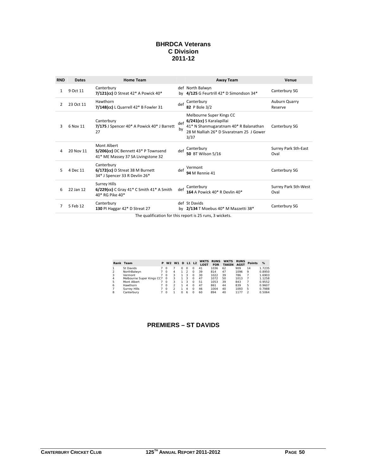# **BHRDCA Veterans C Division 2011-12**

| <b>RND</b>    | <b>Dates</b> | <b>Home Team</b>                                                                                                                                                  |           | <b>Away Team</b>                                                                                                                                  | Venue                        |
|---------------|--------------|-------------------------------------------------------------------------------------------------------------------------------------------------------------------|-----------|---------------------------------------------------------------------------------------------------------------------------------------------------|------------------------------|
| 1             | 9 Oct 11     | Canterbury<br>7/121(cc) D Streat $42*$ A Powick $40*$                                                                                                             |           | def North Balwyn<br>by 4/125 G Feurtrill 42* D Simondson 34*                                                                                      | Canterbury SG                |
| $\mathcal{L}$ | 23 Oct 11    | Hawthorn<br>7/148(cc) L Quarrell 42* B Fowler 31                                                                                                                  | def       | Canterbury<br>82 P Bole 3/2                                                                                                                       | Auburn Quarry<br>Reserve     |
| Ρ             | 6 Nov 11     | Canterbury<br>7/175 J Spencer 40* A Powick 40* J Barrett<br>27                                                                                                    | def<br>by | Melbourne Super Kings CC<br>6/241(cc) S Karalapillai<br>41* N Shanmugaratnam 40* R Balanathan<br>28 M Nalliah 26* D Sivaratnam 25 J Gower<br>3/37 | Canterbury SG                |
| 4             | 20 Nov 11    | Mont Albert<br>5/206(cc) DC Bennett 43* P Townsend<br>41* ME Massey 37 SA Livingstone 32                                                                          | def       | Canterbury<br>50 BT Wilson 5/16                                                                                                                   | Surrey Park Sth-East<br>Oval |
| 5.            | 4 Dec 11     | Canterbury<br>6/172(cc) D Streat 38 M Burnett<br>34* J Spencer 33 R Devlin 26*                                                                                    | def       | Vermont<br><b>94 M Rennie 41</b>                                                                                                                  | Canterbury SG                |
| 6             | 22 Jan 12    | <b>Surrey Hills</b><br>6/229(cc) C Gray 41* C Smith 41* A Smith<br>40* RG Pike 40*                                                                                | def       | Canterbury<br>164 A Powick 40* R Devlin 40*                                                                                                       | Surrey Park Sth-West<br>Oval |
| 7             | 5 Feb 12     | Canterbury<br>130 PI Haggar 42* D Streat 27<br>$\mathbf{r}$ and $\mathbf{r}$ and $\mathbf{r}$ and $\mathbf{r}$ and $\mathbf{r}$ and $\mathbf{r}$ and $\mathbf{r}$ |           | def St Davids<br>by 2/134 T Moebus 40* M Mazzetti 38*<br>$\cdots$ $\cdots$                                                                        | Canterbury SG                |

The qualification for this report is 25 runs, 3 wickets.

|   | Rank Team                 | P | W <sub>2</sub> | W <sub>1</sub> |              | <b>D</b> L1 L2 |          | LOST | <b>WKTS RUNS</b><br><b>FOR</b> | <b>WKTS</b><br><b>TAKEN</b> | <b>RUNS</b><br><b>AGST</b> | <b>Points</b> | %      |
|---|---------------------------|---|----------------|----------------|--------------|----------------|----------|------|--------------------------------|-----------------------------|----------------------------|---------------|--------|
|   | St Davids                 |   | $\Omega$       |                |              | Ω              | Ω        | 41   | 1036                           | 62                          | 909                        | 14            | 1.7235 |
|   | NorthBalwyn               |   | $\Omega$       | 4              |              | 2              | Ω        | 39   | 814                            | 47                          | 1096                       | 9             | 0.8950 |
| 3 | Vermont                   |   | $\Omega$       | 3              |              | 3              | $\Omega$ | 30   | 1022                           | 39                          | 786                        |               | 1.6903 |
| 4 | Melbourne Super Kings CC7 |   | $\Omega$       | 3              |              | 3              | $\Omega$ | 47   | 1072                           | 50                          | 1013                       |               | 1.1258 |
| 5 | Mont Albert               |   | $\Omega$       | 3              |              | 3              | Ω        | 51   | 1053                           | 39                          | 843                        |               | 0.9552 |
| 6 | Hawthorn                  |   | $\Omega$       |                |              | Δ              | $\Omega$ | 47   | 861                            | 44                          | 839                        | 5             | 0.9607 |
|   | <b>Surrey Hills</b>       |   | $\Omega$       |                |              | Δ              | $\Omega$ | 46   | 1004                           | 40                          | 1093                       | 5             | 0.7988 |
| 8 | Canterbury                |   | $\Omega$       |                | <sup>n</sup> | 6              | Ω        | 60   | 894                            | 40                          | 1177                       |               | 0.5064 |

# **PREMIERS – ST DAVIDS**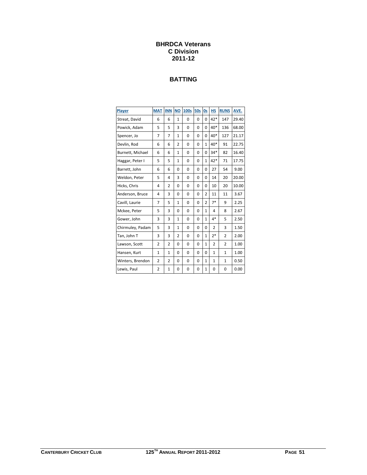# **BHRDCA Veterans C Division 2011-12**

# **BATTING**

| Player           | <b>MAT</b>     | <b>INN</b>     | <b>NO</b>      | 100s     | <b>50s</b> | <b>Os</b>      | <b>HS</b>      | <b>RUNS</b>    | AVE.  |
|------------------|----------------|----------------|----------------|----------|------------|----------------|----------------|----------------|-------|
| Streat, David    | 6              | 6              | $\mathbf{1}$   | 0        | $\Omega$   | $\Omega$       | 42*            | 147            | 29.40 |
| Powick, Adam     | 5              | 5              | 3              | 0        | 0          | $\Omega$       | 40*            | 136            | 68.00 |
| Spencer, Jo      | 7              | 7              | $\mathbf{1}$   | 0        | $\Omega$   | 0              | $40*$          | 127            | 21.17 |
| Devlin, Rod      | 6              | 6              | 2              | 0        | $\Omega$   | $\mathbf{1}$   | $40*$          | 91             | 22.75 |
| Burnett, Michael | 6              | 6              | 1              | 0        | $\Omega$   | 0              | $34*$          | 82             | 16.40 |
| Haggar, Peter I  | 5              | 5              | 1              | 0        | 0          | $\mathbf{1}$   | 42*            | 71             | 17.75 |
| Barrett, John    | 6              | 6              | 0              | 0        | 0          | 0              | 27             | 54             | 9.00  |
| Weldon, Peter    | 5              | 4              | 3              | 0        | $\Omega$   | 0              | 14             | 20             | 20.00 |
| Hicks, Chris     | 4              | $\overline{2}$ | $\Omega$       | 0        | $\Omega$   | 0              | 10             | 20             | 10.00 |
| Anderson, Bruce  | 4              | 3              | $\Omega$       | 0        | 0          | $\overline{2}$ | 11             | 11             | 3.67  |
| Cavill, Laurie   | $\overline{7}$ | 5              | $\mathbf{1}$   | 0        | 0          | $\overline{2}$ | $7*$           | 9              | 2.25  |
| Mckee, Peter     | 5              | 3              | 0              | 0        | 0          | 1              | 4              | 8              | 2.67  |
| Gower, John      | 3              | 3              | $\mathbf{1}$   | 0        | $\Omega$   | $\mathbf{1}$   | 4*             | 5              | 2.50  |
| Chirmuley, Padam | 5              | 3              | $\mathbf{1}$   | $\Omega$ | $\Omega$   | $\Omega$       | $\overline{2}$ | 3              | 1.50  |
| Tan, John T      | 3              | 3              | $\overline{2}$ | 0        | $\Omega$   | $\mathbf{1}$   | $2*$           | $\overline{2}$ | 2.00  |
| Lawson, Scott    | $\overline{2}$ | $\overline{2}$ | 0              | 0        | 0          | $\mathbf{1}$   | $\overline{2}$ | $\overline{2}$ | 1.00  |
| Hansen, Kurt     | $\mathbf{1}$   | 1              | 0              | 0        | 0          | 0              | $\mathbf{1}$   | $\mathbf{1}$   | 1.00  |
| Winters, Brendon | $\overline{2}$ | $\overline{2}$ | 0              | 0        | 0          | $\mathbf{1}$   | $\mathbf{1}$   | $\mathbf{1}$   | 0.50  |
| Lewis, Paul      | 2              | 1              | 0              | 0        | 0          | 1              | 0              | 0              | 0.00  |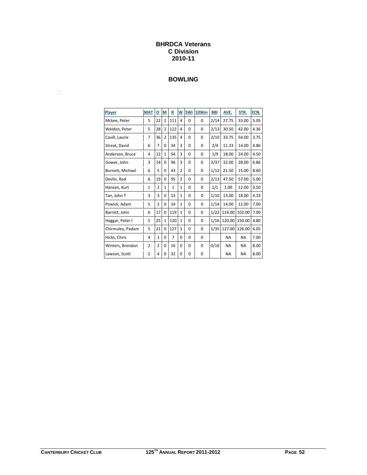# **BHRDCA Veterans C Division 2010-11**

# **BOWLING**

| Player           | <b>MAT</b>     | $\overline{\mathbf{0}}$ | M              | R            | W              | 5Wi      | 10Wm     | <b>BBI</b> | AVE.      | STR.      | ECN. |
|------------------|----------------|-------------------------|----------------|--------------|----------------|----------|----------|------------|-----------|-----------|------|
| Mckee, Peter     | 5              | 22                      | $\overline{2}$ | 111          | 4              | 0        | $\Omega$ | 2/14       | 27.75     | 33.00     | 5.05 |
| Weldon, Peter    | 5              | 28                      | $\overline{2}$ | 122          | 4              | $\Omega$ | $\Omega$ | 2/13       | 30.50     | 42.00     | 4.36 |
| Cavill, Laurie   | $\overline{7}$ | 36                      | $\overline{2}$ | 135          | 4              | $\Omega$ | $\Omega$ | 2/10       | 33.75     | 54.00     | 3.75 |
| Streat, David    | 6              | $\overline{7}$          | 0              | 34           | 3              | $\Omega$ | $\Omega$ | 2/4        | 11.33     | 14.00     | 4.86 |
| Anderson, Bruce  | 4              | 12                      | $\mathbf{1}$   | 54           | 3              | 0        | 0        | 1/9        | 18.00     | 24.00     | 4.50 |
| Gower, John      | 3              | 14                      | 0              | 96           | 3              | $\Omega$ | 0        | 3/37       | 32.00     | 28.00     | 6.86 |
| Burnett, Michael | 6              | 5                       | 0              | 43           | $\overline{2}$ | $\Omega$ | 0        | 1/12       | 21.50     | 15.00     | 8.60 |
| Devlin, Rod      | 6              | 19                      | 0              | 95           | $\overline{2}$ | $\Omega$ | 0        | 2/13       | 47.50     | 57.00     | 5.00 |
| Hansen, Kurt     | $\mathbf{1}$   | $\overline{2}$          | $\mathbf{1}$   | $\mathbf{1}$ | $\mathbf{1}$   | $\Omega$ | $\Omega$ | 1/1        | 1.00      | 12.00     | 0.50 |
| Tan, John T      | 3              | 3                       | 0              | 13           | $\mathbf{1}$   | 0        | 0        | 1/10       | 13.00     | 18.00     | 4.33 |
| Powick, Adam     | 5              | $\overline{2}$          | 0              | 14           | $\mathbf{1}$   | $\Omega$ | 0        | 1/14       | 14.00     | 12.00     | 7.00 |
| Barrett, John    | 6              | 17                      | 0              | 119          | $\mathbf{1}$   | $\Omega$ | $\Omega$ | 1/22       | 119.00    | 102.00    | 7.00 |
| Haggar, Peter I  | 5              | 25                      | $\mathbf{1}$   | 120          | $\mathbf{1}$   | $\Omega$ | 0        | 1/16       | 120.00    | 150.00    | 4.80 |
| Chirmuley, Padam | 5              | 21                      | 0              | 127          | $\mathbf{1}$   | $\Omega$ | $\Omega$ | 1/35       | 127.00    | 126.00    | 6.05 |
| Hicks, Chris     | 4              | $\mathbf{1}$            | 0              | 7            | 0              | 0        | 0        |            | <b>NA</b> | <b>NA</b> | 7.00 |
| Winters, Brendon | $\overline{2}$ | $\overline{2}$          | 0              | 16           | 0              | $\Omega$ | 0        | 0/16       | <b>NA</b> | NA        | 8.00 |
| Lawson, Scott    | $\overline{2}$ | 4                       | 0              | 32           | 0              | 0        | 0        |            | <b>NA</b> | NA        | 8.00 |

 $\equiv$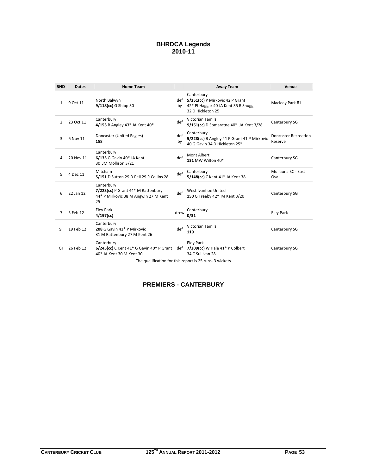#### **BHRDCA Legends 2010-11**

| <b>RND</b>     | <b>Dates</b> | <b>Home Team</b>                                                                                                         |           | <b>Away Team</b>                                                                                              | Venue                                  |
|----------------|--------------|--------------------------------------------------------------------------------------------------------------------------|-----------|---------------------------------------------------------------------------------------------------------------|----------------------------------------|
| $\mathbf{1}$   | 9 Oct 11     | North Balwyn<br>9/118(cc) G Shipp 30                                                                                     | by        | Canterbury<br>def 5/251(cc) P Mirkovic 42 P Grant<br>42* PI Haggar 40 JA Kent 35 R Shugg<br>32 D Hickleton 25 | Macleay Park #1                        |
| $\overline{2}$ | 23 Oct 11    | Canterbury<br>4/153 B Angley 43* JA Kent 40*                                                                             | def       | <b>Victorian Tamils</b><br>$9/151$ (cc) D Somaratne $40^*$ JA Kent $3/28$                                     | Canterbury SG                          |
| 3              | 6 Nov 11     | Doncaster (United Eagles)<br>158                                                                                         | def<br>by | Canterbury<br>5/228(cc) B Angley 41 P Grant 41 P Mirkovic<br>40 G Gavin 34 D Hickleton 25*                    | <b>Doncaster Recreation</b><br>Reserve |
| 4              | 20 Nov 11    | Canterbury<br>6/135 G Gavin 40* JA Kent<br>30 JM Mollison 3/21                                                           | def       | Mont Albert<br>131 MW Wilton 40*                                                                              | Canterbury SG                          |
| 5.             | 4 Dec 11     | Mitcham<br>5/151 D Sutton 29 D Pell 29 R Collins 28                                                                      | def       | Canterbury<br>5/148(cc) C Kent 41* JA Kent 38                                                                 | Mullauna SC - East<br>Oval             |
| 6              | 22 Jan 12    | Canterbury<br>7/223(cc) P Grant 44* M Rattenbury<br>44* P Mirkovic 38 M Angwin 27 M Kent<br>25                           | def       | West Ivanhoe United<br>150 G Treeby 42* M Kent 3/20                                                           | Canterbury SG                          |
| 7              | 5 Feb 12     | <b>Eley Park</b><br>$4/197$ (cc)                                                                                         | drew      | Canterbury<br>0/31                                                                                            | Eley Park                              |
| SF             | 19 Feb 12    | Canterbury<br>208 G Gavin 41* P Mirkovic<br>31 M Rattenbury 27 M Kent 26                                                 | def       | <b>Victorian Tamils</b><br>119                                                                                | Canterbury SG                          |
| GF             | 26 Feb 12    | Canterbury<br>$6/245$ (cc) C Kent 41* G Gavin 40* P Grant def 7/209(cc) W Hale 41* P Colbert<br>40* JA Kent 30 M Kent 30 |           | <b>Eley Park</b><br>34 C Sullivan 28                                                                          | Canterbury SG                          |
|                |              |                                                                                                                          |           | The qualification for this report is 25 runs. 2 wickets                                                       |                                        |

The qualification for this report is 25 runs, 3 wickets

# **PREMIERS - CANTERBURY**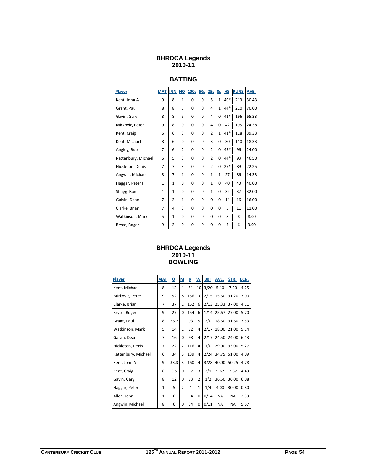## **BHRDCA Legends 2010-11**

# **BATTING**

| Player              | <b>MAT</b>   | <b>INN</b>     | <b>NO</b>      | 100s     | <b>50s</b> | 25s            | <b>Os</b>    | H <sub>S</sub> | <b>RUNS</b> | AVE.  |
|---------------------|--------------|----------------|----------------|----------|------------|----------------|--------------|----------------|-------------|-------|
| Kent, John A        | 9            | 8              | $\mathbf{1}$   | $\Omega$ | 0          | 5              | $\mathbf{1}$ | $40*$          | 213         | 30.43 |
| Grant, Paul         | 8            | 8              | 5              | $\Omega$ | 0          | 4              | $\mathbf{1}$ | $44*$          | 210         | 70.00 |
| Gavin, Gary         | 8            | 8              | 5              | 0        | 0          | $\overline{4}$ | $\Omega$     | $41*$          | 196         | 65.33 |
| Mirkovic, Peter     | 9            | 8              | 0              | $\Omega$ | 0          | $\overline{4}$ | $\Omega$     | 42             | 195         | 24.38 |
| Kent, Craig         | 6            | 6              | 3              | 0        | 0          | $\overline{2}$ | 1            | $41*$          | 118         | 39.33 |
| Kent, Michael       | 8            | 6              | 0              | 0        | 0          | 3              | $\Omega$     | 30             | 110         | 18.33 |
| Angley, Bob         | 7            | 6              | $\overline{2}$ | 0        | 0          | $\overline{2}$ | 0            | 43*            | 96          | 24.00 |
| Rattenbury, Michael | 6            | 5              | 3              | 0        | 0          | $\overline{2}$ | $\Omega$     | 44*            | 93          | 46.50 |
| Hickleton, Denis    | 7            | 7              | 3              | $\Omega$ | 0          | $\overline{2}$ | $\Omega$     | $25*$          | 89          | 22.25 |
| Angwin, Michael     | 8            | 7              | $\mathbf{1}$   | $\Omega$ | 0          | $\mathbf{1}$   | $\mathbf{1}$ | 27             | 86          | 14.33 |
| Haggar, Peter I     | $\mathbf{1}$ | 1              | $\Omega$       | $\Omega$ | 0          | $\mathbf{1}$   | $\Omega$     | 40             | 40          | 40.00 |
| Shugg, Ron          | $\mathbf{1}$ | $\mathbf{1}$   | 0              | 0        | 0          | 1              | 0            | 32             | 32          | 32.00 |
| Galvin, Dean        | 7            | 2              | 1              | 0        | 0          | 0              | 0            | 14             | 16          | 16.00 |
| Clarke, Brian       | 7            | 4              | 3              | 0        | 0          | 0              | 0            | 5              | 11          | 11.00 |
| Watkinson, Mark     | 5            | $\mathbf{1}$   | 0              | $\Omega$ | 0          | $\Omega$       | 0            | 8              | 8           | 8.00  |
| Bryce, Roger        | 9            | $\overline{2}$ | 0              | 0        | 0          | $\Omega$       | 0            | 5              | 6           | 3.00  |

# **BHRDCA Legends 2010-11 BOWLING**

| Player              | <b>MAT</b>   | ₫    | M              | R   | W            | <b>BBI</b> | AVE.      | STR.      | ECN. |
|---------------------|--------------|------|----------------|-----|--------------|------------|-----------|-----------|------|
| Kent, Michael       | 8            | 12   | 1              | 51  | 10           | 3/20       | 5.10      | 7.20      | 4.25 |
| Mirkovic, Peter     | 9            | 52   | 8              | 156 | 10           | 2/15       | 15.60     | 31.20     | 3.00 |
| Clarke, Brian       | 7            | 37   | $\mathbf{1}$   | 152 | 6            | 2/13       | 25.33     | 37.00     | 4.11 |
| Bryce, Roger        | 9            | 27   | 0              | 154 | 6            | 1/14       | 25.67     | 27.00     | 5.70 |
| Grant, Paul         | 8            | 26.2 | $\mathbf{1}$   | 93  | 5            | 2/0        | 18.60     | 31.60     | 3.53 |
| Watkinson, Mark     | 5            | 14   | $\mathbf{1}$   | 72  | 4            | 2/17       | 18.00     | 21.00     | 5.14 |
| Galvin, Dean        | 7            | 16   | $\Omega$       | 98  | 4            | 2/17       | 24.50     | 24.00     | 6.13 |
| Hickleton, Denis    | 7            | 22   | 2              | 116 | 4            | 1/0        | 29.00     | 33.00     | 5.27 |
| Rattenbury, Michael | 6            | 34   | 3              | 139 | 4            | 2/24       | 34.75     | 51.00     | 4.09 |
| Kent, John A        | 9            | 33.3 | 3              | 160 | 4            | 3/28       | 40.00     | 50.25     | 4.78 |
| Kent, Craig         | 6            | 3.5  | $\Omega$       | 17  | 3            | 2/1        | 5.67      | 7.67      | 4.43 |
| Gavin, Gary         | 8            | 12   | $\Omega$       | 73  | 2            | 1/2        | 36.50     | 36.00     | 6.08 |
| Haggar, Peter I     | $\mathbf{1}$ | 5    | $\overline{2}$ | 4   | $\mathbf{1}$ | 1/4        | 4.00      | 30.00     | 0.80 |
| Allen, John         | $\mathbf{1}$ | 6    | $\mathbf{1}$   | 14  | 0            | 0/14       | <b>NA</b> | <b>NA</b> | 2.33 |
| Angwin, Michael     | 8            | 6    | $\Omega$       | 34  | 0            | 0/11       | <b>NA</b> | <b>NA</b> | 5.67 |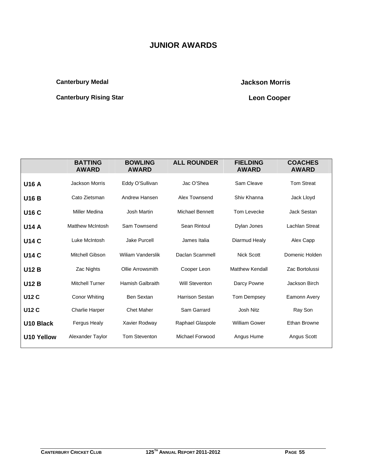# **JUNIOR AWARDS**

# **Canterbury Medal Canterbury Medal Canterbury Medal Canterbury Medal Canterbury Medal Canterbury Medal Canterbury Medal Canterbury Medal Canterbury Medal Canterbury Medal Canterbury Medal Canterbury Medal Canterbury Medal**

# **Canterbury Rising Star Cooper 19 Access 19 Access 19 Access 19 Access 19 Access 19 Access 19 Access 19 Access** 19 Access 19 Access 19 Access 19 Access 19 Access 19 Access 19 Access 19 Access 19 Access 19 Access 19 Access

|                   | <b>BATTING</b><br><b>AWARD</b> | <b>BOWLING</b><br><b>AWARD</b> | <b>ALL ROUNDER</b>     | <b>FIELDING</b><br><b>AWARD</b> | <b>COACHES</b><br><b>AWARD</b> |
|-------------------|--------------------------------|--------------------------------|------------------------|---------------------------------|--------------------------------|
| <b>U16 A</b>      | Jackson Morris                 | Eddy O'Sullivan                | Jac O'Shea             | Sam Cleave                      | <b>Tom Streat</b>              |
| <b>U16 B</b>      | Cato Zietsman                  | Andrew Hansen                  | Alex Townsend          | Shiv Khanna                     | Jack Lloyd                     |
| <b>U16 C</b>      | Miller Medina                  | Josh Martin                    | <b>Michael Bennett</b> | Tom Levecke                     | Jack Sestan                    |
| <b>U14 A</b>      | <b>Matthew McIntosh</b>        | Sam Townsend                   | Sean Rintoul           | Dylan Jones                     | <b>Lachlan Streat</b>          |
| <b>U14 C</b>      | Luke McIntosh                  | <b>Jake Purcell</b>            | James Italia           | Diarmud Healy                   | Alex Capp                      |
| <b>U14 C</b>      | Mitchell Gibson                | <b>Wiliam Vanderslik</b>       | Daclan Scammell        | <b>Nick Scott</b>               | Domenic Holden                 |
| <b>U12 B</b>      | Zac Nights                     | Ollie Arrowsmith               | Cooper Leon            | <b>Matthew Kendall</b>          | Zac Bortolussi                 |
| <b>U12 B</b>      | <b>Mitchell Turner</b>         | <b>Hamish Galbraith</b>        | <b>Will Steventon</b>  | Darcy Powne                     | Jackson Birch                  |
| <b>U12 C</b>      | Conor Whiting                  | <b>Ben Sextan</b>              | <b>Harrison Sestan</b> | Tom Dempsey                     | Eamonn Avery                   |
| <b>U12 C</b>      | <b>Charlie Harper</b>          | <b>Chet Maher</b>              | Sam Garrard            | Josh Nitz                       | Ray Son                        |
| U10 Black         | <b>Fergus Healy</b>            | Xavier Rodway                  | Raphael Glaspole       | <b>William Gower</b>            | <b>Ethan Browne</b>            |
| <b>U10 Yellow</b> | Alexander Taylor               | <b>Tom Steventon</b>           | <b>Michael Forwood</b> | Angus Hume                      | Angus Scott                    |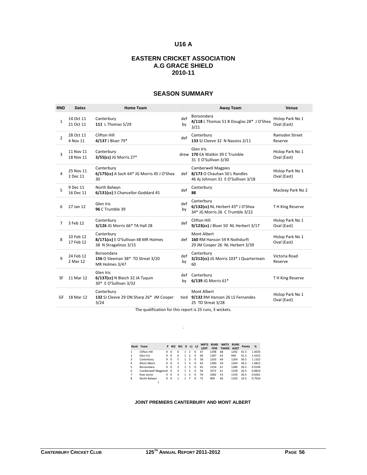# **U16 A**

# **EASTERN CRICKET ASSOCIATION A.G GRACE SHIELD 2010-11**

#### **SEASON SUMMARY**

| <b>RND</b>     | <b>Dates</b>           | <b>Home Team</b>                                                           |           | <b>Away Team</b>                                                                                    | Venue                           |
|----------------|------------------------|----------------------------------------------------------------------------|-----------|-----------------------------------------------------------------------------------------------------|---------------------------------|
| $\mathbf{1}$   | 14 Oct 11<br>21 Oct 11 | Canterbury<br>111 L Thomas 5/29                                            | def<br>by | Boroondara<br>4/118 L Thomas 51 B Douglas 28* J O'Shea<br>3/21                                      | Hislop Park No 1<br>Oval (East) |
| $\overline{2}$ | 28 Oct 11<br>4 Nov 11  | Clifton Hill<br>4/137 J Bluer 79*                                          | def       | Canterbury<br>133 SJ Cleeve 32 N Nassios 3/11                                                       | Ramsden Street<br>Reserve       |
| 3              | 11 Nov 11<br>18 Nov 11 | Canterbury<br>3/55(cc) JG Morris 27*                                       |           | Glen Iris<br>drew 170 EA Watkin 39 C Trumble<br>31 E O'Sullivan 3/30                                | Hislop Park No 1<br>Oval (East) |
| 4              | 25 Nov 11<br>2 Dec 11  | Canterbury<br>6/175(cc) A Sach 64* JG Morris 45 J O'Shea<br>30             |           | <b>Camberwell Magpies</b><br>def 8/173 O Chauhan 50 L Randles<br>46 Aj Johnson 31 E O'Sullivan 3/18 | Hislop Park No 1<br>Oval (East) |
| 5              | 9 Dec 11<br>16 Dec 11  | North Balwyn<br>6/131(cc) S Chancellor-Goddard 45                          | def       | Canterbury<br>88                                                                                    | Macleay Park No 2               |
| 6              | 27 Jan 12              | Glen Iris<br>96 C Trumble 39                                               | def<br>by | Canterbury<br>6/132(cc) NL Herbert 43* J O'Shea<br>34* JG Morris 26 C Trumble 3/22                  | TH King Reserve                 |
| 7              | 3 Feb 12               | Canterbury<br>3/126 JG Morris 66* TA Hall 28                               | def       | Clifton Hill<br>9/123(cc) J Bluer 50 NL Herbert 3/17                                                | Hislop Park No 1<br>Oval (East) |
| 8              | 10 Feb 12<br>17 Feb 12 | Canterbury<br>8/171(cc) E O'Sullivan 48 MR Holmes<br>38 N Stragalinos 3/15 |           | Mont Albert<br>def 160 RM Hanson 59 R Nothdurft<br>29 JM Cooper 26 NL Herbert 3/39                  | Hislop Park No 1<br>Oval (East) |
| $\mathbf{q}$   | 24 Feb 12<br>2 Mar 12  | Boroondara<br>156 O Sleeman 38* TD Streat 3/20<br>MR Holmes 3/47           | def<br>by | Canterbury<br>3/212(cc) JG Morris 103* J Quartermain<br>60                                          | Victoria Road<br>Reserve        |
| SF             | 11 Mar 12              | Glen Iris<br>6/137(cc) N Blaich 32 JA Tyguin<br>30* E O'Sullivan 3/32      | def<br>bv | Canterbury<br>6/139 JG Morris 61*                                                                   | TH King Reserve                 |
| GF             | 18 Mar 12              | Canterbury<br>132 SJ Cleeve 29 ON Sharp 26* JM Cooper<br>3/24              |           | Mont Albert<br>tied 9/132 RM Hanson 26 LS Fernandes<br>25 TD Streat 3/28                            | Hislop Park No 1<br>Oval (East) |

The qualification for this report is 25 runs, 3 wickets.

.

|                |                     |   |                |        |              |               |          | <b>WKTS</b> | <b>RUNS</b> | <b>WKTS</b>  | <b>RUNS</b> |               |        |
|----------------|---------------------|---|----------------|--------|--------------|---------------|----------|-------------|-------------|--------------|-------------|---------------|--------|
|                | Rank Team           | P | W <sub>2</sub> | $W1$ D |              | L1 L2         |          | <b>LOST</b> | <b>FOR</b>  | <b>TAKEN</b> | <b>AGST</b> | <b>Points</b> | %      |
| 1              | <b>Clifton Hill</b> | 9 | $\Omega$       | 6      | 1.           | 2             | O        | 47          | 1298        | 68           | 1292        | 41.5          | 1.4535 |
| $\mathfrak{p}$ | Glen Iris           | 9 | $\Omega$       | 6      | $\mathbf{1}$ | $\mathcal{P}$ | $\Omega$ | 60          | 1287        | 63           | 944         | 41.5          | 1.4315 |
| 3              | Canterbury          | 9 | $\Omega$       | 5      | 1            | 3             | $\Omega$ | 58          | 1203        | 69           | 1264        | 36.5          | 1.1322 |
| 4              | Mont Albert         | 9 | $\Omega$       | 5      | 1            | 3             | $\Omega$ | 63          | 1390        | 59           | 1204        | 36.5          | 1.0812 |
| 5              | Boroondara          | 9 | $\Omega$       | 3      | 1            | 5             | $\Omega$ | 65          | 1254        | 61           | 1280        | 26.5          | 0.9194 |
| 6              | Camberwell Magpies9 |   | $\Omega$       | 3      | 1.           | 5             | $\Omega$ | 59          | 1072        | 61           | 1258        | 26.5          | 0.8810 |
| 7              | Kew Junior          | 9 | $\Omega$       | 3      | 1            | 5             | $\Omega$ | 76          | 1082        | 53           | 1150        | 26.5          | 0.6561 |
| 8              | North Balwyn        | 9 | $\Omega$       | 1      | 1            | 7             | $\Omega$ | 72          | 909         | 66           | 1103        | 16.5          | 0.7554 |
|                |                     |   |                |        |              |               |          |             |             |              |             |               |        |

#### **JOINT PREMIERS CANTERBURY AND MONT ALBERT**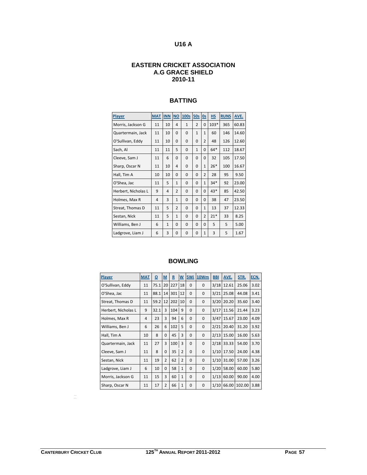# **U16 A**

#### **EASTERN CRICKET ASSOCIATION A.G GRACE SHIELD 2010-11**

# **BATTING**

| <b>Player</b>       | <b>MAT</b> | <b>INN</b>   | <b>NO</b>      | 100s         | 50s            | <b>Os</b>      | <b>HS</b> | <b>RUNS</b> | AVE.  |
|---------------------|------------|--------------|----------------|--------------|----------------|----------------|-----------|-------------|-------|
| Morris, Jackson G   | 11         | 10           | 4              | $\mathbf{1}$ | $\mathfrak{p}$ | $\Omega$       | $103*$    | 365         | 60.83 |
| Quartermain, Jack   | 11         | 10           | $\Omega$       | $\Omega$     | $\mathbf{1}$   | $\mathbf{1}$   | 60        | 146         | 14.60 |
| O'Sullivan, Eddy    | 11         | 10           | $\Omega$       | 0            | 0              | $\overline{2}$ | 48        | 126         | 12.60 |
| Sach, Al            | 11         | 11           | 5              | $\Omega$     | $\mathbf{1}$   | $\Omega$       | $64*$     | 112         | 18.67 |
| Cleeve, Sam J       | 11         | 6            | $\Omega$       | 0            | 0              | $\Omega$       | 32        | 105         | 17.50 |
| Sharp, Oscar N      | 11         | 10           | 4              | $\Omega$     | 0              | $\mathbf{1}$   | $26*$     | 100         | 16.67 |
| Hall, Tim A         | 10         | 10           | $\Omega$       | $\Omega$     | 0              | $\overline{2}$ | 28        | 95          | 9.50  |
| O'Shea, Jac         | 11         | 5            | $\mathbf{1}$   | $\Omega$     | 0              | $\mathbf{1}$   | $34*$     | 92          | 23.00 |
| Herbert, Nicholas L | 9          | 4            | $\overline{2}$ | 0            | 0              | $\Omega$       | $43*$     | 85          | 42.50 |
| Holmes, Max R       | 4          | 3            | $\mathbf{1}$   | $\Omega$     | 0              | 0              | 38        | 47          | 23.50 |
| Streat, Thomas D    | 11         | 5            | $\overline{2}$ | 0            | 0              | $\mathbf{1}$   | 13        | 37          | 12.33 |
| Sestan, Nick        | 11         | 5            | $\mathbf{1}$   | $\Omega$     | 0              | $\overline{2}$ | $21*$     | 33          | 8.25  |
| Williams, Ben J     | 6          | $\mathbf{1}$ | $\Omega$       | 0            | 0              | $\Omega$       | 5         | 5           | 5.00  |
| Ladgrove, Liam J    | 6          | 3            | $\Omega$       | $\Omega$     | $\Omega$       | $\mathbf{1}$   | 3         | 5           | 1.67  |

# **BOWLING**

| <b>Player</b>       | <b>MAT</b>     | $\underline{\mathsf{o}}$ | $\underline{\mathsf{M}}$ | $\overline{\mathbf{R}}$ | $W$          | 5Wi          | <b>10Wm</b>  | <b>BBI</b> | AVE.  | STR.   | ECN. |
|---------------------|----------------|--------------------------|--------------------------|-------------------------|--------------|--------------|--------------|------------|-------|--------|------|
| O'Sullivan, Eddy    | 11             | 75.1                     | 20                       | 227                     | 18           | $\Omega$     | 0            | 3/18       | 12.61 | 25.06  | 3.02 |
| O'Shea, Jac         | 11             | 88.1                     | 14                       | 301                     | 12           | $\Omega$     | 0            | 3/21       | 25.08 | 44.08  | 3.41 |
| Streat, Thomas D    | 11             | 59.2                     | 12                       | 202                     | 10           | $\Omega$     | 0            | 3/20       | 20.20 | 35.60  | 3.40 |
| Herbert, Nicholas L | 9              | 32.1                     | 3                        | 104                     | 9            | $\Omega$     | $\mathbf 0$  | 3/17       | 11.56 | 21.44  | 3.23 |
| Holmes, Max R       | $\overline{4}$ | 23                       | 3                        | 94                      | 6            | $\Omega$     | 0            | 3/47       | 15.67 | 23.00  | 4.09 |
| Williams, Ben J     | 6              | 26                       | 6                        | 102                     | 5            | $\Omega$     | 0            | 2/21       | 20.40 | 31.20  | 3.92 |
| Hall, Tim A         | 10             | 8                        | $\Omega$                 | 45                      | 3            | $\Omega$     | $\mathbf 0$  | 2/13       | 15.00 | 16.00  | 5.63 |
| Quartermain, Jack   | 11             | 27                       | 3                        | 100                     | 3            | $\Omega$     | 0            | 2/18       | 33.33 | 54.00  | 3.70 |
| Cleeve, Sam J       | 11             | 8                        | $\Omega$                 | 35                      | 2            | $\mathbf{0}$ | 0            | 1/10       | 17.50 | 24.00  | 4.38 |
| Sestan, Nick        | 11             | 19                       | $\overline{2}$           | 62                      | 2            | $\mathbf 0$  | $\mathbf 0$  | 1/10       | 31.00 | 57.00  | 3.26 |
| Ladgrove, Liam J    | 6              | 10                       | $\Omega$                 | 58                      | $\mathbf{1}$ | $\Omega$     | $\Omega$     | 1/20       | 58.00 | 60.00  | 5.80 |
| Morris, Jackson G   | 11             | 15                       | 3                        | 60                      | $\mathbf{1}$ | $\Omega$     | $\mathbf 0$  | 1/13       | 60.00 | 90.00  | 4.00 |
| Sharp, Oscar N      | 11             | 17                       | $\overline{2}$           | 66                      | $\mathbf{1}$ | $\mathbf 0$  | $\mathbf{0}$ | 1/10       | 66.00 | 102.00 | 3.88 |

 $\equiv$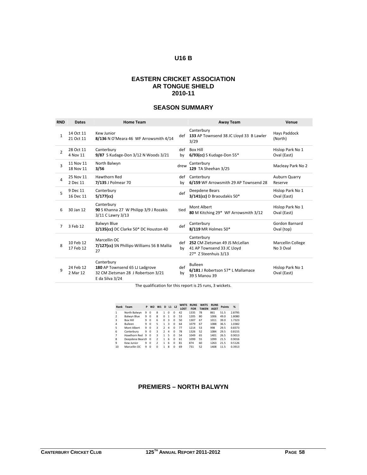# **U16 B**

#### **EASTERN CRICKET ASSOCIATION AR TONGUE SHIELD 2010-11**

# **SEASON SUMMARY**

| <b>RND</b>              | <b>Dates</b>           | <b>Home Team</b>                                                                                      |           | <b>Away Team</b>                                                                                   | Venue                           |
|-------------------------|------------------------|-------------------------------------------------------------------------------------------------------|-----------|----------------------------------------------------------------------------------------------------|---------------------------------|
| $\mathbf{1}$            | 14 Oct 11<br>21 Oct 11 | Kew Junior<br>8/136 N O'Meara 46 WF Arrowsmith 4/14                                                   | def       | Canterbury<br>133 AP Townsend 38 JC Lloyd 33 B Lawler<br>3/29                                      | Hays Paddock<br>(North)         |
| $\mathcal{P}$           | 28 Oct 11<br>4 Nov 11  | Canterbury<br>9/87 S Kudage-Don 3/12 N Woods 3/21                                                     | def<br>by | <b>Box Hill</b><br>$6/93$ (cc) S Kudage-Don 55 $*$                                                 | Hislop Park No 1<br>Oval (East) |
| $\overline{\mathbf{3}}$ | 11 Nov 11<br>18 Nov 11 | North Balwyn<br>3/56                                                                                  | drew      | Canterbury<br>129 TA Sheehan 3/25                                                                  | Macleay Park No 2               |
| 4                       | 25 Nov 11<br>2 Dec 11  | Hawthorn Red<br>7/135 J Polmear 70                                                                    | def<br>bv | Canterbury<br>6/159 WF Arrowsmith 29 AP Townsend 28                                                | Auburn Quarry<br>Reserve        |
| 5                       | 9 Dec 11<br>16 Dec 11  | Canterbury<br>5/177(cc)                                                                               | def       | Deepdene Bears<br>3/141(cc) D Braoudakis 50*                                                       | Hislop Park No 1<br>Oval (East) |
| 6                       | 30 Jan 12              | Canterbury<br>90 S Khanna 27 W Philipp 3/9 J Rozakis<br>3/11 C Lawry 3/13                             | tied      | Mont Albert<br>80 M Kitching 29* WF Arrowsmith 3/12                                                | Hislop Park No 1<br>Oval (East) |
| 7                       | 3 Feb 12               | Balwyn Blue<br>2/135(cc) DC Clarke 50* DC Houston 40                                                  | def       | Canterbury<br>8/119 MR Holmes 50*                                                                  | Gordon Barnard<br>Oval (top)    |
| 8                       | 10 Feb 12<br>17 Feb 12 | Marcellin OC<br>7/127(cc) SN Phillips-Williams 56 B Mallia<br>27                                      | def<br>bv | Canterbury<br>252 CM Zietsman 49 JS McLellan<br>41 AP Townsend 33 JC Lloyd<br>27* Z Steenhuis 3/13 | Marcellin College<br>No 3 Oval  |
| q                       | 24 Feb 12<br>2 Mar 12  | Canterbury<br>180 AP Townsend 65 LJ Ladgrove<br>32 CM Zietsman 28 J Robertson 3/21<br>E da Silva 3/24 | def<br>by | <b>Bulleen</b><br>6/181 J Robertson 57* L Mallamace<br>39 S Manou 39                               | Hislop Park No 1<br>Oval (East) |

The qualification for this report is 25 runs, 3 wickets.

|               | Rank Team       | P | W <sub>2</sub> | W1                       | D              |                | $L1$ $L2$ | <b>WKTS</b><br><b>LOST</b> | <b>RUNS</b><br><b>FOR</b> | <b>WKTS</b><br><b>TAKEN</b> | <b>RUNS</b><br><b>AGST</b> | <b>Points</b> | %      |
|---------------|-----------------|---|----------------|--------------------------|----------------|----------------|-----------|----------------------------|---------------------------|-----------------------------|----------------------------|---------------|--------|
| 1             | North Balwyn    | 9 | $\Omega$       | 8                        | 1              | $\Omega$       | $\Omega$  | 42                         | 1335                      | 78                          | 861                        | 51.5          | 2.8795 |
| $\mathcal{P}$ | Balwyn Blue     | 9 | $\Omega$       | 8                        | $\Omega$       | $\mathbf{1}$   | 0         | 53                         | 1205                      | 80                          | 1006                       | 49.0          | 1.8080 |
| 3             | <b>Box Hill</b> | 9 | $\Omega$       | 6                        | $\Omega$       | 3              | $\Omega$  | 50                         | 1307                      | 67                          | 1011                       | 39.0          | 1.7323 |
| 4             | <b>Bulleen</b>  | 9 | $\Omega$       | 5                        | 1              | ঽ              | $\Omega$  | 64                         | 1079                      | 67                          | 1088                       | 36.5          | 1.0382 |
| 5             | Mont Albert     | 9 | $\Omega$       | 3                        | $\mathcal{P}$  | $\overline{a}$ | $\Omega$  | 77                         | 1214                      | 53                          | 998                        | 29.5          | 0.8373 |
| 6             | Canterbury      | 9 | $\Omega$       | 3                        | $\mathfrak{p}$ | $\overline{a}$ | $\Omega$  | 78                         | 1326                      | 52                          | 1084                       | 29.5          | 0.8155 |
| 7             | Hawthorn Red    | 9 | $\Omega$       | 3                        | 1              | 5              | $\Omega$  | 54                         | 1049                      | 65                          | 1401                       | 26.5          | 0.9013 |
| 8             | Deepdene Bears9 |   | $\Omega$       | $\overline{\phantom{a}}$ | 1              | 6              | $\Omega$  | 61                         | 1099                      | 55                          | 1099                       | 21.5          | 0.9016 |
| 9             | Kew Junior      | 9 | $\Omega$       | $\overline{\phantom{a}}$ | 1              | 6              | $\Omega$  | 81                         | 874                       | 60                          | 1263                       | 21.5          | 0.5126 |
| 10            | Marcellin OC    | q | $\Omega$       | $\Omega$                 | 1              | 8              | $\Omega$  | 69                         | 731                       | 52                          | 1408                       | 11.5          | 0.3913 |

#### **PREMIERS – NORTH BALWYN**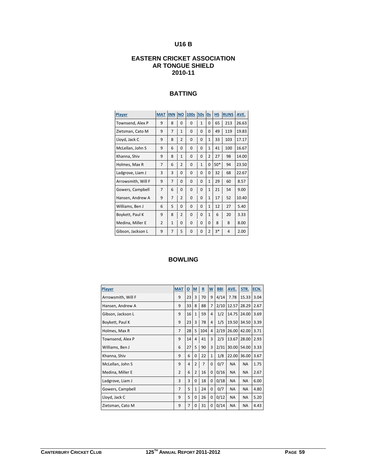# **U16 B**

# **EASTERN CRICKET ASSOCIATION AR TONGUE SHIELD 2010-11**

# **BATTING**

| Player             | <b>MAT</b>     | <b>INN</b>     | <b>NO</b>      | 100s     | <b>50s</b>   | <u>Os</u>      | <b>HS</b> | <b>RUNS</b> | AVE.  |
|--------------------|----------------|----------------|----------------|----------|--------------|----------------|-----------|-------------|-------|
| Townsend, Alex P   | 9              | 8              | $\Omega$       | $\Omega$ | $\mathbf{1}$ | $\Omega$       | 65        | 213         | 26.63 |
| Zietsman, Cato M   | 9              | $\overline{7}$ | $\mathbf{1}$   | 0        | $\Omega$     | $\Omega$       | 49        | 119         | 19.83 |
| Lloyd, Jack C      | 9              | 8              | $\overline{2}$ | $\Omega$ | $\Omega$     | $\mathbf{1}$   | 33        | 103         | 17.17 |
| McLellan, John S   | 9              | 6              | $\Omega$       | 0        | $\Omega$     | $\mathbf{1}$   | 41        | 100         | 16.67 |
| Khanna, Shiv       | 9              | 8              | $\mathbf{1}$   | 0        | $\Omega$     | $\overline{2}$ | 27        | 98          | 14.00 |
| Holmes, Max R      | $\overline{7}$ | 6              | $\overline{2}$ | $\Omega$ | $\mathbf{1}$ | $\Omega$       | $50*$     | 94          | 23.50 |
| Ladgrove, Liam J   | 3              | 3              | $\Omega$       | $\Omega$ | $\Omega$     | 0              | 32        | 68          | 22.67 |
| Arrowsmith, Will F | 9              | 7              | $\Omega$       | $\Omega$ | 0            | $\mathbf{1}$   | 29        | 60          | 8.57  |
| Gowers, Campbell   | $\overline{7}$ | 6              | $\Omega$       | 0        | $\Omega$     | $\mathbf{1}$   | 21        | 54          | 9.00  |
| Hansen, Andrew A   | 9              | 7              | $\overline{2}$ | $\Omega$ | $\Omega$     | $\mathbf{1}$   | 17        | 52          | 10.40 |
| Williams, Ben J    | 6              | 5              | 0              | $\Omega$ | $\Omega$     | $\mathbf{1}$   | 12        | 27          | 5.40  |
| Boykett, Paul K    | 9              | 8              | $\overline{2}$ | $\Omega$ | 0            | 1              | 6         | 20          | 3.33  |
| Medina, Miller E   | $\overline{2}$ | $\mathbf{1}$   | 0              | $\Omega$ | 0            | $\Omega$       | 8         | 8           | 8.00  |
| Gibson, Jackson L  | 9              | $\overline{7}$ | 5              | $\Omega$ | 0            | $\overline{2}$ | $3*$      | 4           | 2.00  |

| Player             | <b>MAT</b>     | $\underline{\mathsf{o}}$ | M              | $\underline{\mathbf{R}}$ | W            | <b>BBI</b> | AVE.      | STR.      | ECN. |
|--------------------|----------------|--------------------------|----------------|--------------------------|--------------|------------|-----------|-----------|------|
| Arrowsmith, Will F | 9              | 23                       | 3              | 70                       | 9            | 4/14       | 7.78      | 15.33     | 3.04 |
| Hansen, Andrew A   | 9              | 33                       | 8              | 88                       | 7            | 2/10       | 12.57     | 28.29     | 2.67 |
| Gibson, Jackson L  | 9              | 16                       | $\mathbf{1}$   | 59                       | 4            | 1/2        | 14.75     | 24.00     | 3.69 |
| Boykett, Paul K    | 9              | 23                       | 3              | 78                       | 4            | 1/5        | 19.50     | 34.50     | 3.39 |
| Holmes, Max R      | $\overline{7}$ | 28                       | 5              | 104                      | 4            | 2/19       | 26.00     | 42.00     | 3.71 |
| Townsend, Alex P   | 9              | 14                       | $\overline{4}$ | 41                       | 3            | 2/3        | 13.67     | 28.00     | 2.93 |
| Williams, Ben J    | 6              | 27                       | 5              | 90                       | 3            | 2/31       | 30.00     | 54.00     | 3.33 |
| Khanna, Shiv       | 9              | 6                        | $\Omega$       | 22                       | $\mathbf{1}$ | 1/8        | 22.00     | 36.00     | 3.67 |
| McLellan, John S   | 9              | 4                        | $\overline{2}$ | $\overline{7}$           | $\mathbf 0$  | 0/7        | <b>NA</b> | <b>NA</b> | 1.75 |
| Medina, Miller E   | $\overline{2}$ | 6                        | $\overline{2}$ | 16                       | $\Omega$     | 0/16       | <b>NA</b> | <b>NA</b> | 2.67 |
| Ladgrove, Liam J   | 3              | 3                        | $\Omega$       | 18                       | $\mathbf 0$  | 0/18       | <b>NA</b> | <b>NA</b> | 6.00 |
| Gowers, Campbell   | $\overline{7}$ | 5                        | $\mathbf{1}$   | 24                       | $\Omega$     | 0/7        | <b>NA</b> | <b>NA</b> | 4.80 |
| Lloyd, Jack C      | 9              | 5                        | $\Omega$       | 26                       | $\mathbf 0$  | 0/12       | <b>NA</b> | <b>NA</b> | 5.20 |
| Zietsman, Cato M   | 9              | $\overline{7}$           | 0              | 31                       | $\mathbf 0$  | 0/14       | <b>NA</b> | <b>NA</b> | 4.43 |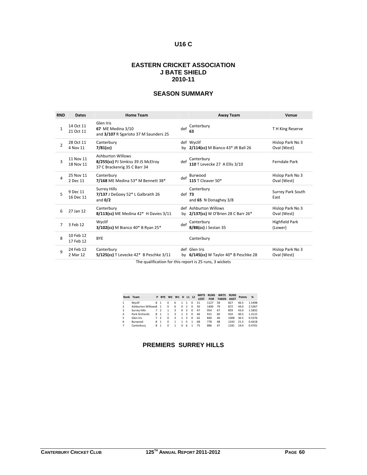# **U16 C**

#### **EASTERN CRICKET ASSOCIATION J BATE SHIELD 2010-11**

# **SEASON SUMMARY**

| <b>RND</b>    | <b>Dates</b>           | <b>Home Team</b>                                                                        |          | <b>Away Team</b>                                              | Venue                            |
|---------------|------------------------|-----------------------------------------------------------------------------------------|----------|---------------------------------------------------------------|----------------------------------|
| $\mathbf{1}$  | 14 Oct 11<br>21 Oct 11 | Glen Iris<br><b>67</b> ME Medina 3/10<br>and 3/107 R Sgarioto 37 M Saunders 25          | def      | Canterbury<br>63                                              | T H King Reserve                 |
| $\mathcal{P}$ | 28 Oct 11<br>4 Nov 11  | Canterbury<br>$7/81$ (cc)                                                               |          | def Wyclif<br>by 2/114(cc) M Bianco 43* JR Ball 26            | Hislop Park No 3<br>Oval (West)  |
| $\mathbf{3}$  | 11 Nov 11<br>18 Nov 11 | Ashburton Willows<br>8/255(cc) PJ Simkiss 39 JS McElroy<br>37 C Brackenrig 35 C Barr 34 | def      | Canterbury<br>110 T Levecke 27 A Ellis 3/10                   | Ferndale Park                    |
| 4             | 25 Nov 11<br>2 Dec 11  | Canterbury<br>7/168 ME Medina 53* M Bennett 38*                                         | def      | Burwood<br>115 T Cleaver 50*                                  | Hislop Park No 3<br>Oval (West)  |
| 5             | 9 Dec 11<br>16 Dec 11  | <b>Surrey Hills</b><br>7/137 J DeGoey 52* L Galbraith 26<br>and $0/2$                   | $def$ 73 | Canterbury<br>and 65 N Donaghey 3/8                           | <b>Surrey Park South</b><br>East |
| 6             | 27 Jan 12              | Canterbury<br>$8/113$ (cc) ME Medina 42* H Davies $3/11$                                |          | def Ashburton Willows<br>by 2/137(cc) W O'Brien 28 C Barr 26* | Hislop Park No 3<br>Oval (West)  |
| 7             | 3 Feb 12               | Wyclif<br>3/102(cc) M Bianco 40* B Ryan 25*                                             | def      | Canterbury<br>8/88(cc) J Sestan 35                            | Highfield Park<br>(Lower)        |
| 8             | 10 Feb 12<br>17 Feb 12 | <b>BYE</b>                                                                              |          | Canterbury                                                    |                                  |
| q             | 24 Feb 12<br>2 Mar 12  | Canterbury<br>$5/125$ (cc) T Levecke 42* B Peschke 3/11                                 |          | def Glen Iris<br>by $6/145$ (cc) W Taylor $40*$ B Peschke 28  | Hislop Park No 3<br>Oval (West)  |

The qualification for this report is 25 runs, 3 wickets

|                | Rank Team           |   | P BYE W2 W1              |          |   |          | D L1 L2        |          | <b>WKTS</b><br><b>LOST</b> | <b>RUNS</b><br><b>FOR</b> | <b>WKTS</b><br><b>TAKEN</b> | <b>RUNS</b><br><b>AGST</b> | <b>Points</b> | %      |
|----------------|---------------------|---|--------------------------|----------|---|----------|----------------|----------|----------------------------|---------------------------|-----------------------------|----------------------------|---------------|--------|
|                | Wyclif              | 8 | $\mathbf{1}$             | $\Omega$ | 6 | 1        | -1             | $\Omega$ | 51                         | 1127                      | 58                          | 827                        | 46.5          | 1.5498 |
| $\overline{2}$ | Ashburton Willows8  |   | $\mathbf{1}$             | $\Omega$ | 6 | $\Omega$ | $\overline{2}$ | $\Omega$ | 50                         | 1400                      | 79                          | 872                        | 44.0          | 2.5367 |
| $\mathbf{3}$   | <b>Surrey Hills</b> | 7 | $\overline{\phantom{0}}$ |          | 3 | 0        | 3              | $\Omega$ | 47                         | 954                       | 67                          | 859                        | 43.0          | 1.5832 |
| 4              | Park Orchards       | 8 | $\overline{1}$           |          | 3 | 1        | 3              | $\Omega$ | 46                         | 915                       | 60                          | 910                        | 40.5          | 1.3115 |
| 5              | Glen Iris           |   | $\mathcal{P}$            | $\Omega$ | 3 | 1        | 3              | $\Omega$ | 62                         | 840                       | 40                          | 1008                       | 36.5          | 0.5376 |
| 6              | Burwood             | 8 | $\overline{1}$           | $\Omega$ |   | 1        | 5              |          | 68                         | 778                       | 48                          | 1243                       | 21.5          | 0.4418 |
|                | Canterbury          | 8 | $\mathbf{1}$             | $\Omega$ |   | 0        | 6              |          | 75                         | 886                       | 47                          | 1181                       | 19.0          | 0.4701 |

# **PREMIERS SURREY HILLS**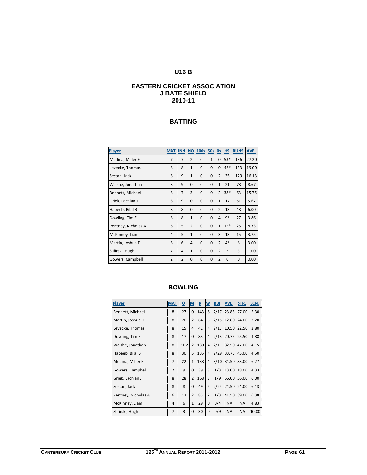# **U16 B**

# **EASTERN CRICKET ASSOCIATION J BATE SHIELD 2010-11**

#### **BATTING**

| Player              | <b>MAT</b>     | <b>INN NO</b>  |                | 100s     | 50s 0s       |                | HS             | <b>RUNS</b> | AVE.  |
|---------------------|----------------|----------------|----------------|----------|--------------|----------------|----------------|-------------|-------|
| Medina, Miller E    | 7              | $\overline{7}$ | $\overline{2}$ | $\Omega$ | $\mathbf{1}$ | 0              | 53*            | 136         | 27.20 |
| Levecke, Thomas     | 8              | 8              | $\mathbf{1}$   | 0        | $\Omega$     | 0              | $42*$          | 133         | 19.00 |
| Sestan, Jack        | 8              | 9              | $\mathbf{1}$   | 0        | $\Omega$     | $\overline{2}$ | 35             | 129         | 16.13 |
| Walshe, Jonathan    | 8              | 9              | $\Omega$       | 0        | $\Omega$     | $\mathbf{1}$   | 21             | 78          | 8.67  |
| Bennett, Michael    | 8              | $\overline{7}$ | 3              | $\Omega$ | $\Omega$     | $\overline{2}$ | $38*$          | 63          | 15.75 |
| Griek, Lachlan J    | 8              | 9              | $\Omega$       | 0        | $\Omega$     | $\mathbf{1}$   | 17             | 51          | 5.67  |
| Habeeb, Bilal B     | 8              | 8              | $\Omega$       | $\Omega$ | $\Omega$     | $\overline{2}$ | 13             | 48          | 6.00  |
| Dowling, Tim E      | 8              | 8              | $\mathbf{1}$   | 0        | $\Omega$     | 4              | $9*$           | 27          | 3.86  |
| Pentney, Nicholas A | 6              | 5              | $\overline{2}$ | $\Omega$ | $\Omega$     | $\mathbf{1}$   | $15*$          | 25          | 8.33  |
| McKinney, Liam      | 4              | 5              | $\mathbf{1}$   | 0        | $\Omega$     | 3              | 13             | 15          | 3.75  |
| Martin, Joshua D    | 8              | 6              | 4              | 0        | $\Omega$     | $\overline{2}$ | $4*$           | 6           | 3.00  |
| Slifirski, Hugh     | 7              | 4              | $\mathbf{1}$   | 0        | $\Omega$     | $\overline{2}$ | $\mathfrak{p}$ | 3           | 1.00  |
| Gowers, Campbell    | $\overline{2}$ | $\overline{2}$ | $\Omega$       | $\Omega$ | 0            | $\overline{2}$ | $\Omega$       | $\Omega$    | 0.00  |

| Player              | <b>MAT</b>     | $\overline{\Omega}$ | M              | $\overline{\mathbf{R}}$ | W              | <b>BBI</b> | AVE.      | STR.      | ECN.  |
|---------------------|----------------|---------------------|----------------|-------------------------|----------------|------------|-----------|-----------|-------|
| Bennett, Michael    | 8              | 27                  | 0              | 143                     | 6              | 2/17       | 23.83     | 27.00     | 5.30  |
| Martin, Joshua D    | 8              | 20                  | 2              | 64                      | 5              | 2/15       | 12.80     | 24.00     | 3.20  |
| Levecke, Thomas     | 8              | 15                  | 4              | 42                      | $\overline{4}$ | 2/17       | 10.50     | 22.50     | 2.80  |
| Dowling, Tim E      | 8              | 17                  | $\Omega$       | 83                      | $\overline{4}$ | 2/13       | 20.75     | 25.50     | 4.88  |
| Walshe, Jonathan    | 8              | 31.2                | 2              | 130                     | $\overline{4}$ | 2/11       | 32.50     | 47.00     | 4.15  |
| Habeeb, Bilal B     | 8              | 30                  | 5              | 135                     | $\overline{4}$ | 2/29       | 33.75     | 45.00     | 4.50  |
| Medina, Miller E    | $\overline{7}$ | 22                  | $\mathbf{1}$   | 138                     | $\overline{4}$ | 3/10       | 34.50     | 33.00     | 6.27  |
| Gowers, Campbell    | 2              | 9                   | 0              | 39                      | 3              | 1/3        | 13.00     | 18.00     | 4.33  |
| Griek, Lachlan J    | 8              | 28                  | 2              | 168                     | 3              | 1/9        | 56.00     | 56.00     | 6.00  |
| Sestan, Jack        | 8              | 8                   | $\Omega$       | 49                      | $\overline{2}$ | 2/24       | 24.50     | 24.00     | 6.13  |
| Pentney, Nicholas A | 6              | 13                  | $\overline{2}$ | 83                      | $\overline{2}$ | 1/3        | 41.50     | 39.00     | 6.38  |
| McKinney, Liam      | 4              | 6                   | $\mathbf{1}$   | 29                      | 0              | 0/4        | <b>NA</b> | <b>NA</b> | 4.83  |
| Slifirski, Hugh     | $\overline{7}$ | 3                   | 0              | 30                      | 0              | 0/9        | <b>NA</b> | <b>NA</b> | 10.00 |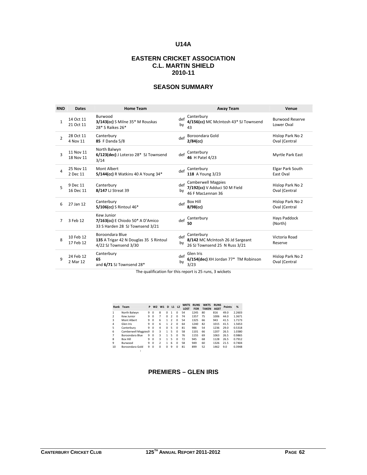# **U14A**

# **EASTERN CRICKET ASSOCIATION C.L. MARTIN SHIELD 2010-11**

# **SEASON SUMMARY**

| <b>RND</b>     | <b>Dates</b>           | <b>Home Team</b>                                                                   |           | <b>Away Team</b>                                                                | Venue                                |
|----------------|------------------------|------------------------------------------------------------------------------------|-----------|---------------------------------------------------------------------------------|--------------------------------------|
| $\mathbf{1}$   | 14 Oct 11<br>21 Oct 11 | Burwood<br>3/143(cc) S Milne 35* M Rouskas<br>28* S Raikes 26*                     | def<br>by | Canterbury<br>4/156(cc) MC McIntosh 43* SJ Townsend<br>43                       | <b>Burwood Reserve</b><br>Lower Oval |
| $\overline{2}$ | 28 Oct 11<br>4 Nov 11  | Canterbury<br>85 F Danda 5/8                                                       | def       | Boroondara Gold<br>$2/84$ (cc)                                                  | Hislop Park No 2<br>Oval (Central    |
| з              | 11 Nov 11<br>18 Nov 11 | North Balwyn<br>6/123(dec) J Loterzo 28* SJ Townsend<br>3/14                       | def       | Canterbury<br>46 H Patel 4/23                                                   | Myrtle Park East                     |
| 4              | 25 Nov 11<br>2 Dec 11  | Mont Albert<br>5/144(cc) R Watkins 40 A Young 34*                                  | def       | Canterbury<br>118 A Young 3/23                                                  | Elgar Park South<br>East Oval        |
| 5              | 9 Dec 11<br>16 Dec 11  | Canterbury<br>8/147 LJ Streat 39                                                   | def<br>by | <b>Camberwell Magpies</b><br>7/192(cc) V Adduci 50 M Field<br>46 F MacLennan 36 | Hislop Park No 2<br>Oval (Central    |
| 6              | 27 Jan 12              | Canterbury<br>$5/106$ (cc) S Rintoul 46 <sup>*</sup>                               | def       | <b>Box Hill</b><br>$8/98$ (cc)                                                  | Hislop Park No 2<br>Oval (Central    |
| 7              | 3 Feb 12               | Kew Junior<br>7/163(cc) E Chiodo 50* A D'Amico<br>33 S Harden 28 SJ Townsend 3/21  | def       | Canterbury<br>50                                                                | Hays Paddock<br>(North)              |
| 8              | 10 Feb 12<br>17 Feb 12 | Boroondara Blue<br>135 A Trigar 42 N Douglas 35 S Rintoul<br>4/22 SJ Townsend 3/30 | def<br>by | Canterbury<br>8/142 MC McIntosh 26 Jd Sargeant<br>26 SJ Townsend 25 N Russ 3/21 | Victoria Road<br>Reserve             |
| q              | 24 Feb 12<br>2 Mar 12  | Canterbury<br>65<br>and 6/71 SJ Townsend 28*                                       | def<br>by | Glen Iris<br>6/154(dec) XH Jordan 77* TM Robinson<br>3/23                       | Hislop Park No 2<br>Oval (Central    |

The qualification for this report is 25 runs, 3 wickets

|                          | Rank Team           | P | W <sub>2</sub> | W1             | D        |                | $L1$ $L2$ | <b>WKTS</b><br>LOST | <b>RUNS</b><br>FOR | <b>WKTS</b><br><b>TAKEN</b> | <b>RUNS</b><br><b>AGST</b> | <b>Points</b> | %      |
|--------------------------|---------------------|---|----------------|----------------|----------|----------------|-----------|---------------------|--------------------|-----------------------------|----------------------------|---------------|--------|
| 1                        | North Balwyn        | 9 | $\Omega$       | 8              | $\Omega$ | 1              | $\Omega$  | 54                  | 1245               | 80                          | 816                        | 49.0          | 2.2603 |
| $\overline{\phantom{a}}$ | Kew Junior          | 9 | $\Omega$       | 7              | $\Omega$ | $\mathcal{P}$  | $\Omega$  | 74                  | 1357               | 75                          | 1006                       | 44.0          | 1.3671 |
| 3                        | Mont Albert         | 9 | $\Omega$       | 6              | 1        | $\mathfrak{p}$ | $\Omega$  | 54                  | 1325               | 66                          | 943                        | 41.5          | 1.7173 |
| 4                        | Glen Iris           | 9 | $\Omega$       | 6              | 1        | $\mathfrak z$  | $\Omega$  | 64                  | 1240               | 82                          | 1015                       | 41.5          | 1.5653 |
| 5                        | Canterbury          | 9 | $\Omega$       | 4              | $\Omega$ | 5              | $\Omega$  | 81                  | 986                | 54                          | 1236                       | 29.0          | 0.5318 |
| 6                        | Camberwell Magpies9 |   | $\Omega$       | 3              | 1        | 5              | $\Omega$  | 58                  | 1101               | 66                          | 1207                       | 26.5          | 1.0380 |
| 7                        | Boroondara Blue     | 9 | $\Omega$       | 3              | 1        | 5              | $\Omega$  | 76                  | 1155               | 69                          | 1063                       | 26.5          | 0.9865 |
| 8                        | <b>Box Hill</b>     | 9 | $\Omega$       | 3              | 1        | 5              | $\Omega$  | 72                  | 945                | 68                          | 1128                       | 26.5          | 0.7912 |
| 9                        | <b>Burwood</b>      | 9 | $\Omega$       | $\overline{2}$ | 1        | 6              | $\Omega$  | 58                  | 949                | 60                          | 1326                       | 21.5          | 0.7404 |
| 10                       | Boroondara Gold     | 9 | $\Omega$       | $\Omega$       | $\Omega$ | 9              | $\Omega$  | 81                  | 899                | 52                          | 1462                       | 9.0           | 0.3948 |
|                          |                     |   |                |                |          |                |           |                     |                    |                             |                            |               |        |

#### **PREMIERS – GLEN IRIS**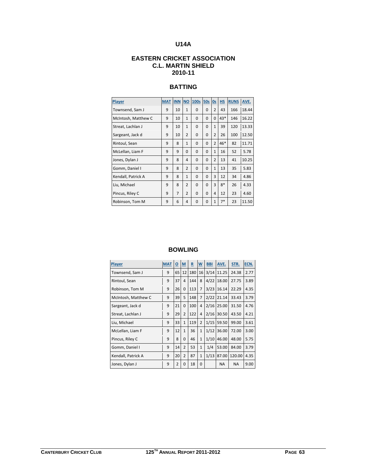# **U14A**

# **EASTERN CRICKET ASSOCIATION C.L. MARTIN SHIELD 2010-11**

# **BATTING**

| Player              | <b>MAT</b> | <b>INN</b>     | <b>NO</b>      | <b>100s</b> | 50s         | 0s             | H.S   | <b>RUNS</b> | AVE.  |
|---------------------|------------|----------------|----------------|-------------|-------------|----------------|-------|-------------|-------|
| Townsend, Sam J     | 9          | 10             | $\mathbf{1}$   | $\Omega$    | $\Omega$    | $\overline{2}$ | 43    | 166         | 18.44 |
| McIntosh, Matthew C | 9          | 10             | $\mathbf{1}$   | $\Omega$    | $\Omega$    | $\Omega$       | $43*$ | 146         | 16.22 |
| Streat, Lachlan J   | 9          | 10             | $\mathbf{1}$   | $\Omega$    | $\Omega$    | $\mathbf{1}$   | 39    | 120         | 13.33 |
| Sargeant, Jack d    | 9          | 10             | $\overline{2}$ | $\Omega$    | $\mathbf 0$ | $\overline{2}$ | 26    | 100         | 12.50 |
| Rintoul, Sean       | 9          | 8              | $\mathbf{1}$   | $\Omega$    | $\Omega$    | $\overline{2}$ | 46*   | 82          | 11.71 |
| McLellan, Liam F    | 9          | 9              | $\Omega$       | $\Omega$    | $\Omega$    | $\mathbf{1}$   | 16    | 52          | 5.78  |
| Jones, Dylan J      | 9          | 8              | 4              | $\Omega$    | $\Omega$    | $\overline{2}$ | 13    | 41          | 10.25 |
| Gomm, Daniel I      | 9          | 8              | $\overline{2}$ | $\Omega$    | $\Omega$    | $\mathbf{1}$   | 13    | 35          | 5.83  |
| Kendall, Patrick A  | 9          | 8              | $\mathbf{1}$   | $\Omega$    | $\Omega$    | 3              | 12    | 34          | 4.86  |
| Liu, Michael        | 9          | 8              | $\overline{2}$ | $\Omega$    | $\Omega$    | 3              | $8*$  | 26          | 4.33  |
| Pincus, Riley C     | 9          | $\overline{7}$ | $\overline{2}$ | $\Omega$    | $\Omega$    | $\overline{4}$ | 12    | 23          | 4.60  |
| Robinson, Tom M     | 9          | 6              | 4              | 0           | 0           | $\mathbf{1}$   | $7*$  | 23          | 11.50 |

| Player              | <b>MAT</b> | $\underline{\mathsf{o}}$ | $\underline{\mathsf{M}}$ | $\underline{\mathbf{R}}$ | <u>w</u>       | <b>BBI</b> | AVE.      | STR.      | ECN. |
|---------------------|------------|--------------------------|--------------------------|--------------------------|----------------|------------|-----------|-----------|------|
| Townsend, Sam J     | 9          | 65                       | 12                       | 180                      | 16             | 3/14       | 11.25     | 24.38     | 2.77 |
| Rintoul, Sean       | 9          | 37                       | 4                        | 144                      | 8              | 4/22       | 18.00     | 27.75     | 3.89 |
| Robinson, Tom M     | 9          | 26                       | $\Omega$                 | 113                      | 7              | 3/23       | 16.14     | 22.29     | 4.35 |
| McIntosh, Matthew C | 9          | 39                       | 5                        | 148                      | $\overline{7}$ | 2/22       | 21.14     | 33.43     | 3.79 |
| Sargeant, Jack d    | 9          | 21                       | $\Omega$                 | 100                      | 4              | 2/16       | 25.00     | 31.50     | 4.76 |
| Streat, Lachlan J   | 9          | 29                       | $\overline{2}$           | 122                      | 4              | 2/16       | 30.50     | 43.50     | 4.21 |
| Liu, Michael        | 9          | 33                       | $\mathbf{1}$             | 119                      | $\overline{2}$ | 1/15       | 59.50     | 99.00     | 3.61 |
| McLellan, Liam F    | 9          | 12                       | $\mathbf{1}$             | 36                       | $\mathbf{1}$   | 1/12       | 36.00     | 72.00     | 3.00 |
| Pincus, Riley C     | 9          | 8                        | $\Omega$                 | 46                       | $\mathbf{1}$   | 1/10       | 46.00     | 48.00     | 5.75 |
| Gomm, Daniel I      | 9          | 14                       | $\overline{2}$           | 53                       | $\mathbf{1}$   | 1/4        | 53.00     | 84.00     | 3.79 |
| Kendall, Patrick A  | 9          | 20                       | $\overline{2}$           | 87                       | $\mathbf{1}$   | 1/13       | 87.00     | 120.00    | 4.35 |
| Jones, Dylan J      | 9          | 2                        | 0                        | 18                       | $\Omega$       |            | <b>NA</b> | <b>NA</b> | 9.00 |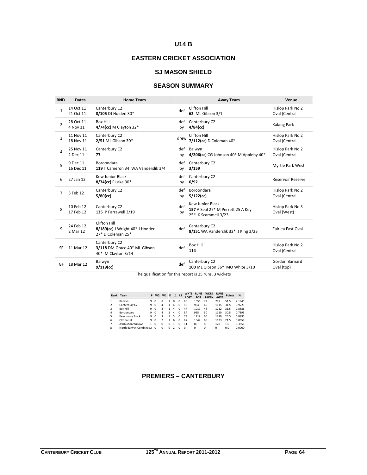# **U14 B**

# **EASTERN CRICKET ASSOCIATION**

## **SJ MASON SHIELD**

# **SEASON SUMMARY**

| <b>RND</b>     | <b>Dates</b>           | <b>Home Team</b>                                                          |           | <b>Away Team</b>                                                             | Venue                             |
|----------------|------------------------|---------------------------------------------------------------------------|-----------|------------------------------------------------------------------------------|-----------------------------------|
| $\mathbf{1}$   | 14 Oct 11<br>21 Oct 11 | Canterbury C2<br>8/105 DJ Holden 30*                                      | def       | Clifton Hill<br>62 ML Gibson 3/1                                             | Hislop Park No 2<br>Oval (Central |
| $\overline{2}$ | 28 Oct 11<br>4 Nov 11  | <b>Box Hill</b><br>$4/74$ (cc) M Clayton 32*                              | def<br>by | Canterbury C2<br>$4/84$ (cc)                                                 | Kalang Park                       |
| 3              | 11 Nov 11<br>18 Nov 11 | Canterbury C2<br>2/51 ML Gibson 30*                                       | drew      | Clifton Hill<br>7/112(cc) D Coleman 40*                                      | Hislop Park No 2<br>Oval (Central |
| 4              | 25 Nov 11<br>2 Dec 11  | Canterbury C2<br>77                                                       | def<br>by | Balwyn<br>4/206(cc) CG Johnson $40*$ M Appleby $40*$                         | Hislop Park No 2<br>Oval (Central |
| 5              | 9 Dec 11<br>16 Dec 11  | <b>Boroondara</b><br>119 T Cameron 34 WA Vanderslik 3/4                   | def<br>by | Canterbury C2<br>3/159                                                       | Myrtle Park West                  |
| 6              | 27 Jan 12              | <b>Kew Junior Black</b><br>8/74(cc) F Lake 30*                            | def<br>by | Canterbury C2<br>6/92                                                        | <b>Reservoir Reserve</b>          |
| 7              | 3 Feb 12               | Canterbury C2<br>$5/80$ (cc)                                              | def<br>by | Boroondara<br>$5/122$ (cc)                                                   | Hislop Park No 2<br>Oval (Central |
| 8              | 10 Feb 12<br>17 Feb 12 | Canterbury C2<br>135 P Farrawell 3/19                                     | def<br>by | Kew Junior Black<br>157 A Seal 27* M Perrett 25 A Key<br>25* K Scammell 3/23 | Hislop Park No 3<br>Oval (West)   |
| q              | 24 Feb 12<br>2 Mar 12  | Clifton Hill<br>$8/189$ (cc) J Wright $40*$ J Hodder<br>27* D Coleman 25* | def       | Canterbury C2<br>8/151 WA Vanderslik 32* J King 3/23                         | <b>Fairlea East Oval</b>          |
| SF             | 11 Mar 12              | Canterbury C2<br>3/118 DM Grace 40* ML Gibson<br>40* M Clayton 3/14       | def       | <b>Box Hill</b><br>114                                                       | Hislop Park No 2<br>Oval (Central |
| GF             | 18 Mar 12              | Balwyn<br>$9/119$ (cc)                                                    | def       | Canterbury C2<br>100 ML Gibson 36* MO White 3/10                             | Gordon Barnard<br>Oval (top)      |

The qualification for this report is 25 runs, 3 wickets

|                | Rank Team                |    | W <sub>2</sub> | W1       | D            | L1 L2         |          | <b>WKTS</b><br><b>LOST</b> | <b>RUNS</b><br><b>FOR</b> | <b>WKTS</b><br><b>TAKEN</b> | <b>RUNS</b><br><b>AGST</b> | <b>Points</b> | %      |
|----------------|--------------------------|----|----------------|----------|--------------|---------------|----------|----------------------------|---------------------------|-----------------------------|----------------------------|---------------|--------|
| $\mathbf{1}$   | Balwyn                   | 9  | $\Omega$       | 8        | 1            | $\Omega$      | 0        | 65                         | 1556                      | 72                          | 789                        | 51.5          | 2.1845 |
| $\overline{2}$ | Canterbury C2            | 9  | $\Omega$       | 4        | 1            | 4             | $\Omega$ | 56                         | 934                       | 65                          | 1115                       | 31.5          | 0.9723 |
| $\overline{3}$ | <b>Box Hill</b>          | q  | $\Omega$       | 4        | 1            | 4             | $\Omega$ | 47                         | 1019                      | 48                          | 1212                       | 31.5          | 0.8586 |
| 4              | Boroondara               | q  | $\Omega$       | 4        | 1            | 4             | $\Omega$ | 54                         | 955                       | 50                          | 1120                       | 30.5          | 0.7895 |
| 5              | Kew Junior Black         | 9  | $\Omega$       |          | 1            | 5             | $\Omega$ | 73                         | 1219                      | 66                          | 1239                       | 26.5          | 0.8895 |
| 6              | Clifton Hill             | 9  | $\Omega$       |          | 1            | 6             | $\Omega$ | 67                         | 1047                      | 65                          | 1173                       | 21.5          | 0.8659 |
| $\overline{7}$ | <b>Ashburton Willows</b> | 1. | $\Omega$       | $\Omega$ | <sup>0</sup> | 1             | n        | 11                         | 83                        | 8                           | 170                        | 1.0           | 0.3551 |
| $\mathbf{8}$   | North Balwyn Combined2 0 |    |                | $\Omega$ | 0            | $\mathcal{P}$ | n        | $\Omega$                   | $\Omega$                  | $\Omega$                    | $\Omega$                   | 0.0           | 0.0000 |

#### **PREMIERS – CANTERBURY**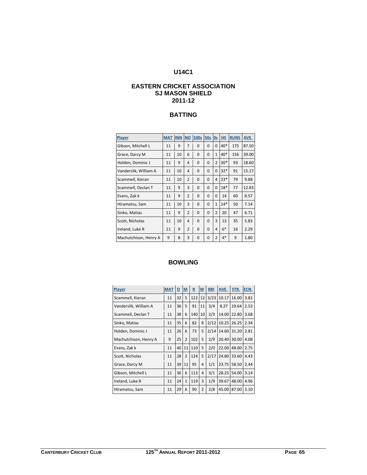# **U14C1**

# **EASTERN CRICKET ASSOCIATION SJ MASON SHIELD 2011-12**

# **BATTING**

| Player                | <b>MAT</b> | <b>INN</b> | <b>NO</b>      | 100s     | 50s      | 0s             | <b>HS</b> | <b>RUNS</b> | AVE.  |
|-----------------------|------------|------------|----------------|----------|----------|----------------|-----------|-------------|-------|
| Gibson, Mitchell L    | 11         | 9          | $\overline{7}$ | $\Omega$ | $\Omega$ | 0              | 40*       | 175         | 87.50 |
| Grace, Darcy M        | 11         | 10         | 6              | $\Omega$ | O        | $\mathbf{1}$   | $40*$     | 156         | 39.00 |
| Holden, Dominic J     | 11         | 9          | 4              | $\Omega$ | 0        | $\overline{2}$ | $30*$     | 93          | 18.60 |
| Vanderslik, William A | 11         | 10         | 4              | $\Omega$ | 0        | $\Omega$       | $32*$     | 91          | 15.17 |
| Scammell, Kieran      | 11         | 10         | $\overline{2}$ | $\Omega$ | 0        | 4              | $23*$     | 79          | 9.88  |
| Scammell, Declan T    | 11         | 9          | 3              | $\Omega$ | 0        | $\Omega$       | $18*$     | 77          | 12.83 |
| Evans, Zak k          | 11         | 9          | $\overline{2}$ | $\Omega$ | 0        | 0              | 14        | 60          | 8.57  |
| Hiramatsu, Sam        | 11         | 10         | 3              | $\Omega$ | $\Omega$ | $\mathbf{1}$   | $14*$     | 50          | 7.14  |
| Sinko, Matias         | 11         | 9          | $\mathcal{P}$  | $\Omega$ | 0        | $\overline{2}$ | 20        | 47          | 6.71  |
| Scott, Nicholas       | 11         | 10         | 4              | $\Omega$ | 0        | 3              | 13        | 35          | 5.83  |
| Ireland, Luke R       | 11         | 9          | $\overline{2}$ | $\Omega$ | 0        | 4              | $6*$      | 16          | 2.29  |
| Machutchison, Henry A | 9          | 8          | 3              | 0        | 0        | $\overline{2}$ | $4*$      | 9           | 1.80  |

| Player                | <b>MAT</b> | $\overline{\Omega}$ | $M$            | $\underline{\mathbf{R}}$ | $\overline{\mathsf{w}}$ | <b>BBI</b> | AVE.  | STR.  | ECN. |
|-----------------------|------------|---------------------|----------------|--------------------------|-------------------------|------------|-------|-------|------|
| Scammell, Kieran      | 11         | 32                  | 5              | 122                      | 12                      | 3/23       | 10.17 | 16.00 | 3.81 |
| Vanderslik, William A | 11         | 36                  | 5              | 91                       | 11                      | 3/4        | 8.27  | 19.64 | 2.53 |
| Scammell, Declan T    | 11         | 38                  | 6              | 140                      | 10                      | 2/3        | 14.00 | 22.80 | 3.68 |
| Sinko, Matias         | 11         | 35                  | 6              | 82                       | 8                       | 2/12       | 10.25 | 26.25 | 2.34 |
| Holden, Dominic J     | 11         | 26                  | 6              | 73                       | 5                       | 2/14       | 14.60 | 31.20 | 2.81 |
| Machutchison, Henry A | 9          | 25                  | $\overline{2}$ | 102                      | 5                       | 2/9        | 20.40 | 30.00 | 4.08 |
| Evans, Zak k          | 11         | 40                  | 11             | 110                      | 5                       | 2/0        | 22.00 | 48.00 | 2.75 |
| Scott, Nicholas       | 11         | 28                  | $\overline{2}$ | 124                      | 5                       | 2/17       | 24.80 | 33.60 | 4.43 |
| Grace, Darcy M        | 11         | 39                  | 11             | 95                       | 4                       | 1/1        | 23.75 | 58.50 | 2.44 |
| Gibson, Mitchell L    | 11         | 36                  | 6              | 113                      | 4                       | 3/1        | 28.25 | 54.00 | 3.14 |
| Ireland, Luke R       | 11         | 24                  | $\mathbf{1}$   | 119                      | 3                       | 1/9        | 39.67 | 48.00 | 4.96 |
| Hiramatsu, Sam        | 11         | 29                  | 6              | 90                       | $\overline{2}$          | 2/8        | 45.00 | 87.00 | 3.10 |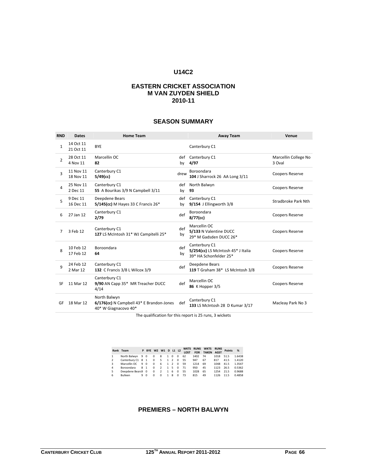#### **U14C2**

#### **EASTERN CRICKET ASSOCIATION M VAN ZUYDEN SHIELD 2010-11**

#### **SEASON SUMMARY**

| <b>RND</b>    | <b>Dates</b>           | <b>Home Team</b>                                                                 |           | <b>Away Team</b>                                                              | Venue                          |
|---------------|------------------------|----------------------------------------------------------------------------------|-----------|-------------------------------------------------------------------------------|--------------------------------|
| $\mathbf{1}$  | 14 Oct 11<br>21 Oct 11 | <b>BYE</b>                                                                       |           | Canterbury C1                                                                 |                                |
| $\mathcal{P}$ | 28 Oct 11<br>4 Nov 11  | Marcellin OC<br>82                                                               | def<br>by | Canterbury C1<br>4/97                                                         | Marcellin College No<br>3 Oval |
| 3             | 11 Nov 11<br>18 Nov 11 | Canterbury C1<br>$5/49$ (cc)                                                     | drew      | <b>Boroondara</b><br>104 J Sharrock 26 AA Long 3/11                           | <b>Coopers Reserve</b>         |
| 4             | 25 Nov 11<br>2 Dec 11  | Canterbury C1<br>55 A Bourikas 3/9 N Campbell 3/11                               | def<br>by | North Balwyn<br>93                                                            | <b>Coopers Reserve</b>         |
| 5             | 9 Dec 11<br>16 Dec 11  | Deepdene Bears<br>5/145(cc) M Hayes 33 C Francis 26*                             | def<br>by | Canterbury C1<br>9/154 J Ellingworth 3/8                                      | Stradbroke Park Nth            |
| 6             | 27 Jan 12              | Canterbury C1<br>2/79                                                            | def       | Boroondara<br>8/77(cc)                                                        | <b>Coopers Reserve</b>         |
| 7             | 3 Feb 12               | Canterbury C1<br>127 LS McIntosh 31* WJ Campitelli 25*                           | def<br>by | Marcellin OC<br>5/133 N Valentine DUCC<br>29* M Gadsden DUCC 26*              | <b>Coopers Reserve</b>         |
| 8             | 10 Feb 12<br>17 Feb 12 | Boroondara<br>64                                                                 | def<br>by | Canterbury C1<br>5/254(cc) LS McIntosh 45* J Italia<br>39* HA Schonfelder 25* | <b>Coopers Reserve</b>         |
| 9             | 24 Feb 12<br>2 Mar 12  | Canterbury C1<br>132 C Francis 3/8 L Wilcox 3/9                                  | def       | Deepdene Bears<br>119 T Graham 38* LS McIntosh 3/8                            | <b>Coopers Reserve</b>         |
| SF            | 11 Mar 12              | Canterbury C1<br>9/90 AN Capp 35* MR Treacher DUCC<br>4/14                       | def       | Marcellin OC<br>86 K Hopper 3/5                                               | <b>Coopers Reserve</b>         |
| GF            | 18 Mar 12              | North Balwyn<br>6/176(cc) N Campbell 43* E Brandon-Jones<br>40* W Giagnacovo 40* | def       | Canterbury C1<br>133 LS McIntosh 28 D Kumar 3/17                              | Macleay Park No 3              |

The qualification for this report is 25 runs, 3 wickets

|                | Rank Team         |     | P BYE W2 W1 D L1 L2 |                   |                |           |    |                | <b>LOST</b> | WKTS RUNS | <b>WKTS</b><br>FOR TAKEN | <b>RUNS</b><br><b>AGST</b> | Points | %      |
|----------------|-------------------|-----|---------------------|-------------------|----------------|-----------|----|----------------|-------------|-----------|--------------------------|----------------------------|--------|--------|
|                | North Balwyn 9 0  |     |                     | 0                 | -8             | 1 0       |    | $^{\circ}$     | 62          | 1402      | - 74                     | 1018                       | 51.5   | 1.6438 |
| $\mathfrak{p}$ | Canterbury C1 8 1 |     |                     | $^{\circ}$<br>- 5 |                | 1 2       |    | $\Omega$       | 55          | 947       | 67                       | 817                        | 41.5   | 1.4120 |
| 3              | Marcellin OC      | 9 0 |                     | $\Omega$          | 6              | $1\quad2$ |    | $\Omega$       | 59          | 1214      | 69                       | 1048                       | 41.5   | 1.3547 |
| 4              | <b>Boroondara</b> | 8 1 |                     | $\Omega$          | $\overline{2}$ | 1 5       |    | $\Omega$       | 71          | 950       | 45                       | 1123                       | 26.5   | 0.5362 |
| 5              | Deepdene Bears9 0 |     |                     | $^{\circ}$        | $\overline{2}$ | 1         | -6 | $\overline{0}$ | - 55        | 1028      | 65                       | 1254                       | 21.5   | 0.9688 |
| 6              | <b>Bulleen</b>    | 9 O |                     | $\Omega$          | $\Omega$       |           | 8  | $\Omega$       | 73          | 815       | 49                       | 1126                       | 11.5   | 0.4858 |

# **PREMIERS – NORTH BALWYN**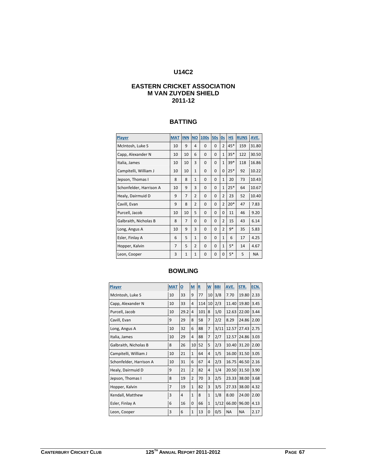# **U14C2**

## **EASTERN CRICKET ASSOCIATION M VAN ZUYDEN SHIELD 2011-12**

#### **BATTING**

| Player                  | <b>MAT</b>     | <b>INN</b>     | <b>NO</b>      | <b>100s</b> | <b>50s</b>  | <b>Os</b>      | <b>HS</b> | <b>RUNS</b> | AVE.      |
|-------------------------|----------------|----------------|----------------|-------------|-------------|----------------|-----------|-------------|-----------|
| McIntosh, Luke S        | 10             | 9              | 4              | $\Omega$    | $\Omega$    | $\overline{2}$ | 45*       | 159         | 31.80     |
| Capp, Alexander N       | 10             | 10             | 6              | $\mathbf 0$ | $\Omega$    | $\mathbf{1}$   | $35*$     | 122         | 30.50     |
| Italia, James           | 10             | 10             | 3              | $\mathbf 0$ | $\Omega$    | $\mathbf{1}$   | $39*$     | 118         | 16.86     |
| Campitelli, William J   | 10             | 10             | $\mathbf{1}$   | $\mathbf 0$ | $\Omega$    | $\Omega$       | $25*$     | 92          | 10.22     |
| Jepson, Thomas I        | 8              | 8              | $\mathbf{1}$   | $\mathbf 0$ | $\mathbf 0$ | $\mathbf{1}$   | 20        | 73          | 10.43     |
| Schonfelder, Harrison A | 10             | 9              | 3              | 0           | $\Omega$    | $\mathbf{1}$   | $25*$     | 64          | 10.67     |
| Healy, Dairmuid D       | 9              | $\overline{7}$ | $\overline{2}$ | $\Omega$    | $\Omega$    | $\overline{2}$ | 23        | 52          | 10.40     |
| Cavill, Evan            | 9              | 8              | $\overline{2}$ | $\mathbf 0$ | $\Omega$    | $\overline{2}$ | $20*$     | 47          | 7.83      |
| Purcell, Jacob          | 10             | 10             | 5              | 0           | $\mathbf 0$ | $\Omega$       | 11        | 46          | 9.20      |
| Galbraith, Nicholas B   | 8              | $\overline{7}$ | 0              | 0           | $\mathbf 0$ | $\overline{2}$ | 15        | 43          | 6.14      |
| Long, Angus A           | 10             | 9              | 3              | $\Omega$    | $\Omega$    | $\overline{2}$ | $9*$      | 35          | 5.83      |
| Esler, Finlay A         | 6              | 5              | $\mathbf{1}$   | $\Omega$    | $\Omega$    | $\mathbf{1}$   | 6         | 17          | 4.25      |
| Hopper, Kalvin          | $\overline{7}$ | 5              | $\overline{2}$ | 0           | $\mathbf 0$ | $\mathbf{1}$   | $5*$      | 14          | 4.67      |
| Leon, Cooper            | 3              | $\mathbf{1}$   | $\mathbf{1}$   | 0           | $\Omega$    | $\Omega$       | $5*$      | 5           | <b>NA</b> |

| Player                  | <b>MAT</b>     | $\overline{\mathbf{o}}$ | M              | $\underline{\mathbf{R}}$ | W              | <b>BBI</b> | AVE.      | STR.      | ECN. |
|-------------------------|----------------|-------------------------|----------------|--------------------------|----------------|------------|-----------|-----------|------|
| McIntosh, Luke S        | 10             | 33                      | 9              | 77                       | 10             | 3/8        | 7.70      | 19.80     | 2.33 |
| Capp, Alexander N       | 10             | 33                      | 4              | 114                      | 10             | 2/3        | 11.40     | 19.80     | 3.45 |
| Purcell, Jacob          | 10             | 29.2                    | $\overline{4}$ | 101                      | 8              | 1/0        | 12.63     | 22.00     | 3.44 |
| Cavill, Evan            | 9              | 29                      | 8              | 58                       | $\overline{7}$ | 2/2        | 8.29      | 24.86     | 2.00 |
| Long, Angus A           | 10             | 32                      | 6              | 88                       | $\overline{7}$ | 3/11       | 12.57     | 27.43     | 2.75 |
| Italia, James           | 10             | 29                      | 4              | 88                       | $\overline{7}$ | 2/7        | 12.57     | 24.86     | 3.03 |
| Galbraith, Nicholas B   | 8              | 26                      | 10             | 52                       | 5              | 2/3        | 10.40     | 31.20     | 2.00 |
| Campitelli, William J   | 10             | 21                      | $\mathbf{1}$   | 64                       | 4              | 1/5        | 16.00     | 31.50     | 3.05 |
| Schonfelder, Harrison A | 10             | 31                      | 6              | 67                       | 4              | 2/3        | 16.75     | 46.50     | 2.16 |
| Healy, Dairmuid D       | 9              | 21                      | $\overline{2}$ | 82                       | 4              | 1/4        | 20.50     | 31.50     | 3.90 |
| Jepson, Thomas I        | 8              | 19                      | $\overline{2}$ | 70                       | 3              | 2/5        | 23.33     | 38.00     | 3.68 |
| Hopper, Kalvin          | $\overline{7}$ | 19                      | $\mathbf{1}$   | 82                       | 3              | 3/5        | 27.33     | 38.00     | 4.32 |
| Kendall, Matthew        | 3              | 4                       | $\mathbf{1}$   | 8                        | $\mathbf{1}$   | 1/8        | 8.00      | 24.00     | 2.00 |
| Esler, Finlay A         | 6              | 16                      | 0              | 66                       | $\mathbf{1}$   | 1/12       | 66.00     | 96.00     | 4.13 |
| Leon, Cooper            | 3              | 6                       | $\mathbf{1}$   | 13                       | 0              | 0/5        | <b>NA</b> | <b>NA</b> | 2.17 |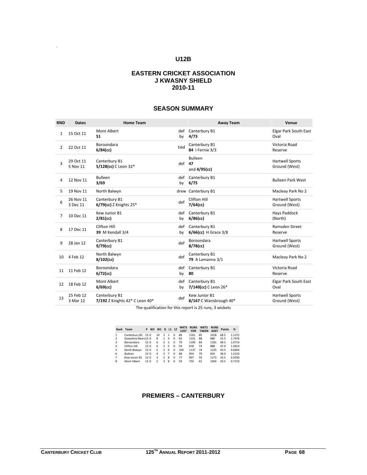# **EASTERN CRICKET ASSOCIATION J KWASNY SHIELD 2010-11**

# **SEASON SUMMARY**

| <b>RND</b>     | <b>Dates</b>          | <b>Home Team</b>                                |           | <b>Away Team</b>                         | Venue                                   |
|----------------|-----------------------|-------------------------------------------------|-----------|------------------------------------------|-----------------------------------------|
| $\mathbf{1}$   | 15 Oct 11             | Mont Albert<br>51                               | def<br>by | Canterbury B1<br>4/73                    | <b>Elgar Park South East</b><br>Oval    |
| $\overline{2}$ | 22 Oct 11             | Boroondara<br>$6/84$ (cc)                       | tied      | Canterbury B1<br>84   Fernie 3/3         | Victoria Road<br>Reserve                |
| 3              | 29 Oct 11<br>5 Nov 11 | Canterbury B1<br>5/128(cc) C Leon 32*           | $def$ 47  | <b>Bulleen</b><br>and $4/95$ (cc)        | <b>Hartwell Sports</b><br>Ground (West) |
| 4              | 12 Nov 11             | Bulleen<br>3/69                                 | def<br>by | Canterbury B1<br>6/75                    | <b>Bulleen Park West</b>                |
| 5.             | 19 Nov 11             | North Balwyn                                    |           | drew Canterbury B1                       | Macleay Park No 2                       |
| 6              | 26 Nov 11<br>3 Dec 11 | Canterbury B1<br>$6/79$ (cc) Z Knights $25*$    | def       | <b>Clifton Hill</b><br>$7/64$ (cc)       | Hartwell Sports<br>Ground (West)        |
| $\overline{7}$ | 10 Dec 11             | Kew Junior B1<br>$2/81$ (cc)                    | def<br>by | Canterbury B1<br>$6/86$ (cc)             | Hays Paddock<br>(North)                 |
| 8              | 17 Dec 11             | Clifton Hill<br><b>39</b> M Kendall 3/4         | def<br>by | Canterbury B1<br>6/66(cc) H Grace 3/8    | Ramsden Street<br>Reserve               |
| 9              | 28 Jan 12             | Canterbury B1<br>$9/79$ (cc)                    | def       | Boroondara<br>$8/78$ (cc)                | <b>Hartwell Sports</b><br>Ground (West) |
| 10             | 4 Feb 12              | North Balwyn<br>$8/102$ (cc)                    | def       | Canterbury B1<br><b>79</b> A Lamanna 3/1 | Macleay Park No 2                       |
| 11             | 11 Feb 12             | Boroondara<br>$6/72$ (cc)                       | def<br>by | Canterbury B1<br>80                      | Victoria Road<br>Reserve                |
| 12             | 18 Feb 12             | Mont Albert<br>$6/69$ (cc)                      | def<br>by | Canterbury B1<br>7/140(cc) C Leon 26*    | <b>Elgar Park South East</b><br>Oval    |
| 13             | 25 Feb 12<br>3 Mar 12 | Canterbury B1<br>7/192 Z Knights 42* C Leon 40* | def       | Kew Junior B1<br>8/167 C Wansbrough 40*  | Hartwell Sports<br>Ground (West)        |

The qualification for this report is 25 runs, 3 wickets

|                | Rank Team         | P   | W <sub>2</sub> | W1             | D              | $L1$ $L2$      |          | <b>WKTS</b><br><b>LOST</b> | <b>RUNS</b><br><b>FOR</b> | <b>WKTS</b><br><b>TAKEN</b> | <b>RUNS</b><br><b>AGST</b> | <b>Points</b> | %      |
|----------------|-------------------|-----|----------------|----------------|----------------|----------------|----------|----------------------------|---------------------------|-----------------------------|----------------------------|---------------|--------|
| 1              | Canterbury B1 130 |     |                | 10             | $\mathfrak{p}$ | $\mathbf{1}$   | $\Omega$ | 86                         | 1161                      | 85                          | 1018                       | 68.5          | 1.1272 |
| 2              | Deepdene Bears130 |     |                | 8              | 1              | $\overline{a}$ | $\Omega$ | 63                         | 1101                      | 88                          | 880                        | 55.5          | 1.7476 |
| 3              | <b>Boroondara</b> | 130 |                | 6              | $\mathcal{P}$  | 5              | $\Omega$ | 79                         | 1190                      | 84                          | 1181                       | 48.5          | 1.0714 |
| 4              | Clifton Hill      | 130 |                | 6              | $\mathcal{P}$  | 5              | $\Omega$ | 59                         | 978                       | 74                          | 888                        | 47.0          | 1.3814 |
| 5              | North Balwyn      | 130 |                | 5              | $\mathcal{P}$  | 6              | $\Omega$ | 104                        | 1137                      | 74                          | 1225                       | 43.5          | 0.6604 |
| 6              | <b>Bulleen</b>    | 130 |                | 4              | $\mathcal{P}$  | $\overline{7}$ | $\Omega$ | 68                         | 954                       | 70                          | 810                        | 38.0          | 1.2124 |
| $\overline{7}$ | Kew Junior B1     | 130 |                | 3              | $\mathcal{P}$  | 8              | $\Omega$ | 77                         | 907                       | 59                          | 1172                       | 33.5          | 0.5930 |
| 8              | Mont Albert       | 130 |                | $\mathfrak{p}$ | ર              | 8              | $\Omega$ | 59                         | 750                       | 61                          | 1004                       | 29.5          | 0.7723 |
|                |                   |     |                |                |                |                |          |                            |                           |                             |                            |               |        |

# **PREMIERS – CANTERBURY**

**.**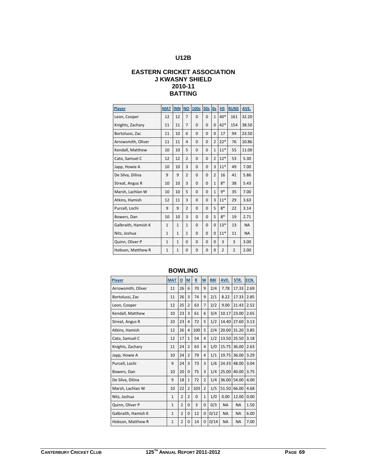# **EASTERN CRICKET ASSOCIATION J KWASNY SHIELD 2010-11 BATTING**

| Player              | <b>MAT</b>   | <b>INN</b>   | <b>NO</b>      | 100s         | 50s      | 0s             | HS             | <b>RUNS</b>    | AVE.      |
|---------------------|--------------|--------------|----------------|--------------|----------|----------------|----------------|----------------|-----------|
| Leon, Cooper        | 12           | 12           | $\overline{7}$ | $\Omega$     | $\Omega$ | $\mathbf{1}$   | $40*$          | 161            | 32.20     |
| Knights, Zachary    | 11           | 11           | $\overline{7}$ | $\mathbf 0$  | 0        | 0              | $42*$          | 154            | 38.50     |
| Bortolussi, Zac     | 11           | 10           | 6              | $\mathbf 0$  | 0        | 0              | 17             | 94             | 23.50     |
| Arrowsmith, Oliver  | 11           | 11           | 4              | $\mathbf 0$  | 0        | 2              | $22*$          | 76             | 10.86     |
| Kendall, Matthew    | 10           | 10           | 5              | $\mathbf 0$  | $\Omega$ | $\mathbf{1}$   | $11*$          | 55             | 11.00     |
| Cato, Samuel C      | 12           | 12           | $\overline{2}$ | $\mathbf 0$  | $\Omega$ | $\overline{2}$ | $12*$          | 53             | 5.30      |
| Japp, Howie A       | 10           | 10           | 3              | $\Omega$     | $\Omega$ | 3              | $11*$          | 49             | 7.00      |
| De Silva, Dilina    | 9            | 9            | $\overline{2}$ | $\mathbf 0$  | 0        | $\overline{2}$ | 16             | 41             | 5.86      |
| Streat, Angus R     | 10           | 10           | 3              | $\Omega$     | $\Omega$ | $\mathbf{1}$   | $8*$           | 38             | 5.43      |
| Marsh, Lachlan W    | 10           | 10           | 5              | $\mathbf{0}$ | 0        | $\mathbf{1}$   | $9*$           | 35             | 7.00      |
| Atkins, Hamish      | 12           | 11           | 3              | $\mathbf{0}$ | $\Omega$ | 3              | $11*$          | 29             | 3.63      |
| Purcell, Lochi      | 9            | 9            | $\overline{2}$ | $\mathbf{0}$ | $\Omega$ | 5              | $8*$           | 22             | 3.14      |
| Bowers, Dan         | 10           | 10           | 3              | $\mathbf{0}$ | 0        | 5              | $8*$           | 19             | 2.71      |
| Galbraith, Hamish K | $\mathbf{1}$ | $\mathbf{1}$ | $\mathbf{1}$   | $\mathbf 0$  | 0        | 0              | $13*$          | 13             | <b>NA</b> |
| Nitz, Joshua        | $\mathbf{1}$ | $\mathbf{1}$ | $\mathbf{1}$   | $\mathbf 0$  | 0        | 0              | $11*$          | 11             | <b>NA</b> |
| Quinn, Oliver P     | $\mathbf{1}$ | $\mathbf{1}$ | $\Omega$       | $\mathbf 0$  | $\Omega$ | $\Omega$       | 3              | 3              | 3.00      |
| Hobson, Matthew R   | $\mathbf{1}$ | $\mathbf{1}$ | 0              | $\mathbf 0$  | 0        | 0              | $\overline{2}$ | $\overline{2}$ | 2.00      |

| <b>Player</b>       | <b>MAT</b>   | $\underline{\mathsf{o}}$ | $M$            | $\overline{\mathbf{R}}$ | $\overline{\mathsf{w}}$ | <b>BBI</b> | AVE.      | STR.      | ECN. |
|---------------------|--------------|--------------------------|----------------|-------------------------|-------------------------|------------|-----------|-----------|------|
| Arrowsmith, Oliver  | 11           | 26                       | 6              | 70                      | 9                       | 2/4        | 7.78      | 17.33     | 2.69 |
| Bortolussi, Zac     | 11           | 26                       | 3              | 74                      | 9                       | 2/1        | 8.22      | 17.33     | 2.85 |
| Leon, Cooper        | 12           | 25                       | $\overline{2}$ | 63                      | $\overline{7}$          | 2/2        | 9.00      | 21.43     | 2.52 |
| Kendall, Matthew    | 10           | 23                       | 3              | 61                      | 6                       | 3/4        | 10.17     | 23.00     | 2.65 |
| Streat, Angus R     | 10           | 23                       | 4              | 72                      | 5                       | 1/2        | 14.40     | 27.60     | 3.13 |
| Atkins, Hamish      | 12           | 26                       | 4              | 100                     | 5                       | 2/4        | 20.00     | 31.20     | 3.85 |
| Cato, Samuel C      | 12           | 17                       | $\mathbf{1}$   | 54                      | 4                       | 1/2        | 13.50     | 25.50     | 3.18 |
| Knights, Zachary    | 11           | 24                       | $\overline{2}$ | 63                      | 4                       | 1/0        | 15.75     | 36.00     | 2.63 |
| Japp, Howie A       | 10           | 24                       | $\overline{2}$ | 79                      | 4                       | 1/1        | 19.75     | 36.00     | 3.29 |
| Purcell, Lochi      | 9            | 24                       | 3              | 73                      | 3                       | 1/6        | 24.33     | 48.00     | 3.04 |
| Bowers, Dan         | 10           | 20                       | $\Omega$       | 75                      | 3                       | 1/4        | 25.00     | 40.00     | 3.75 |
| De Silva, Dilina    | 9            | 18                       | $\mathbf{1}$   | 72                      | $\overline{2}$          | 1/4        | 36.00     | 54.00     | 4.00 |
| Marsh, Lachlan W    | 10           | 22                       | $\overline{2}$ | 103                     | $\overline{2}$          | 1/5        | 51.50     | 66.00     | 4.68 |
| Nitz, Joshua        | $\mathbf{1}$ | $\overline{2}$           | $\overline{2}$ | 0                       | $\mathbf{1}$            | 1/0        | 0.00      | 12.00     | 0.00 |
| Quinn, Oliver P     | $\mathbf{1}$ | $\overline{2}$           | $\Omega$       | 3                       | $\mathbf 0$             | 0/3        | <b>NA</b> | <b>NA</b> | 1.50 |
| Galbraith, Hamish K | $\mathbf{1}$ | 2                        | 0              | 12                      | 0                       | 0/12       | <b>NA</b> | <b>NA</b> | 6.00 |
| Hobson, Matthew R   | $\mathbf{1}$ | $\overline{2}$           | 0              | 14                      | 0                       | 0/14       | <b>NA</b> | <b>NA</b> | 7.00 |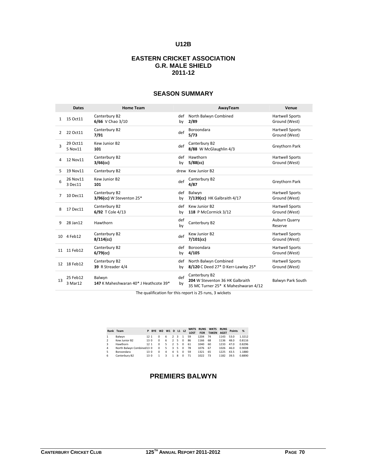# **EASTERN CRICKET ASSOCIATION G.R. MALE SHIELD 2011-12**

|              | <b>Dates</b>        | <b>Home Team</b>                                |           | AwayTeam                                                                                | Venue                                   |
|--------------|---------------------|-------------------------------------------------|-----------|-----------------------------------------------------------------------------------------|-----------------------------------------|
| $\mathbf{1}$ | 15 Oct 11           | Canterbury B2<br>6/66 V Chao 3/10               | def<br>by | North Balwyn Combined<br>2/89                                                           | <b>Hartwell Sports</b><br>Ground (West) |
| 2            | 22 Oct11            | Canterbury B2<br>7/91                           | def       | Boroondara<br>5/73                                                                      | <b>Hartwell Sports</b><br>Ground (West) |
| 3            | 29 Oct11<br>5 Nov11 | Kew Junior B2<br>101                            | def       | Canterbury B2<br>8/88 W McGlaughlin 4/3                                                 | Greythorn Park                          |
| 4            | 12 Nov11            | Canterbury B2<br>$3/66$ (cc)                    | def<br>by | Hawthorn<br>$5/88$ (cc)                                                                 | <b>Hartwell Sports</b><br>Ground (West) |
| 5            | 19 Nov11            | Canterbury B2                                   |           | drew Kew Junior B2                                                                      |                                         |
| 6            | 26 Nov11<br>3 Dec11 | Kew Junior B2<br>101                            | def       | Canterbury B2<br>4/87                                                                   | Greythorn Park                          |
| 7            | 10 Dec11            | Canterbury B2<br>3/96(cc) W Steventon 25*       | def<br>by | Balwyn<br>7/139(cc) HK Galbraith 4/17                                                   | <b>Hartwell Sports</b><br>Ground (West) |
| 8            | 17 Dec11            | Canterbury B2<br>6/92 T Cole 4/13               | def<br>bv | Kew Junior B2<br>118 P McCormick 3/12                                                   | <b>Hartwell Sports</b><br>Ground (West) |
| 9            | 28 Jan12            | Hawthorn                                        | def<br>by | Canterbury B2                                                                           | Auburn Quarry<br>Reserve                |
| 10           | 4 Feb12             | Canterbury B2<br>$8/114$ (cc)                   | def       | Kew Junior B2<br>$7/101$ (cc)                                                           | <b>Hartwell Sports</b><br>Ground (West) |
|              | 11 11 Feb12         | Canterbury B2<br>$6/79$ (cc)                    | def<br>by | Boroondara<br>4/105                                                                     | <b>Hartwell Sports</b><br>Ground (West) |
| 12           | 18 Feb12            | Canterbury B2<br>39 R Streader 4/4              | def<br>bv | North Balwyn Combined<br>8/120 C Deed 27* D Kerr-Lawley 25*                             | <b>Hartwell Sports</b><br>Ground (West) |
| 13           | 25 Feb12<br>3 Mar12 | Balwyn<br>147 K Maheshwaran 40* J Heathcote 39* | def<br>by | Canterbury B2<br>204 W Steventon 36 HK Galbraith<br>35 MC Turner 25* K Maheshwaran 4/12 | Balwyn Park South                       |

# **SEASON SUMMARY**

The qualification for this report is 25 runs, 3 wickets

|   | Rank Team                 |                 | P BYE W2 W1 D L1 L2 |          |   |                |   |          | <b>WKTS</b><br><b>LOST</b> | <b>RUNS</b><br><b>FOR</b> | <b>WKTS</b><br><b>TAKEN</b> | <b>RUNS</b><br><b>AGST</b> | <b>Points</b> | %      |
|---|---------------------------|-----------------|---------------------|----------|---|----------------|---|----------|----------------------------|---------------------------|-----------------------------|----------------------------|---------------|--------|
|   | Balwyn                    | 12 <sub>1</sub> |                     |          | 6 | $\mathfrak{p}$ | 3 | 1        | 59                         | 1204                      | 74                          | 1143                       | 53.0          | 1.3212 |
|   | Kew Junior B2             | 130             |                     | $\Omega$ | 6 | $\mathfrak{p}$ | 5 | $\Omega$ | 86                         | 1166                      | 68                          | 1136                       | 48.0          | 0.8116 |
| २ | Hawthorn                  | 12 <sub>1</sub> |                     |          | 5 | $\mathcal{L}$  | 5 | $\Omega$ | 61                         | 1040                      | 60                          | 1233                       | 47.0          | 0.8296 |
| 4 | North Balwyn Combined13 0 |                 |                     | 0        | 5 | 3              | 5 | $\Omega$ | 78                         | 1076                      | 67                          | 1026                       | 46.0          | 0.9008 |
| 5 | Boroondara                | 13.0            |                     | $\Omega$ | 4 | 4              | 5 | $\Omega$ | 59                         | 1321                      | 65                          | 1225                       | 43.5          | 1.1880 |
| 6 | Canterbury B2             | 130             |                     |          | ર | 1              | R | $\Omega$ | 71                         | 1022                      | 73                          | 1182                       | 39.5          | 0.8890 |

# **PREMIERS BALWYN**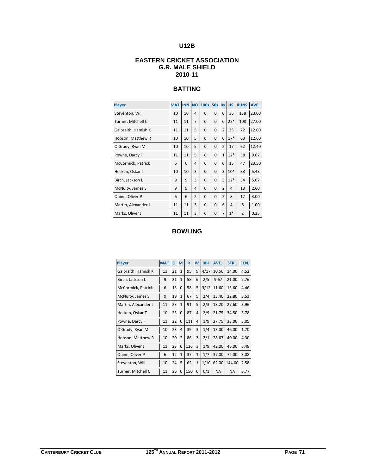# **EASTERN CRICKET ASSOCIATION G.R. MALE SHIELD 2010-11**

# **BATTING**

| Player              | <b>MAT</b> | <b>INN</b> | <b>NO</b>      | 100s 50s |          | 0s             | <b>HS</b> | <b>RUNS</b>    | AVE.  |
|---------------------|------------|------------|----------------|----------|----------|----------------|-----------|----------------|-------|
| Steventon, Will     | 10         | 10         | 4              | $\Omega$ | $\Omega$ | $\Omega$       | 36        | 138            | 23.00 |
| Turner, Mitchell C  | 11         | 11         | $\overline{7}$ | $\Omega$ | $\Omega$ | $\Omega$       | $25*$     | 108            | 27.00 |
| Galbraith, Hamish K | 11         | 11         | 5              | 0        | $\Omega$ | $\overline{2}$ | 35        | 72             | 12.00 |
| Hobson, Matthew R   | 10         | 10         | 5              | $\Omega$ | $\Omega$ | $\Omega$       | $17*$     | 63             | 12.60 |
| O'Grady, Ryan M     | 10         | 10         | 5              | $\Omega$ | $\Omega$ | $\overline{2}$ | 17        | 62             | 12.40 |
| Powne, Darcy F      | 11         | 11         | 5              | 0        | $\Omega$ | $\mathbf{1}$   | $12*$     | 58             | 9.67  |
| McCormick, Patrick  | 6          | 6          | 4              | $\Omega$ | $\Omega$ | $\Omega$       | 15        | 47             | 23.50 |
| Hosken, Oskar T     | 10         | 10         | 3              | $\Omega$ | $\Omega$ | 3              | $10*$     | 38             | 5.43  |
| Birch, Jackson L    | 9          | 9          | 3              | $\Omega$ | $\Omega$ | 3              | $12*$     | 34             | 5.67  |
| McNulty, James S    | 9          | 9          | 4              | 0        | $\Omega$ | $\overline{2}$ | 4         | 13             | 2.60  |
| Quinn, Oliver P     | 6          | 6          | $\overline{2}$ | 0        | $\Omega$ | $\overline{2}$ | 8         | 12             | 3.00  |
| Martin, Alexander L | 11         | 11         | 3              | $\Omega$ | $\Omega$ | 6              | 4         | 8              | 1.00  |
| Marks, Oliver J     | 11         | 11         | 3              | $\Omega$ | $\Omega$ | 7              | $1*$      | $\overline{2}$ | 0.25  |

| Player              | <b>MAT</b> | <u>0</u> | M              | $\overline{\mathbf{R}}$ | W            | <b>BBI</b> | AVE.      | STR.      | ECN. |
|---------------------|------------|----------|----------------|-------------------------|--------------|------------|-----------|-----------|------|
| Galbraith, Hamish K | 11         | 21       | $\mathbf{1}$   | 95                      | 9            | 4/17       | 10.56     | 14.00     | 4.52 |
| Birch, Jackson L    | 9          | 21       | $\mathbf{1}$   | 58                      | 6            | 2/5        | 9.67      | 21.00     | 2.76 |
| McCormick, Patrick  | 6          | 13       | $\Omega$       | 58                      | 5            | 3/12       | 11.60     | 15.60     | 4.46 |
| McNulty, James S    | 9          | 19       | $\mathbf{1}$   | 67                      | 5            | 2/4        | 13.40     | 22.80     | 3.53 |
| Martin, Alexander L | 11         | 23       | $\mathbf{1}$   | 91                      | 5            | 2/3        | 18.20     | 27.60     | 3.96 |
| Hosken, Oskar T     | 10         | 23       | $\Omega$       | 87                      | 4            | 2/9        | 21.75     | 34.50     | 3.78 |
| Powne, Darcy F      | 11         | 22       | 0              | 111                     | 4            | 1/9        | 27.75     | 33.00     | 5.05 |
| O'Grady, Ryan M     | 10         | 23       | 4              | 39                      | 3            | 1/4        | 13.00     | 46.00     | 1.70 |
| Hobson, Matthew R   | 10         | 20       | $\overline{2}$ | 86                      | 3            | 2/1        | 28.67     | 40.00     | 4.30 |
| Marks, Oliver J     | 11         | 23       | $\Omega$       | 126                     | 3            | 1/9        | 42.00     | 46.00     | 5.48 |
| Quinn, Oliver P     | 6          | 12       | $\mathbf{1}$   | 37                      | $\mathbf{1}$ | 1/7        | 37.00     | 72.00     | 3.08 |
| Steventon, Will     | 10         | 24       | 5              | 62                      | $\mathbf{1}$ | 1/10       | 62.00     | 144.00    | 2.58 |
| Turner, Mitchell C  | 11         | 26       | $\Omega$       | 150                     | $\Omega$     | 0/1        | <b>NA</b> | <b>NA</b> | 5.77 |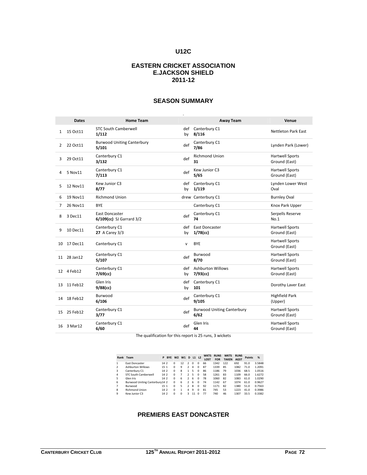#### **EASTERN CRICKET ASSOCIATION E.JACKSON SHIELD 2011-12**

|    | <b>Dates</b> | <b>Home Team</b>                           |              | <b>Away Team</b>                          | Venue                                   |
|----|--------------|--------------------------------------------|--------------|-------------------------------------------|-----------------------------------------|
| 1  | 15 Oct11     | <b>STC South Camberwell</b><br>1/112       | def<br>by    | Canterbury C1<br>8/116                    | <b>Nettleton Park East</b>              |
| 2  | 22 Oct 11    | <b>Burwood Uniting Canterbury</b><br>5/101 | def          | Canterbury C1<br>7/86                     | Lynden Park (Lower)                     |
| 3  | 29 Oct 11    | Canterbury C1<br>3/132                     | def          | <b>Richmond Union</b><br>31               | <b>Hartwell Sports</b><br>Ground (East) |
| 4  | 5 Nov11      | Canterbury C1<br>7/113                     | def          | Kew Junior C3<br>5/65                     | <b>Hartwell Sports</b><br>Ground (East) |
| 5  | 12 Nov11     | Kew Junior C3<br>8/77                      | def<br>by    | Canterbury C1<br>1/119                    | Lynden Lower West<br>Oval               |
| 6  | 19 Nov11     | <b>Richmond Union</b>                      |              | drew Canterbury C1                        | <b>Burnley Oval</b>                     |
| 7  | 26 Nov11     | <b>BYE</b>                                 |              | Canterbury C1                             | Knox Park Upper                         |
| 8  | 3 Dec11      | East Doncaster<br>6/109(cc) SJ Garrard 3/2 | def          | Canterbury C1<br>74                       | Serpells Reserve<br>No.1                |
| 9  | 10 Dec11     | Canterbury C1<br><b>27</b> A Carey 3/3     | def<br>by    | East Doncaster<br>$1/78$ (cc)             | <b>Hartwell Sports</b><br>Ground (East) |
| 10 | 17 Dec11     | Canterbury C1                              | $\mathsf{v}$ | <b>BYE</b>                                | <b>Hartwell Sports</b><br>Ground (East) |
| 11 | 28 Jan12     | Canterbury C1<br>5/107                     | def          | Burwood<br>8/70                           | <b>Hartwell Sports</b><br>Ground (East) |
|    | 12 4 Feb12   | Canterbury C1<br>$7/69$ (cc)               | def<br>by    | <b>Ashburton Willows</b><br>$7/93$ (cc)   | <b>Hartwell Sports</b><br>Ground (East) |
| 13 | 11 Feb12     | Glen Iris<br>$9/88$ (cc)                   | def<br>by    | Canterbury C1<br>101                      | Dorothy Laver East                      |
| 14 | 18 Feb12     | Burwood<br>6/106                           | def          | Canterbury C1<br>9/105                    | <b>Highfield Park</b><br>(Upper)        |
|    | 15 25 Feb12  | Canterbury C1<br>3/77                      | def          | <b>Burwood Uniting Canterbury</b><br>6/62 | <b>Hartwell Sports</b><br>Ground (East) |
|    | 16 3 Mar12   | Canterbury C1<br>6/60                      | def          | Glen Iris<br>44                           | <b>Hartwell Sports</b><br>Ground (East) |

### **SEASON SUMMARY**

The qualification for this report is 25 runs, 3 wickets

|                | Rank Team                      | P    | <b>BYE W2 W1</b> |          |          | D              | L1 L2    |          | <b>WKTS</b><br><b>LOST</b> | <b>RUNS</b><br><b>FOR</b> | <b>WKTS</b><br><b>TAKEN</b> | <b>RUNS</b><br><b>AGST</b> | <b>Points</b> | %      |
|----------------|--------------------------------|------|------------------|----------|----------|----------------|----------|----------|----------------------------|---------------------------|-----------------------------|----------------------------|---------------|--------|
|                | East Doncaster                 | 14.2 |                  | $\Omega$ | 12       | $\mathfrak{p}$ | $\Omega$ | $\Omega$ | 66                         | 1342                      | 122                         | 692                        | 91.0          | 3.5848 |
| $\mathfrak{p}$ | <b>Ashburton Willows</b>       | 15 1 |                  | $\Omega$ | 9        | $\mathcal{P}$  | 4        | $\Omega$ | 87                         | 1339                      | 85                          | 1082                       | 71.0          | 1.2091 |
| 3              | Canterbury C1                  | 14 2 |                  | $\Omega$ | 8        | 1              | 5        | $\Omega$ | 86                         | 1186                      | 79                          | 1036                       | 68.5          | 1.0516 |
| 4              | <b>STC South Camberwell</b>    | 14 2 |                  | $\Omega$ |          | $\overline{2}$ | 5        | $\Omega$ | 58                         | 1261                      | 83                          | 1109                       | 66.0          | 1.6272 |
| 5              | Glen Iris                      | 14 2 |                  | $\Omega$ | 6        | $\mathcal{P}$  | 6        | $\Omega$ | 78                         | 1060                      | 82                          | 1083                       | 61.0          | 1.0290 |
| 6              | Burwood Uniting Canterbury14 2 |      |                  | $\Omega$ | 6        | $\mathcal{P}$  | 6        | $\Omega$ | 74                         | 1142                      | 67                          | 1074                       | 61.0          | 0.9627 |
|                | Burwood                        | 15 1 |                  | $\Omega$ | 5        | 2              | 8        | $\Omega$ | 92                         | 1171                      | 82                          | 1380                       | 51.0          | 0.7563 |
| 8              | <b>Richmond Union</b>          | 14 2 |                  | $\Omega$ | 1        | 4              | 9        | $\Omega$ | 81                         | 745                       | 53                          | 1223                       | 41.0          | 0.3986 |
| 9              | Kew Junior C3                  | 14 2 |                  | $\Omega$ | $\Omega$ | ₹              | 11       | $\Omega$ | 77                         | 740                       | 46                          | 1307                       | 33.5          | 0.3382 |

#### **PREMIERS EAST DONCASTER**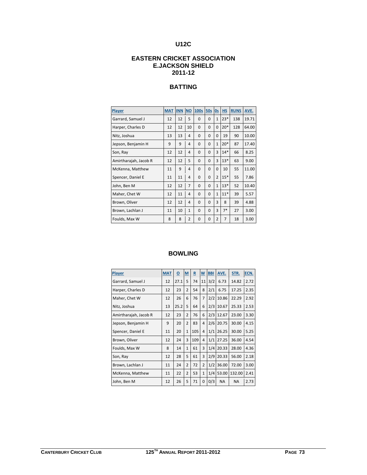### **EASTERN CRICKET ASSOCIATION E.JACKSON SHIELD 2011-12**

## **BATTING**

| Player                | <b>MAT</b> | <b>INN</b> | <b>NO</b>      | <b>100s</b> | 50s          | 0s             | H.S   | <b>RUNS</b> | AVE.  |
|-----------------------|------------|------------|----------------|-------------|--------------|----------------|-------|-------------|-------|
| Garrard, Samuel J     | 12         | 12         | 5              | $\Omega$    | $\Omega$     | $\mathbf{1}$   | $23*$ | 138         | 19.71 |
| Harper, Charles D     | 12         | 12         | 10             | $\Omega$    | $\Omega$     | $\Omega$       | $20*$ | 128         | 64.00 |
| Nitz, Joshua          | 13         | 13         | 4              | $\Omega$    | $\Omega$     | $\Omega$       | 19    | 90          | 10.00 |
| Jepson, Benjamin H    | 9          | 9          | 4              | $\Omega$    | $\Omega$     | $\mathbf{1}$   | $20*$ | 87          | 17.40 |
| Son, Ray              | 12         | 12         | 4              | $\Omega$    | $\Omega$     | 3              | $14*$ | 66          | 8.25  |
| Amirtharajah, Jacob R | 12         | 12         | 5              | $\Omega$    | $\Omega$     | 3              | $13*$ | 63          | 9.00  |
| McKenna, Matthew      | 11         | 9          | $\overline{4}$ | $\Omega$    | $\mathbf{0}$ | $\mathbf 0$    | 10    | 55          | 11.00 |
| Spencer, Daniel E     | 11         | 11         | 4              | $\Omega$    | $\Omega$     | $\overline{2}$ | $15*$ | 55          | 7.86  |
| John, Ben M           | 12         | 12         | 7              | $\Omega$    | $\Omega$     | $\mathbf{1}$   | $13*$ | 52          | 10.40 |
| Maher, Chet W         | 12         | 11         | 4              | 0           | $\mathbf 0$  | $\mathbf{1}$   | $11*$ | 39          | 5.57  |
| Brown, Oliver         | 12         | 12         | 4              | $\Omega$    | $\Omega$     | 3              | 8     | 39          | 4.88  |
| Brown, Lachlan J      | 11         | 10         | $\mathbf{1}$   | $\Omega$    | $\Omega$     | 3              | $7*$  | 27          | 3.00  |
| Foulds, Max W         | 8          | 8          | 2              | 0           | $\mathbf 0$  | $\overline{2}$ | 7     | 18          | 3.00  |

#### **BOWLING**

| Player                | <b>MAT</b> | $\overline{\mathbf{o}}$ | $M$            | $\overline{\mathbf{R}}$ | $\mathbf{W}$   | <b>BBI</b> | AVE.      | STR.      | ECN. |
|-----------------------|------------|-------------------------|----------------|-------------------------|----------------|------------|-----------|-----------|------|
| Garrard, Samuel J     | 12         | 27.1                    | 5              | 74                      | 11             | 3/2        | 6.73      | 14.82     | 2.72 |
| Harper, Charles D     | 12         | 23                      | $\overline{2}$ | 54                      | 8              | 2/1        | 6.75      | 17.25     | 2.35 |
| Maher, Chet W         | 12         | 26                      | 6              | 76                      | 7              | 2/2        | 10.86     | 22.29     | 2.92 |
| Nitz, Joshua          | 13         | 25.2                    | 5              | 64                      | 6              | 2/3        | 10.67     | 25.33     | 2.53 |
| Amirtharajah, Jacob R | 12         | 23                      | $\overline{2}$ | 76                      | 6              | 2/3        | 12.67     | 23.00     | 3.30 |
| Jepson, Benjamin H    | 9          | 20                      | $\overline{2}$ | 83                      | 4              | 2/6        | 20.75     | 30.00     | 4.15 |
| Spencer, Daniel E     | 11         | 20                      | $\mathbf{1}$   | 105                     | 4              | 1/1        | 26.25     | 30.00     | 5.25 |
| Brown, Oliver         | 12         | 24                      | 3              | 109                     | 4              | 1/1        | 27.25     | 36.00     | 4.54 |
| Foulds, Max W         | 8          | 14                      | $\mathbf{1}$   | 61                      | 3              | 1/4        | 20.33     | 28.00     | 4.36 |
| Son, Ray              | 12         | 28                      | 5              | 61                      | 3              | 2/9        | 20.33     | 56.00     | 2.18 |
| Brown, Lachlan J      | 11         | 24                      | $\overline{2}$ | 72                      | $\overline{2}$ | 1/2        | 36.00     | 72.00     | 3.00 |
| McKenna, Matthew      | 11         | 22                      | $\overline{2}$ | 53                      | $\mathbf{1}$   | 1/4        | 53.00     | 132.00    | 2.41 |
| John, Ben M           | 12         | 26                      | 5              | 71                      | $\Omega$       | 0/3        | <b>NA</b> | <b>NA</b> | 2.73 |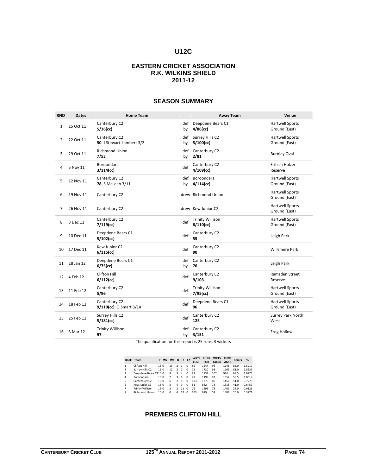#### **EASTERN CRICKET ASSOCIATION R.K. WILKINS SHIELD 2011-12**

| <b>RND</b>     | <b>Dates</b> | <b>Home Team</b>                          |           | <b>Away Team</b>                        | Venue                                   |
|----------------|--------------|-------------------------------------------|-----------|-----------------------------------------|-----------------------------------------|
| 1              | 15 Oct 11    | Canterbury C2<br>5/36(cc)                 | def<br>by | Deepdene Bears C1<br>$4/86$ (cc)        | <b>Hartwell Sports</b><br>Ground (East) |
| $\overline{2}$ | 22 Oct 11    | Canterbury C2<br>50 J Stewart-Lambert 3/2 | def<br>by | Surrey Hills C2<br>$5/100$ (cc)         | <b>Hartwell Sports</b><br>Ground (East) |
| 3              | 29 Oct 11    | <b>Richmond Union</b><br>7/53             | def<br>by | Canterbury C2<br>2/81                   | <b>Burnley Oval</b>                     |
| 4              | 5 Nov 11     | Boroondara<br>$3/114$ (cc)                | def       | Canterbury C2<br>$4/109$ (cc)           | Fritsch Holzer<br>Reserve               |
| 5              | 12 Nov 11    | Canterbury C2<br>78 S McLean 3/11         | def<br>by | Boroondara<br>$4/114$ (cc)              | <b>Hartwell Sports</b><br>Ground (East) |
| 6              | 19 Nov 11    | Canterbury C2                             |           | drew Richmond Union                     | <b>Hartwell Sports</b><br>Ground (East) |
| $\overline{7}$ | 26 Nov 11    | Canterbury C2                             |           | drew Kew Junior C2                      | <b>Hartwell Sports</b><br>Ground (East) |
| 8              | 3 Dec 11     | Canterbury C2<br>$7/119$ (cc)             | def       | <b>Trinity Willison</b><br>$8/110$ (cc) | <b>Hartwell Sports</b><br>Ground (East) |
| 9              | 10 Dec 11    | Deepdene Bears C1<br>$5/102$ (cc)         | def       | Canterbury C2<br>55                     | Leigh Park                              |
| 10             | 17 Dec 11    | Kew Junior C2<br>$6/115$ (cc)             | def       | Canterbury C2<br>90                     | <b>Willsmere Park</b>                   |
| 11             | 28 Jan 12    | Deepdene Bears C1<br>$6/75$ (cc)          | by        | def Canterbury C2<br>76                 | Leigh Park                              |
|                | 12 4 Feb 12  | Clifton Hill<br>$6/112$ (cc)              | def       | Canterbury C2<br>9/103                  | Ramsden Street<br>Reserve               |
| 13             | 11 Feb 12    | Canterbury C2<br>5/96                     | def       | <b>Trinity Willison</b><br>$7/95$ (cc)  | <b>Hartwell Sports</b><br>Ground (East) |
| 14             | 18 Feb 12    | Canterbury C2<br>9/110(cc) O Smart 3/14   | def       | Deepdene Bears C1<br>96                 | <b>Hartwell Sports</b><br>Ground (East) |
| 15             | 25 Feb 12    | Surrey Hills C2<br>$5/181$ (cc)           | def       | Canterbury C2<br>125                    | Surrey Park North<br>West               |
| 16             | 3 Mar 12     | <b>Trinity Willison</b><br>97             | by        | def Canterbury C2<br>3/151              | Frog Hollow                             |

#### **SEASON SUMMARY**

The qualification for this report is 25 runs, 3 wickets

|                          | Rank Team               |      | P W2 W1 D L1 L2 |          |                |                          |          | <b>WKTS</b><br><b>LOST</b> | <b>RUNS</b><br><b>FOR</b> | <b>WKTS</b><br><b>TAKEN</b> | <b>RUNS</b><br><b>AGST</b> | <b>Points</b> | %      |
|--------------------------|-------------------------|------|-----------------|----------|----------------|--------------------------|----------|----------------------------|---------------------------|-----------------------------|----------------------------|---------------|--------|
|                          | Clifton Hill            | 160  |                 | 13       | $\mathfrak{p}$ | $\mathbf{1}$             | $\Omega$ | 85                         | 1544                      | 96                          | 1146                       | 86.0          | 1.5217 |
| $\overline{\phantom{a}}$ | Surrey Hills C2         | 16 0 |                 | 12       | $\overline{2}$ | $\overline{\phantom{a}}$ | $\Omega$ | 75                         | 1720                      | 93                          | 1163                       | 81.0          | 1.8339 |
| 3                        | Deepdene Bears C116 0   |      |                 | 9        | 3              | 4                        | $\Omega$ | 83                         | 1331                      | 107                         | 914                        | 68.5          | 1.8773 |
| 4                        | Boroondara              | 160  |                 | 7        | ર              | 6                        | $\Omega$ | 79                         | 1198                      | 92                          | 1352                       | 58.5          | 1.0319 |
| 5                        | Canterbury C2           | 16 0 |                 | 6        | $\mathfrak{p}$ | 8                        | $\Omega$ | 103                        | 1279                      | 85                          | 1450                       | 51.0          | 0.7279 |
| 6                        | Kew Junior C2           | 160  |                 | 3        | Δ              | 9                        | $\Omega$ | 81                         | 882                       | 78                          | 1315                       | 41.0          | 0.6459 |
| 7                        | <b>Trinity Willison</b> | 16 0 |                 | 3        | $\mathcal{P}$  | 11                       | $\Omega$ | 79                         | 1295                      | 78                          | 1401                       | 35.0          | 0.9126 |
| 8                        | <b>Richmond Union</b>   | 160  |                 | $\Omega$ | Δ              | 12                       | $\Omega$ | 103                        | 979                       | 59                          | 1487                       | 26.0          | 0.3771 |

## **PREMIERS CLIFTON HILL**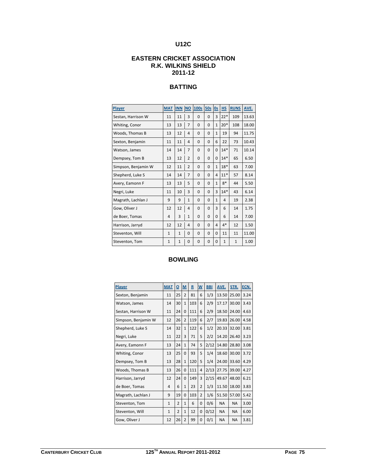### **EASTERN CRICKET ASSOCIATION R.K. WILKINS SHIELD 2011-12**

## **BATTING**

| Player              | <b>MAT</b>   | <b>INN</b>   | <b>NO</b>      | <b>100s</b>  | <b>50s</b>  | 0s           | <b>HS</b>    | <b>RUNS</b>  | AVE.  |
|---------------------|--------------|--------------|----------------|--------------|-------------|--------------|--------------|--------------|-------|
| Sestan, Harrison W  | 11           | 11           | 3              | $\mathbf{0}$ | $\mathbf 0$ | 3            | $22*$        | 109          | 13.63 |
| Whiting, Conor      | 13           | 13           | $\overline{7}$ | $\Omega$     | $\Omega$    | $\mathbf{1}$ | $20*$        | 108          | 18.00 |
| Woods, Thomas B     | 13           | 12           | 4              | $\mathbf{0}$ | $\mathbf 0$ | $\mathbf{1}$ | 19           | 94           | 11.75 |
| Sexton, Benjamin    | 11           | 11           | 4              | $\mathbf{0}$ | $\Omega$    | 6            | 22           | 73           | 10.43 |
| Watson, James       | 14           | 14           | $\overline{7}$ | $\mathbf{0}$ | 0           | 0            | $14*$        | 71           | 10.14 |
| Dempsey, Tom B      | 13           | 12           | $\overline{2}$ | $\Omega$     | $\Omega$    | $\Omega$     | $14*$        | 65           | 6.50  |
| Simpson, Benjamin W | 12           | 11           | $\overline{2}$ | $\mathbf{0}$ | 0           | $\mathbf{1}$ | $18*$        | 63           | 7.00  |
| Shepherd, Luke S    | 14           | 14           | $\overline{7}$ | $\Omega$     | $\Omega$    | 4            | $11*$        | 57           | 8.14  |
| Avery, Eamonn F     | 13           | 13           | 5              | $\mathbf{0}$ | $\Omega$    | $\mathbf{1}$ | $8*$         | 44           | 5.50  |
| Negri, Luke         | 11           | 10           | 3              | $\Omega$     | $\Omega$    | 3            | $14*$        | 43           | 6.14  |
| Magrath, Lachlan J  | 9            | 9            | $\mathbf{1}$   | $\Omega$     | $\Omega$    | $\mathbf{1}$ | 4            | 19           | 2.38  |
| Gow, Oliver J       | 12           | 12           | 4              | $\Omega$     | $\Omega$    | 3            | 6            | 14           | 1.75  |
| de Boer, Tomas      | 4            | 3            | $\mathbf{1}$   | $\mathbf{0}$ | $\mathbf 0$ | 0            | 6            | 14           | 7.00  |
| Harrison, Jarryd    | 12           | 12           | 4              | $\Omega$     | $\Omega$    | 4            | $4*$         | 12           | 1.50  |
| Steventon, Will     | $\mathbf{1}$ | $\mathbf{1}$ | $\Omega$       | $\mathbf{0}$ | $\Omega$    | 0            | 11           | 11           | 11.00 |
| Steventon, Tom      | $\mathbf{1}$ | $\mathbf{1}$ | $\Omega$       | $\Omega$     | $\Omega$    | 0            | $\mathbf{1}$ | $\mathbf{1}$ | 1.00  |

## **BOWLING**

| <b>Player</b>       | <b>MAT</b>   | $\overline{\mathbf{o}}$ | M              | R   | W              | <b>BBI</b> | AVE.      | STR.      | ECN. |
|---------------------|--------------|-------------------------|----------------|-----|----------------|------------|-----------|-----------|------|
| Sexton, Benjamin    | 11           | 25                      | $\overline{2}$ | 81  | 6              | 1/3        | 13.50     | 25.00     | 3.24 |
| Watson, James       | 14           | 30                      | $\mathbf{1}$   | 103 | 6              | 2/9        | 17.17     | 30.00     | 3.43 |
| Sestan, Harrison W  | 11           | 24                      | 0              | 111 | 6              | 2/9        | 18.50     | 24.00     | 4.63 |
| Simpson, Benjamin W | 12           | 26                      | $\overline{2}$ | 119 | 6              | 2/7        | 19.83     | 26.00     | 4.58 |
| Shepherd, Luke S    | 14           | 32                      | $\mathbf{1}$   | 122 | 6              | 1/2        | 20.33     | 32.00     | 3.81 |
| Negri, Luke         | 11           | 22                      | 3              | 71  | 5              | 2/2        | 14.20     | 26.40     | 3.23 |
| Avery, Eamonn F     | 13           | 24                      | $\mathbf{1}$   | 74  | 5              | 2/12       | 14.80     | 28.80     | 3.08 |
| Whiting, Conor      | 13           | 25                      | $\Omega$       | 93  | 5              | 1/4        | 18.60     | 30.00     | 3.72 |
| Dempsey, Tom B      | 13           | 28                      | $\mathbf{1}$   | 120 | 5              | 1/4        | 24.00     | 33.60     | 4.29 |
| Woods, Thomas B     | 13           | 26                      | 0              | 111 | 4              | 2/13       | 27.75     | 39.00     | 4.27 |
| Harrison, Jarryd    | 12           | 24                      | 0              | 149 | 3              | 2/15       | 49.67     | 48.00     | 6.21 |
| de Boer, Tomas      | 4            | 6                       | $\mathbf{1}$   | 23  | $\overline{2}$ | 1/3        | 11.50     | 18.00     | 3.83 |
| Magrath, Lachlan J  | 9            | 19                      | $\Omega$       | 103 | $\overline{2}$ | 1/6        | 51.50     | 57.00     | 5.42 |
| Steventon, Tom      | $\mathbf{1}$ | $\overline{2}$          | $\mathbf{1}$   | 6   | $\mathbf 0$    | 0/6        | <b>NA</b> | <b>NA</b> | 3.00 |
| Steventon, Will     | $\mathbf{1}$ | $\overline{2}$          | $\mathbf{1}$   | 12  | $\mathbf 0$    | 0/12       | <b>NA</b> | <b>NA</b> | 6.00 |
| Gow, Oliver J       | 12           | 26                      | 2              | 99  | $\mathbf 0$    | 0/1        | <b>NA</b> | <b>NA</b> | 3.81 |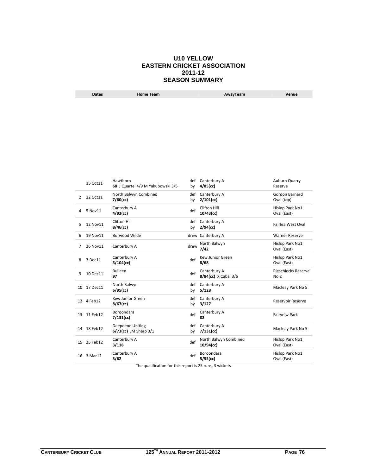#### **U10 YELLOW EASTERN CRICKET ASSOCIATION 2011-12 SEASON SUMMARY**

| Dates | <b>Home Team</b> | AwayTeam | Venue |
|-------|------------------|----------|-------|
|       |                  |          |       |

| 15 Oct11 | Hawthorn<br>68 J Quartel 4/9 M Yakubowski 3/5  | by        | def Canterbury A<br>$4/85$ (cc)      | Auburn Quarry<br>Reserve                       |
|----------|------------------------------------------------|-----------|--------------------------------------|------------------------------------------------|
| 22 Oct11 | North Balwyn Combined<br>$7/60$ (cc)           | def<br>by | Canterbury A<br>$2/101$ (cc)         | Gordon Barnard<br>Oval (top)                   |
| 5 Nov11  | Canterbury A<br>$4/93$ (cc)                    | def       | Clifton Hill<br>$10/43$ (cc)         | Hislop Park No1<br>Oval (East)                 |
| 12 Nov11 | Clifton Hill<br>$8/46$ (cc)                    | by        | Canterbury A<br>$2/94$ (cc)          | Fairlea West Oval                              |
| 19 Nov11 | <b>Burwood Wilde</b>                           |           |                                      | <b>Warner Reserve</b>                          |
| 26 Nov11 | Canterbury A                                   |           | North Balwyn<br>7/42                 | Hislop Park No1<br>Oval (East)                 |
| 3 Dec11  | Canterbury A<br>$3/104$ (cc)                   | def       | Kew Junior Green<br>8/68             | Hislop Park No1<br>Oval (East)                 |
| 10 Dec11 | <b>Bulleen</b><br>97                           | def       | Canterbury A<br>8/84(cc) X Cabai 3/6 | <b>Rieschiecks Reserve</b><br>No <sub>2</sub>  |
| 17 Dec11 | North Balwyn<br>$6/95$ (cc)                    | def<br>by | Canterbury A<br>5/128                | Macleay Park No 5                              |
|          | Kew Junior Green<br>$8/67$ (cc)                | by        | Canterbury A<br>3/127                | <b>Reservoir Reserve</b>                       |
| 11 Feb12 | Boroondara<br>$7/131$ (cc)                     | def       | Canterbury A<br>82                   | <b>Fairveiw Park</b>                           |
|          | Deepdene Uniting<br>$6/73$ (cc) JM Sharp $3/1$ | by        | Canterbury A<br>$7/131$ (cc)         | Macleay Park No 5                              |
| 25 Feb12 | Canterbury A<br>3/118                          | def       | North Balwyn Combined<br>10/94(cc)   | Hislop Park No1<br>Oval (East)                 |
| 3 Mar12  | Canterbury A<br>3/62                           | def       | Boroondara<br>5/55(cc)               | Hislop Park No1<br>Oval (East)                 |
| 13       | 12 4 Feb12<br>14 18 Feb12                      |           |                                      | def<br>drew Canterbury A<br>drew<br>def<br>def |

The qualification for this report is 25 runs, 3 wickets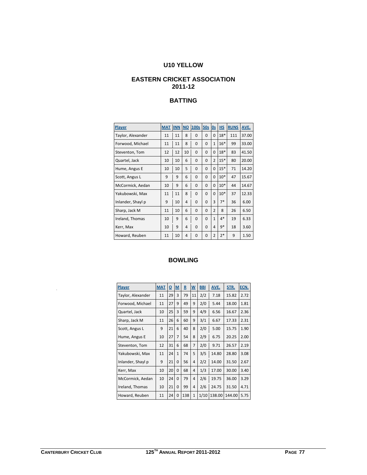## **U10 YELLOW**

#### **EASTERN CRICKET ASSOCIATION 2011-12**

## **BATTING**

| Player            | <b>MAT</b> | <b>INN</b> | $NO$ | 100s        | 50s      | 0s             | <b>HS</b> | <b>RUNS</b> | AVE.  |
|-------------------|------------|------------|------|-------------|----------|----------------|-----------|-------------|-------|
| Taylor, Alexander | 11         | 11         | 8    | $\Omega$    | $\Omega$ | $\Omega$       | $18*$     | 111         | 37.00 |
| Forwood, Michael  | 11         | 11         | 8    | $\Omega$    | $\Omega$ | $\mathbf{1}$   | $16*$     | 99          | 33.00 |
| Steventon, Tom    | 12         | 12         | 10   | $\mathbf 0$ | $\Omega$ | $\Omega$       | $18*$     | 83          | 41.50 |
| Quartel, Jack     | 10         | 10         | 6    | 0           | $\Omega$ | $\overline{2}$ | $15*$     | 80          | 20.00 |
| Hume, Angus E     | 10         | 10         | 5    | $\Omega$    | $\Omega$ | $\Omega$       | $15*$     | 71          | 14.20 |
| Scott, Angus L    | 9          | 9          | 6    | $\Omega$    | $\Omega$ | $\Omega$       | $10*$     | 47          | 15.67 |
| McCormick, Aedan  | 10         | 9          | 6    | $\Omega$    | $\Omega$ | $\Omega$       | $10*$     | 44          | 14.67 |
| Yakubowski, Max   | 11         | 11         | 8    | $\Omega$    | $\Omega$ | $\Omega$       | $10*$     | 37          | 12.33 |
| Inlander, Shayl p | 9          | 10         | 4    | $\Omega$    | $\Omega$ | 3              | $7*$      | 36          | 6.00  |
| Sharp, Jack M     | 11         | 10         | 6    | $\Omega$    | 0        | $\overline{2}$ | 8         | 26          | 6.50  |
| Ireland, Thomas   | 10         | 9          | 6    | 0           | $\Omega$ | $\mathbf{1}$   | $4*$      | 19          | 6.33  |
| Kerr, Max         | 10         | 9          | 4    | $\Omega$    | $\Omega$ | 4              | $9*$      | 18          | 3.60  |
| Howard, Reuben    | 11         | 10         | 4    | $\Omega$    | 0        | $\overline{2}$ | $2*$      | 9           | 1.50  |

#### **BOWLING**

| <b>Player</b>     | <b>MAT</b> | $\Omega$ | M            | $\mathbf R$ | $\underline{\mathsf{W}}$ | <b>BBI</b> | AVE.   | STR.   | ECN. |
|-------------------|------------|----------|--------------|-------------|--------------------------|------------|--------|--------|------|
| Taylor, Alexander | 11         | 29       | 3            | 79          | 11                       | 2/2        | 7.18   | 15.82  | 2.72 |
| Forwood, Michael  | 11         | 27       | 9            | 49          | 9                        | 2/0        | 5.44   | 18.00  | 1.81 |
| Quartel, Jack     | 10         | 25       | 3            | 59          | 9                        | 4/9        | 6.56   | 16.67  | 2.36 |
| Sharp, Jack M     | 11         | 26       | 6            | 60          | 9                        | 3/1        | 6.67   | 17.33  | 2.31 |
| Scott, Angus L    | 9          | 21       | 6            | 40          | 8                        | 2/0        | 5.00   | 15.75  | 1.90 |
| Hume, Angus E     | 10         | 27       | 7            | 54          | 8                        | 2/9        | 6.75   | 20.25  | 2.00 |
| Steventon, Tom    | 12         | 31       | 6            | 68          | 7                        | 2/0        | 9.71   | 26.57  | 2.19 |
| Yakubowski, Max   | 11         | 24       | $\mathbf{1}$ | 74          | 5                        | 3/5        | 14.80  | 28.80  | 3.08 |
| Inlander, Shayl p | 9          | 21       | $\Omega$     | 56          | 4                        | 2/2        | 14.00  | 31.50  | 2.67 |
| Kerr, Max         | 10         | 20       | $\Omega$     | 68          | 4                        | 1/3        | 17.00  | 30.00  | 3.40 |
| McCormick, Aedan  | 10         | 24       | 0            | 79          | 4                        | 2/6        | 19.75  | 36.00  | 3.29 |
| Ireland, Thomas   | 10         | 21       | $\Omega$     | 99          | 4                        | 2/6        | 24.75  | 31.50  | 4.71 |
| Howard, Reuben    | 11         | 24       | 0            | 138         | $\mathbf{1}$             | 1/10       | 138.00 | 144.00 | 5.75 |

.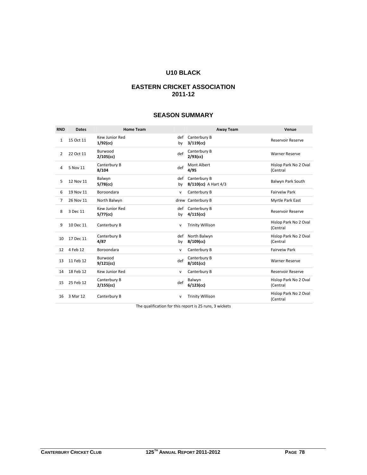## **U10 BLACK**

### **EASTERN CRICKET ASSOCIATION 2011-12**

### **SEASON SUMMARY**

| <b>RND</b>   | <b>Dates</b> | <b>Home Team</b>              |              | <b>Away Team</b>                     | Venue                             |
|--------------|--------------|-------------------------------|--------------|--------------------------------------|-----------------------------------|
| $\mathbf{1}$ | 15 Oct 11    | Kew Junior Red<br>$1/92$ (cc) | def<br>by    | Canterbury B<br>$3/119$ (cc)         | <b>Reservoir Reserve</b>          |
| 2            | 22 Oct 11    | Burwood<br>$2/105$ (cc)       | def          | Canterbury B<br>$2/93$ (cc)          | <b>Warner Reserve</b>             |
| 4            | 5 Nov 11     | Canterbury B<br>8/104         | def          | Mont Albert<br>4/95                  | Hislop Park No 2 Oval<br>(Central |
| 5            | 12 Nov 11    | Balwyn<br>$5/78$ (cc)         | def<br>by    | Canterbury B<br>8/110(cc) A Hart 4/3 | Balwyn Park South                 |
| 6            | 19 Nov 11    | Boroondara                    | v            | Canterbury B                         | <b>Fairveiw Park</b>              |
| 7            | 26 Nov 11    | North Balwyn                  |              | drew Canterbury B                    | Myrtle Park East                  |
| 8            | 3 Dec 11     | Kew Junior Red<br>5/77(cc)    | def<br>by    | Canterbury B<br>$4/115$ (cc)         | <b>Reservoir Reserve</b>          |
| 9            | 10 Dec 11    | Canterbury B                  | $\mathsf{v}$ | <b>Trinity Willison</b>              | Hislop Park No 2 Oval<br>(Central |
| 10           | 17 Dec 11    | Canterbury B<br>4/87          | def<br>by    | North Balwyn<br>8/109(cc)            | Hislop Park No 2 Oval<br>(Central |
| 12           | 4 Feb 12     | Boroondara                    | v            | Canterbury B                         | <b>Fairveiw Park</b>              |
| 13           | 11 Feb 12    | Burwood<br>$9/121$ (cc)       | def          | Canterbury B<br>$8/101$ (cc)         | <b>Warner Reserve</b>             |
| 14           | 18 Feb 12    | Kew Junior Red                | v            | Canterbury B                         | <b>Reservoir Reserve</b>          |
| 15           | 25 Feb 12    | Canterbury B<br>$2/155$ (cc)  | def          | Balwyn<br>$6/123$ (cc)               | Hislop Park No 2 Oval<br>(Central |
| 16           | 3 Mar 12     | Canterbury B                  | $\mathsf{v}$ | <b>Trinity Willison</b>              | Hislop Park No 2 Oval<br>(Central |

The qualification for this report is 25 runs, 3 wickets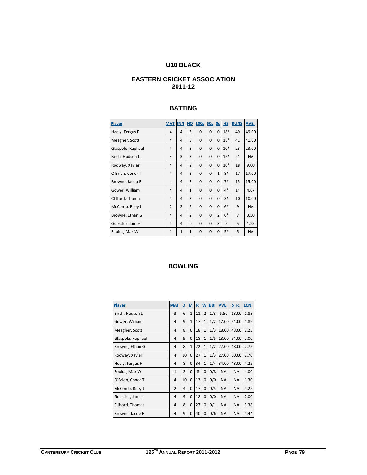## **U10 BLACK**

### **EASTERN CRICKET ASSOCIATION 2011-12**

#### **BATTING**

| Player            | <b>MAT</b>     | <b>INN</b>     | <b>NO</b>      | 100s        | <b>50s</b>  | 0s             | HS    | <b>RUNS</b>    | AVE.      |
|-------------------|----------------|----------------|----------------|-------------|-------------|----------------|-------|----------------|-----------|
| Healy, Fergus F   | 4              | 4              | 3              | $\Omega$    | $\Omega$    | $\Omega$       | $18*$ | 49             | 49.00     |
| Meagher, Scott    | 4              | 4              | 3              | $\Omega$    | $\Omega$    | $\Omega$       | $18*$ | 41             | 41.00     |
| Glaspole, Raphael | $\overline{4}$ | 4              | 3              | $\mathbf 0$ | $\Omega$    | $\mathbf 0$    | $10*$ | 23             | 23.00     |
| Birch, Hudson L   | 3              | 3              | 3              | $\Omega$    | $\Omega$    | $\mathbf 0$    | $15*$ | 21             | <b>NA</b> |
| Rodway, Xavier    | 4              | 4              | $\overline{2}$ | $\mathbf 0$ | $\Omega$    | $\mathbf 0$    | $10*$ | 18             | 9.00      |
| O'Brien, Conor T  | $\overline{4}$ | $\overline{4}$ | 3              | $\mathbf 0$ | $\Omega$    | $\mathbf{1}$   | $8*$  | 17             | 17.00     |
| Browne, Jacob F   | 4              | $\overline{4}$ | 3              | $\Omega$    | $\Omega$    | $\Omega$       | $7*$  | 15             | 15.00     |
| Gower, William    | 4              | 4              | $\mathbf{1}$   | $\mathbf 0$ | $\Omega$    | $\Omega$       | $4*$  | 14             | 4.67      |
| Clifford, Thomas  | 4              | $\overline{4}$ | 3              | $\mathbf 0$ | 0           | 0              | $3*$  | 10             | 10.00     |
| McComb, Riley J   | $\overline{2}$ | $\overline{2}$ | $\overline{2}$ | $\Omega$    | $\Omega$    | $\Omega$       | $6*$  | 9              | <b>NA</b> |
| Browne, Ethan G   | 4              | $\overline{4}$ | $\overline{2}$ | $\Omega$    | $\Omega$    | $\overline{2}$ | $6*$  | $\overline{7}$ | 3.50      |
| Goessler, James   | 4              | $\overline{4}$ | 0              | $\mathbf 0$ | $\Omega$    | 3              | 5     | 5              | 1.25      |
| Foulds, Max W     | $\mathbf{1}$   | $\mathbf{1}$   | $\mathbf{1}$   | 0           | $\mathbf 0$ | 0              | $5*$  | 5              | <b>NA</b> |

## **BOWLING**

| Player            | <b>MAT</b>     | $\overline{\mathbf{0}}$ | $\underline{\mathsf{M}}$ | $\underline{\mathbf{R}}$ | $\underline{\mathsf{w}}$ | <b>BBI</b> | AVE.      | STR.      | ECN. |
|-------------------|----------------|-------------------------|--------------------------|--------------------------|--------------------------|------------|-----------|-----------|------|
| Birch, Hudson L   | 3              | 6                       | $\mathbf{1}$             | 11                       | $\overline{2}$           | 1/3        | 5.50      | 18.00     | 1.83 |
| Gower, William    | 4              | 9                       | $\mathbf{1}$             | 17                       | $\mathbf{1}$             | 1/2        | 17.00     | 54.00     | 1.89 |
| Meagher, Scott    | 4              | 8                       | $\Omega$                 | 18                       | $\mathbf{1}$             | 1/3        | 18.00     | 48.00     | 2.25 |
| Glaspole, Raphael | 4              | 9                       | 0                        | 18                       | $\mathbf{1}$             | 1/5        | 18.00     | 54.00     | 2.00 |
| Browne, Ethan G   | 4              | 8                       | $\mathbf{1}$             | 22                       | $\mathbf{1}$             | 1/2        | 22.00     | 48.00     | 2.75 |
| Rodway, Xavier    | 4              | 10                      | $\Omega$                 | 27                       | $\mathbf{1}$             | 1/3        | 27.00     | 60.00     | 2.70 |
| Healy, Fergus F   | 4              | 8                       | 0                        | 34                       | $\mathbf{1}$             | 1/4        | 34.00     | 48.00     | 4.25 |
| Foulds, Max W     | $\mathbf{1}$   | $\overline{2}$          | $\Omega$                 | 8                        | 0                        | 0/8        | <b>NA</b> | <b>NA</b> | 4.00 |
| O'Brien, Conor T  | 4              | 10                      | $\mathbf 0$              | 13                       | $\mathbf 0$              | 0/0        | <b>NA</b> | <b>NA</b> | 1.30 |
| McComb, Riley J   | $\overline{2}$ | 4                       | $\Omega$                 | 17                       | 0                        | 0/5        | <b>NA</b> | <b>NA</b> | 4.25 |
| Goessler, James   | 4              | 9                       | 0                        | 18                       | $\mathbf 0$              | 0/0        | <b>NA</b> | <b>NA</b> | 2.00 |
| Clifford, Thomas  | 4              | 8                       | $\Omega$                 | 27                       | $\mathbf 0$              | 0/1        | <b>NA</b> | <b>NA</b> | 3.38 |
| Browne, Jacob F   | 4              | 9                       | 0                        | 40                       | 0                        | 0/6        | <b>NA</b> | <b>NA</b> | 4.44 |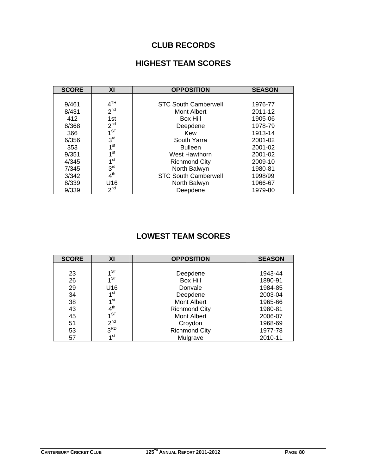## **CLUB RECORDS**

## **HIGHEST TEAM SCORES**

| <b>SCORE</b> | XI              | <b>OPPOSITION</b>           | <b>SEASON</b> |
|--------------|-----------------|-----------------------------|---------------|
|              |                 |                             |               |
| 9/461        | 4 <sup>TH</sup> | <b>STC South Camberwell</b> | 1976-77       |
| 8/431        | 2 <sub>nd</sub> | Mont Albert                 | 2011-12       |
| 412          | 1st             | Box Hill                    | 1905-06       |
| 8/368        | 2 <sup>nd</sup> | Deepdene                    | 1978-79       |
| 366          | 1 <sup>ST</sup> | Kew                         | 1913-14       |
| 6/356        | 3 <sup>rd</sup> | South Yarra                 | 2001-02       |
| 353          | 1 <sup>st</sup> | <b>Bulleen</b>              | 2001-02       |
| 9/351        | 1 <sup>st</sup> | West Hawthorn               | 2001-02       |
| 4/345        | 1 <sup>st</sup> | <b>Richmond City</b>        | 2009-10       |
| 7/345        | 3 <sup>rd</sup> | North Balwyn                | 1980-81       |
| 3/342        | 4 <sup>th</sup> | <b>STC South Camberwell</b> | 1998/99       |
| 8/339        | U16             | North Balwyn                | 1966-67       |
| 9/339        | 2 <sup>nd</sup> | Deepdene                    | 1979-80       |

# **LOWEST TEAM SCORES**

| <b>SCORE</b> | XI              | <b>OPPOSITION</b>    | <b>SEASON</b> |
|--------------|-----------------|----------------------|---------------|
|              |                 |                      |               |
| 23           | 1 <sup>ST</sup> | Deepdene             | 1943-44       |
| 26           | $1^{ST}$        | <b>Box Hill</b>      | 1890-91       |
| 29           | U16             | Donvale              | 1984-85       |
| 34           | 1 <sup>st</sup> | Deepdene             | 2003-04       |
| 38           | 1 <sup>st</sup> | Mont Albert          | 1965-66       |
| 43           | 4 <sup>th</sup> | <b>Richmond City</b> | 1980-81       |
| 45           | $1^{ST}$        | <b>Mont Albert</b>   | 2006-07       |
| 51           | 2 <sup>nd</sup> | Croydon              | 1968-69       |
| 53           | 3 <sup>RD</sup> | <b>Richmond City</b> | 1977-78       |
| 57           | 1 <sup>st</sup> | Mulgrave             | 2010-11       |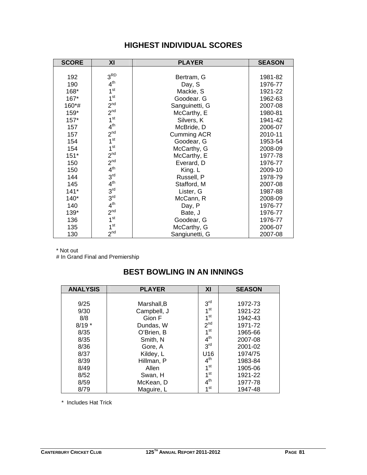| <b>SCORE</b> | XI              | <b>PLAYER</b>      | <b>SEASON</b> |
|--------------|-----------------|--------------------|---------------|
|              |                 |                    |               |
| 192          | 3 <sup>RD</sup> | Bertram, G         | 1981-82       |
| 190          | 4 <sup>th</sup> | Day, S             | 1976-77       |
| 168*         | 1 <sup>st</sup> | Mackie, S          | 1921-22       |
| $167*$       | 1 <sup>st</sup> | Goodear. G         | 1962-63       |
| 160*#        | 2 <sup>nd</sup> | Sanguinetti, G     | 2007-08       |
| 159*         | 2 <sup>nd</sup> | McCarthy, E        | 1980-81       |
| $157*$       | 1 <sup>st</sup> | Silvers, K         | 1941-42       |
| 157          | 4 <sup>th</sup> | McBride, D         | 2006-07       |
| 157          | 2 <sub>nd</sub> | <b>Cumming ACR</b> | 2010-11       |
| 154          | 1 <sup>st</sup> | Goodear, G         | 1953-54       |
| 154          | 1 <sup>st</sup> | McCarthy, G        | 2008-09       |
| $151*$       | 2 <sup>nd</sup> | McCarthy, E        | 1977-78       |
| 150          | 2 <sup>nd</sup> | Everard, D         | 1976-77       |
| 150          | 4 <sup>th</sup> | King. L            | 2009-10       |
| 144          | 3 <sup>rd</sup> | Russell, P         | 1978-79       |
| 145          | 4 <sup>th</sup> | Stafford, M        | 2007-08       |
| $141*$       | 3 <sup>rd</sup> | Lister, G          | 1987-88       |
| $140*$       | 3 <sup>rd</sup> | McCann, R          | 2008-09       |
| 140          | 4 <sup>th</sup> | Day, P             | 1976-77       |
| 139*         | 2 <sup>nd</sup> | Bate, J            | 1976-77       |
| 136          | 1 <sup>st</sup> | Goodear, G         | 1976-77       |
| 135          | 1 <sup>st</sup> | McCarthy, G        | 2006-07       |
| 130          | 2 <sup>nd</sup> | Sangiunetti, G     | 2007-08       |

# **HIGHEST INDIVIDUAL SCORES**

\* Not out

# In Grand Final and Premiership

## **BEST BOWLING IN AN INNINGS**

| <b>ANALYSIS</b> | <b>PLAYER</b> | XI              | <b>SEASON</b> |
|-----------------|---------------|-----------------|---------------|
|                 |               |                 |               |
| 9/25            | Marshall, B   | 3 <sup>rd</sup> | 1972-73       |
| 9/30            | Campbell, J   | 1 <sup>st</sup> | 1921-22       |
| 8/8             | Gion F        | 1 <sup>st</sup> | 1942-43       |
| $8/19*$         | Dundas, W     | 2 <sup>nd</sup> | 1971-72       |
| 8/35            | O'Brien, B    | 1 <sup>st</sup> | 1965-66       |
| 8/35            | Smith, N      | $4^{\text{th}}$ | 2007-08       |
| 8/36            | Gore, A       | 3 <sup>rd</sup> | 2001-02       |
| 8/37            | Kildey, L     | U16             | 1974/75       |
| 8/39            | Hillman, P    | $4^{\text{th}}$ | 1983-84       |
| 8/49            | Allen         | 1 <sup>st</sup> | 1905-06       |
| 8/52            | Swan, H       | 1st             | 1921-22       |
| 8/59            | McKean, D     | $4^{\text{th}}$ | 1977-78       |
| 8/79            | Maguire, L    | $1$ st          | 1947-48       |

\* Includes Hat Trick